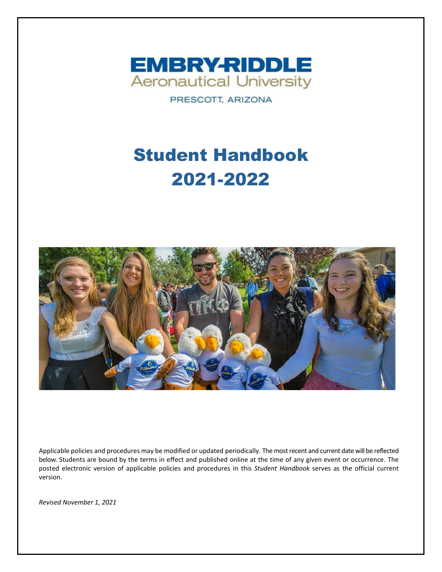

PRESCOTT, ARIZONA

# Student Handbook 2021-2022



Applicable policies and procedures may be modified or updated periodically. The most recent and current date will be reflected below. Students are bound by the terms in effect and published online at the time of any given event or occurrence. The posted electronic version of applicable policies and procedures in this *Student Handbook* serves as the official current version.

*Revised November 1, 2021*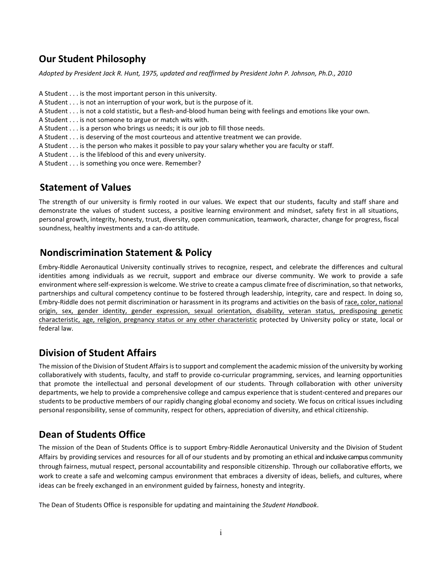## **Our Student Philosophy**

*Adopted by President Jack R. Hunt, 1975, updated and reaffirmed by President John P. Johnson, Ph.D., 2010*

- A Student . . . is the most important person in this university.
- A Student . . . is not an interruption of your work, but is the purpose of it.
- A Student . . . is not a cold statistic, but a flesh-and-blood human being with feelings and emotions like your own.
- A Student . . . is not someone to argue or match wits with.
- A Student . . . is a person who brings us needs; it is our job to fill those needs.
- A Student . . . is deserving of the most courteous and attentive treatment we can provide.
- A Student . . . is the person who makes it possible to pay your salary whether you are faculty or staff.
- A Student . . . is the lifeblood of this and every university.
- A Student . . . is something you once were. Remember?

## **Statement of Values**

The strength of our university is firmly rooted in our values. We expect that our students, faculty and staff share and demonstrate the values of student success, a positive learning environment and mindset, safety first in all situations, personal growth, integrity, honesty, trust, diversity, open communication, teamwork, character, change for progress, fiscal soundness, healthy investments and a can-do attitude.

## **Nondiscrimination Statement & Policy**

Embry-Riddle Aeronautical University continually strives to recognize, respect, and celebrate the differences and cultural identities among individuals as we recruit, support and embrace our diverse community. We work to provide a safe environment where self-expression is welcome. We strive to create a campus climate free of discrimination, so that networks, partnerships and cultural competency continue to be fostered through leadership, integrity, care and respect. In doing so, Embry-Riddle does not permit discrimination or harassment in its programs and activities on the basis of race, color, national origin, sex, gender identity, gender expression, sexual orientation, disability, veteran status, predisposing genetic characteristic, age, religion, pregnancy status or any other characteristic protected by University policy or state, local or federal law.

## **Division of Student Affairs**

The mission of the Division of Student Affairs is to support and complement the academic mission of the university by working collaboratively with students, faculty, and staff to provide co-curricular programming, services, and learning opportunities that promote the intellectual and personal development of our students. Through collaboration with other university departments, we help to provide a comprehensive college and campus experience that is student-centered and prepares our students to be productive members of our rapidly changing global economy and society. We focus on critical issues including personal responsibility, sense of community, respect for others, appreciation of diversity, and ethical citizenship.

## **Dean of Students Office**

The mission of the Dean of Students Office is to support Embry-Riddle Aeronautical University and the Division of Student Affairs by providing services and resources for all of ourstudents and by promoting an ethical and inclusive campus community through fairness, mutual respect, personal accountability and responsible citizenship. Through our collaborative efforts, we work to create a safe and welcoming campus environment that embraces a diversity of ideas, beliefs, and cultures, where ideas can be freely exchanged in an environment guided by fairness, honesty and integrity.

The Dean of Students Office is responsible for updating and maintaining the *Student Handbook*.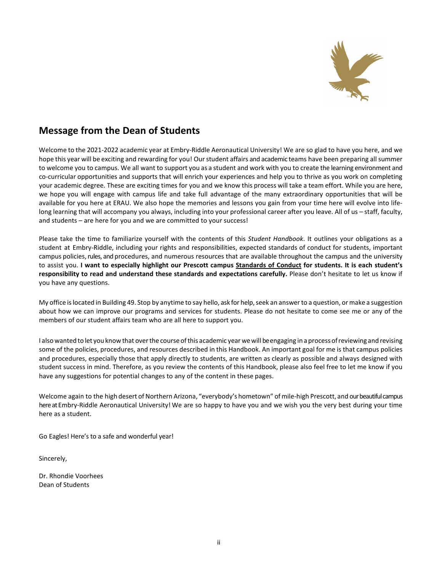

## **Message from the Dean of Students**

Welcome to the 2021-2022 academic year at Embry-Riddle Aeronautical University! We are so glad to have you here, and we hope this year will be exciting and rewarding for you! Our student affairs and academic teams have been preparing all summer to welcome you to campus. We all want to support you as a student and work with you to create the learning environment and co-curricular opportunities and supports that will enrich your experiences and help you to thrive as you work on completing your academic degree. These are exciting times for you and we know this process will take a team effort. While you are here, we hope you will engage with campus life and take full advantage of the many extraordinary opportunities that will be available for you here at ERAU. We also hope the memories and lessons you gain from your time here will evolve into lifelong learning that will accompany you always, including into your professional career after you leave. All of us – staff, faculty, and students – are here for you and we are committed to your success!

Please take the time to familiarize yourself with the contents of this *Student Handbook*. It outlines your obligations as a student at Embry-Riddle, including your rights and responsibilities, expected standards of conduct for students, important campus policies, rules, and procedures, and numerous resources that are available throughout the campus and the university to assist you. **I want to especially highlight our Prescott campus Standards of Conduct for students. It is each student's responsibility to read and understand these standards and expectations carefully.** Please don't hesitate to let us know if you have any questions.

My office islocated in Building 49. Stop by anytime to say hello, ask for help, seek an answerto a question, ormake a suggestion about how we can improve our programs and services for students. Please do not hesitate to come see me or any of the members of our student affairs team who are all here to support you.

I also wanted to let you know that over the course of this academic year we will be engaging in a process of reviewing and revising some of the policies, procedures, and resources described in this Handbook. An important goal for me is that campus policies and procedures, especially those that apply directly to students, are written as clearly as possible and always designed with student success in mind. Therefore, as you review the contents of this Handbook, please also feel free to let me know if you have any suggestions for potential changes to any of the content in these pages.

Welcome again to the high desert of Northern Arizona, "everybody's hometown" of mile-high Prescott, and our beautiful campus here at Embry-Riddle Aeronautical University! We are so happy to have you and we wish you the very best during your time here as a student.

Go Eagles! Here's to a safe and wonderful year!

Sincerely,

Dr. Rhondie Voorhees Dean of Students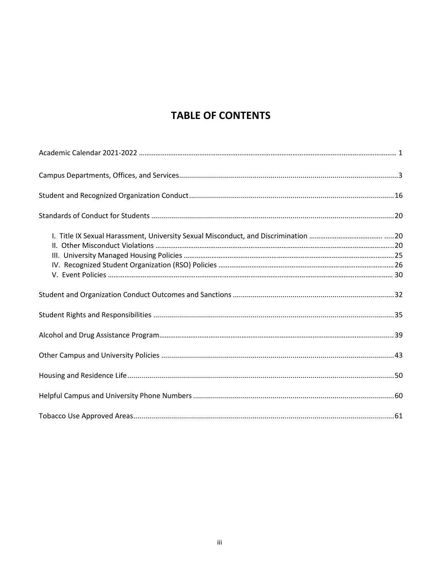## **TABLE OF CONTENTS**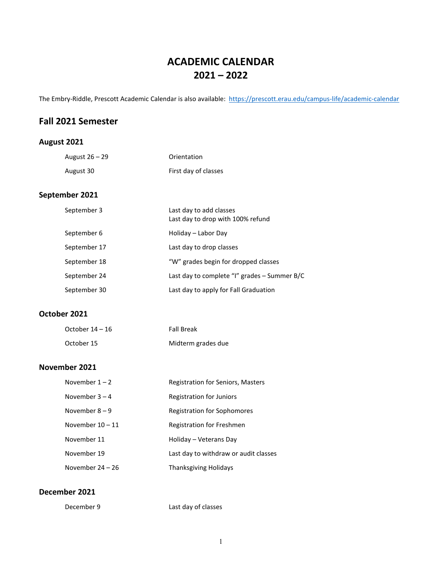## **ACADEMIC CALENDAR 2021 – 2022**

The Embry-Riddle, Prescott Academic Calendar is also available: <https://prescott.erau.edu/campus-life/academic-calendar>

## **Fall 2021 Semester**

### **August 2021**

| August 26 – 29 | Orientation          |
|----------------|----------------------|
| August 30      | First day of classes |
| September 2021 |                      |

| September 3  | Last day to add classes<br>Last day to drop with 100% refund |
|--------------|--------------------------------------------------------------|
| September 6  | Holiday – Labor Day                                          |
| September 17 | Last day to drop classes                                     |
| September 18 | "W" grades begin for dropped classes                         |
| September 24 | Last day to complete "I" grades - Summer B/C                 |
| September 30 | Last day to apply for Fall Graduation                        |

#### **October 2021**

| October $14-16$ | <b>Fall Break</b>  |
|-----------------|--------------------|
| October 15      | Midterm grades due |

### **November 2021**

| November $1 - 2$   | Registration for Seniors, Masters     |
|--------------------|---------------------------------------|
| November $3 - 4$   | Registration for Juniors              |
| November $8 - 9$   | <b>Registration for Sophomores</b>    |
| November $10 - 11$ | Registration for Freshmen             |
| November 11        | Holiday – Veterans Day                |
| November 19        | Last day to withdraw or audit classes |
| November $24 - 26$ | Thanksgiving Holidays                 |

#### **December 2021**

December 9 Last day of classes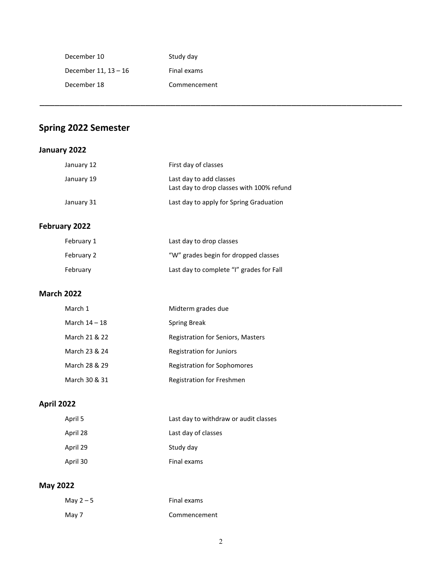| December 10          | Study day    |
|----------------------|--------------|
| December 11, 13 - 16 | Final exams  |
| December 18          | Commencement |

## **Spring 2022 Semester**

## **January 2022**

|                   | January 12    | First day of classes                                                 |
|-------------------|---------------|----------------------------------------------------------------------|
|                   | January 19    | Last day to add classes<br>Last day to drop classes with 100% refund |
|                   | January 31    | Last day to apply for Spring Graduation                              |
|                   | February 2022 |                                                                      |
|                   | February 1    | Last day to drop classes                                             |
|                   | February 2    | "W" grades begin for dropped classes                                 |
|                   | February      | Last day to complete "I" grades for Fall                             |
| <b>March 2022</b> |               |                                                                      |
|                   | March 1       | Midterm grades due                                                   |
|                   | March 14 - 18 | <b>Spring Break</b>                                                  |
|                   | March 21 & 22 | Registration for Seniors, Masters                                    |
|                   | March 23 & 24 | <b>Registration for Juniors</b>                                      |
|                   | March 28 & 29 | <b>Registration for Sophomores</b>                                   |
|                   | March 30 & 31 | Registration for Freshmen                                            |
| <b>April 2022</b> |               |                                                                      |
|                   |               |                                                                      |

\_\_\_\_\_\_\_\_\_\_\_\_\_\_\_\_\_\_\_\_\_\_\_\_\_\_\_\_\_\_\_\_\_\_\_\_\_\_\_\_\_\_\_\_\_\_\_\_\_\_\_\_\_\_\_\_\_\_\_\_\_\_\_\_\_\_\_\_\_\_\_\_

| April 5  | Last day to withdraw or audit classes |
|----------|---------------------------------------|
| April 28 | Last day of classes                   |
| April 29 | Study day                             |
| April 30 | Final exams                           |

## **May 2022**

| May $2-5$ | Final exams  |
|-----------|--------------|
| May 7     | Commencement |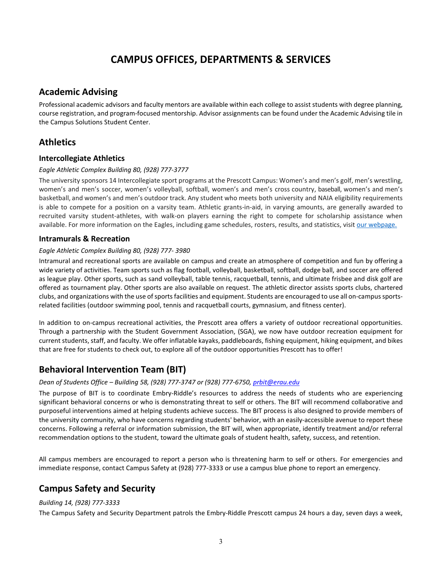## **CAMPUS OFFICES, DEPARTMENTS & SERVICES**

### **Academic Advising**

Professional academic advisors and faculty mentors are available within each college to assist students with degree planning, course registration, and program-focused mentorship. Advisor assignments can be found under the Academic Advising tile in the Campus Solutions Student Center.

## **Athletics**

#### **Intercollegiate Athletics**

#### *Eagle Athletic Complex Building 80, (928) 777-3777*

The university sponsors 14 Intercollegiate sport programs at the Prescott Campus: Women's and men's golf, men's wrestling, women's and men's soccer, women's volleyball, softball, women's and men's cross country, baseball, women's and men's basketball, and women's and men's outdoor track. Any student who meets both university and NAIA eligibility requirements is able to compete for a position on a varsity team. Athletic grants-in-aid, in varying amounts, are generally awarded to recruited varsity student-athletes, with walk-on players earning the right to compete for scholarship assistance when available. For more information on the Eagles, including game schedules, rosters, results, and statistics, visit our [webpage.](http://prescott.embryriddlesports.com/)

#### **Intramurals & Recreation**

#### *Eagle Athletic Complex Building 80, (928) 777- 3980*

Intramural and recreational sports are available on campus and create an atmosphere of competition and fun by offering a wide variety of activities. Team sports such as flag football, volleyball, basketball, softball, dodge ball, and soccer are offered as league play. Other sports, such as sand volleyball, table tennis, racquetball, tennis, and ultimate frisbee and disk golf are offered as tournament play. Other sports are also available on request. The athletic director assists sports clubs, chartered clubs, and organizations with the use of sports facilities and equipment. Students are encouraged to use all on-campus sportsrelated facilities (outdoor swimming pool, tennis and racquetball courts, gymnasium, and fitness center).

In addition to on-campus recreational activities, the Prescott area offers a variety of outdoor recreational opportunities. Through a partnership with the Student Government Association, (SGA), we now have outdoor recreation equipment for current students, staff, and faculty. We offer inflatable kayaks, paddleboards, fishing equipment, hiking equipment, and bikes that are free for students to check out, to explore all of the outdoor opportunities Prescott has to offer!

## **Behavioral Intervention Team (BIT)**

#### *Dean of Students Office – Building 58, (928) 777-3747 or (928) 777-6750, [prbit@erau.edu](mailto:prbit@erau.edu)*

The purpose of BIT is to coordinate Embry-Riddle's resources to address the needs of students who are experiencing significant behavioral concerns or who is demonstrating threat to self or others. The BIT will recommend collaborative and purposeful interventions aimed at helping students achieve success. The BIT process is also designed to provide members of the university community, who have concerns regarding students' behavior, with an easily-accessible avenue to report these concerns. Following a referral or information submission, the BIT will, when appropriate, identify treatment and/or referral recommendation options to the student, toward the ultimate goals of student health, safety, success, and retention.

All campus members are encouraged to report a person who is threatening harm to self or others. For emergencies and immediate response, contact Campus Safety at (928) 777-3333 or use a campus blue phone to report an emergency.

## **Campus Safety and Security**

#### *Building 14, (928) 777-3333*

The Campus Safety and Security Department patrols the Embry-Riddle Prescott campus 24 hours a day, seven days a week,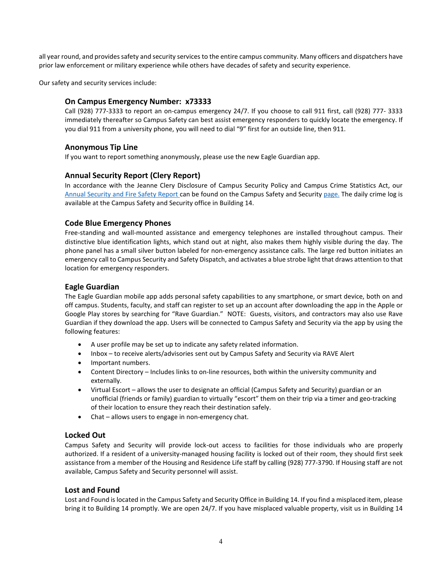all year round, and provides safety and security services to the entire campus community. Many officers and dispatchers have prior law enforcement or military experience while others have decades of safety and security experience.

Our safety and security services include:

#### **On Campus Emergency Number: x73333**

Call (928) 777-3333 to report an on-campus emergency 24/7. If you choose to call 911 first, call (928) 777- 3333 immediately thereafter so Campus Safety can best assist emergency responders to quickly locate the emergency. If you dial 911 from a university phone, you will need to dial "9" first for an outside line, then 911.

#### **Anonymous Tip Line**

If you want to report something anonymously, please use the new Eagle Guardian app.

#### **Annual Security Report (Clery Report)**

In accordance with the Jeanne Clery Disclosure of Campus Security Policy and Campus Crime Statistics Act, our [Annual Security and Fire Safety](http://prescott.erau.edu/Assets/prescott/forms/security/Annual-Security-and-Fire-Safety-Report.pdf) Report can be found on the Campus Safety and Securit[y page.](http://prescott.erau.edu/Assets/prescott/forms/security/Annual-Security-and-Fire-Safety-Report.pdf) The daily crime log is available at the Campus Safety and Security office in Building 14.

#### **Code Blue Emergency Phones**

Free-standing and wall-mounted assistance and emergency telephones are installed throughout campus. Their distinctive blue identification lights, which stand out at night, also makes them highly visible during the day. The phone panel has a small silver button labeled for non-emergency assistance calls. The large red button initiates an emergency call to Campus Security and Safety Dispatch, and activates a blue strobe light that draws attention to that location for emergency responders.

#### **Eagle Guardian**

The Eagle Guardian mobile app adds personal safety capabilities to any smartphone, or smart device, both on and off campus. Students, faculty, and staff can register to set up an account after downloading the app in the Apple or Google Play stores by searching for "Rave Guardian." NOTE: Guests, visitors, and contractors may also use Rave Guardian if they download the app. Users will be connected to Campus Safety and Security via the app by using the following features:

- A user profile may be set up to indicate any safety related information.
- Inbox to receive alerts/advisories sent out by Campus Safety and Security via RAVE Alert
- Important numbers.
- Content Directory Includes links to on-line resources, both within the university community and externally.
- Virtual Escort allows the user to designate an official (Campus Safety and Security) guardian or an unofficial (friends or family) guardian to virtually "escort" them on their trip via a timer and geo-tracking of their location to ensure they reach their destination safely.
- Chat allows users to engage in non-emergency chat.

#### **Locked Out**

Campus Safety and Security will provide lock-out access to facilities for those individuals who are properly authorized. If a resident of a university-managed housing facility is locked out of their room, they should first seek assistance from a member of the Housing and Residence Life staff by calling (928) 777-3790. If Housing staff are not available, Campus Safety and Security personnel will assist.

#### **Lost and Found**

Lost and Found is located in the Campus Safety and Security Office in Building 14. If you find a misplaced item, please bring it to Building 14 promptly. We are open 24/7. If you have misplaced valuable property, visit us in Building 14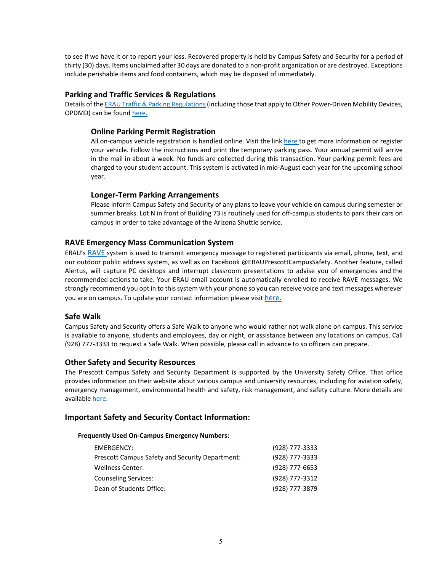to see if we have it or to report your loss. Recovered property is held by Campus Safety and Security for a period of thirty (30) days. Items unclaimed after 30 days are donated to a non-profit organization or are destroyed. Exceptions include perishable items and food containers, which may be disposed of immediately.

#### **Parking and Traffic Services & Regulations**

Details of the ERAU Traffic & Parking Regulations (including those that apply to Other Power-Driven Mobility Devices, OPDMD) can be found [here.](http://prescott.erau.edu/Assets/prescott/forms/traffic-parking-regulations.pdf)

#### **Online Parking Permit Registration**

All on-campus vehicle registration is handled online. Visit the lin[k here t](https://embryriddle.t2hosted.com/cmn/auth_ext.aspx)o get more information or register your vehicle. Follow the instructions and print the temporary parking pass. Your annual permit will arrive in the mail in about a week. No funds are collected during this transaction. Your parking permit fees are charged to your student account. This system is activated in mid-August each year for the upcoming school year.

#### **Longer-Term Parking Arrangements**

Please inform Campus Safety and Security of any plans to leave your vehicle on campus during semester or summer breaks. Lot N in front of Building 73 is routinely used for off-campus students to park their cars on campus in order to take advantage of the Arizona Shuttle service.

#### **RAVE Emergency Mass Communication System**

ERAU's [RAVE s](https://www.getrave.com/manageProfile/profileDashboard.action)ystem is used to transmit emergency message to registered participants via email, phone, text, and our outdoor public address system, as well as on Facebook @ERAUPrescottCampusSafety. Another feature, called Alertus, will capture PC desktops and interrupt classroom presentations to advise you of emergencies and the recommended actions to take. Your ERAU email account is automatically enrolled to receive RAVE messages. We strongly recommend you opt in to this system with your phone so you can receive voice and text messages wherever you are on campus. To update your contact information please visi[t here.](https://www.getrave.com/manageProfile/profileDashboard.action)

#### **Safe Walk**

Campus Safety and Security offers a Safe Walk to anyone who would rather not walk alone on campus. This service is available to anyone, students and employees, day or night, or assistance between any locations on campus. Call (928) 777-3333 to request a Safe Walk. When possible, please call in advance to so officers can prepare.

#### **Other Safety and Security Resources**

The Prescott Campus Safety and Security Department is supported by the University Safety Office. That office provides information on their website about various campus and university resources, including for aviation safety, emergency management, environmental health and safety, risk management, and safety culture. More details are availabl[e here.](https://ernie.erau.edu/Departments/University-Safety-Office/Pages/Default.aspx)

#### **Important Safety and Security Contact Information:**

#### **Frequently Used On-Campus Emergency Numbers:**

| EMERGENCY:                                             | (928) 777-3333 |
|--------------------------------------------------------|----------------|
| <b>Prescott Campus Safety and Security Department:</b> | (928) 777-3333 |
| <b>Wellness Center:</b>                                | (928) 777-6653 |
| <b>Counseling Services:</b>                            | (928) 777-3312 |
| Dean of Students Office:                               | (928) 777-3879 |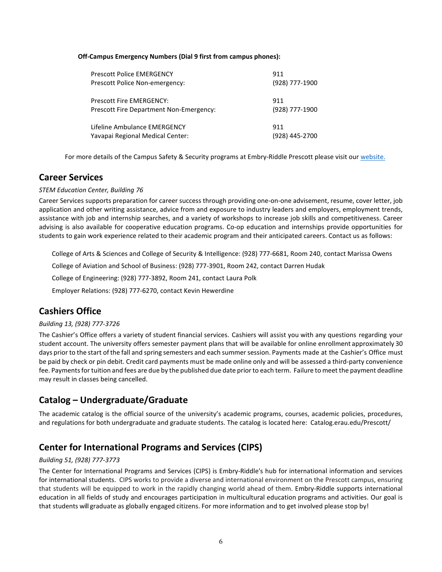#### **Off-Campus Emergency Numbers (Dial 9 first from campus phones):**

| <b>Prescott Police EMERGENCY</b>        | 911            |
|-----------------------------------------|----------------|
| Prescott Police Non-emergency:          | (928) 777-1900 |
| Prescott Fire EMERGENCY:                | 911            |
| Prescott Fire Department Non-Emergency: | (928) 777-1900 |
| Lifeline Ambulance EMERGENCY            | 911            |
| Yavapai Regional Medical Center:        | (928) 445-2700 |

For more details of the Campus Safety & Security programs at Embry-Riddle Prescott please visit ou[r website.](http://prescott.erau.edu/about/security/index.html)

### **Career Services**

#### *STEM Education Center, Building 76*

Career Services supports preparation for career success through providing one-on-one advisement, resume, cover letter, job application and other writing assistance, advice from and exposure to industry leaders and employers, employment trends, assistance with job and internship searches, and a variety of workshops to increase job skills and competitiveness. Career advising is also available for cooperative education programs. Co-op education and internships provide opportunities for students to gain work experience related to their academic program and their anticipated careers. Contact us as follows:

College of Arts & Sciences and College of Security & Intelligence: (928) 777-6681, Room 240, contact Marissa Owens

College of Aviation and School of Business: (928) 777-3901, Room 242, contact Darren Hudak

College of Engineering: (928) 777-3892, Room 241, contact Laura Polk

Employer Relations: (928) 777-6270, contact Kevin Hewerdine

## **Cashiers Office**

#### *Building 13, (928) 777-3726*

The Cashier's Office offers a variety of student financial services. Cashiers will assist you with any questions regarding your student account. The university offers semester payment plans that will be available for online enrollment approximately 30 days prior to the start of the fall and spring semesters and each summer session. Payments made at the Cashier's Office must be paid by check or pin debit. Credit card payments must be made online only and will be assessed a third-party convenience fee. Payments for tuition and fees are due by the published due date prior to each term. Failure to meet the payment deadline may result in classes being cancelled.

### **Catalog – Undergraduate/Graduate**

The academic catalog is the official source of the university's academic programs, courses, academic policies, procedures, and regulations for both undergraduate and graduate students. The catalog is located here: Catalog.erau.edu/Prescott/

### **Center for International Programs and Services (CIPS)**

#### *Building 51, (928) 777-3773*

The Center for International Programs and Services (CIPS) is Embry-Riddle's hub for international information and services for international students. CIPS works to provide a diverse and international environment on the Prescott campus, ensuring that students will be equipped to work in the rapidly changing world ahead of them. Embry-Riddle supports international education in all fields of study and encourages participation in multicultural education programs and activities. Our goal is that students will graduate as globally engaged citizens. For more information and to get involved please stop by!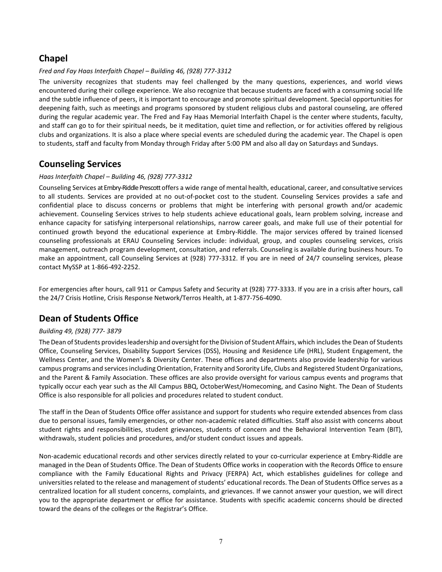## **Chapel**

#### *Fred and Fay Haas Interfaith Chapel – Building 46, (928) 777-3312*

The university recognizes that students may feel challenged by the many questions, experiences, and world views encountered during their college experience. We also recognize that because students are faced with a consuming social life and the subtle influence of peers, it is important to encourage and promote spiritual development. Special opportunities for deepening faith, such as meetings and programs sponsored by student religious clubs and pastoral counseling, are offered during the regular academic year. The Fred and Fay Haas Memorial Interfaith Chapel is the center where students, faculty, and staff can go to for their spiritual needs, be it meditation, quiet time and reflection, or for activities offered by religious clubs and organizations. It is also a place where special events are scheduled during the academic year. The Chapel is open to students, staff and faculty from Monday through Friday after 5:00 PM and also all day on Saturdays and Sundays.

### **Counseling Services**

#### *Haas Interfaith Chapel – Building 46, (928) 777-3312*

Counseling Services at Embry-Riddle Prescott offers a wide range of mental health, educational, career, and consultative services to all students. Services are provided at no out-of-pocket cost to the student. Counseling Services provides a safe and confidential place to discuss concerns or problems that might be interfering with personal growth and/or academic achievement. Counseling Services strives to help students achieve educational goals, learn problem solving, increase and enhance capacity for satisfying interpersonal relationships, narrow career goals, and make full use of their potential for continued growth beyond the educational experience at Embry-Riddle. The major services offered by trained licensed counseling professionals at ERAU Counseling Services include: individual, group, and couples counseling services, crisis management, outreach program development, consultation, and referrals. Counseling is available during business hours. To make an appointment, call Counseling Services at (928) 777-3312. If you are in need of 24/7 counseling services, please contact MySSP at 1-866-492-2252.

For emergencies after hours, call 911 or Campus Safety and Security at (928) 777-3333. If you are in a crisis after hours, call the 24/7 Crisis Hotline, Crisis Response Network/Terros Health, at 1-877-756-4090.

## **Dean of Students Office**

#### *Building 49, (928) 777- 3879*

The Dean of Students provides leadership and oversight for the Division of Student Affairs, which includes the Dean of Students Office, Counseling Services, Disability Support Services (DSS), Housing and Residence Life (HRL), Student Engagement, the Wellness Center, and the Women's & Diversity Center. These offices and departments also provide leadership for various campus programs and services including Orientation, Fraternity and Sorority Life, Clubs and Registered Student Organizations, and the Parent & Family Association. These offices are also provide oversight for various campus events and programs that typically occur each year such as the All Campus BBQ, OctoberWest/Homecoming, and Casino Night. The Dean of Students Office is also responsible for all policies and procedures related to student conduct.

The staff in the Dean of Students Office offer assistance and support for students who require extended absences from class due to personal issues, family emergencies, or other non-academic related difficulties. Staff also assist with concerns about student rights and responsibilities, student grievances, students of concern and the Behavioral Intervention Team (BIT), withdrawals, student policies and procedures, and/or student conduct issues and appeals.

Non-academic educational records and other services directly related to your co-curricular experience at Embry-Riddle are managed in the Dean of Students Office. The Dean of Students Office works in cooperation with the Records Office to ensure compliance with the Family Educational Rights and Privacy (FERPA) Act, which establishes guidelines for college and universities related to the release and management of students' educational records. The Dean of Students Office serves as a centralized location for all student concerns, complaints, and grievances. If we cannot answer your question, we will direct you to the appropriate department or office for assistance. Students with specific academic concerns should be directed toward the deans of the colleges or the Registrar's Office.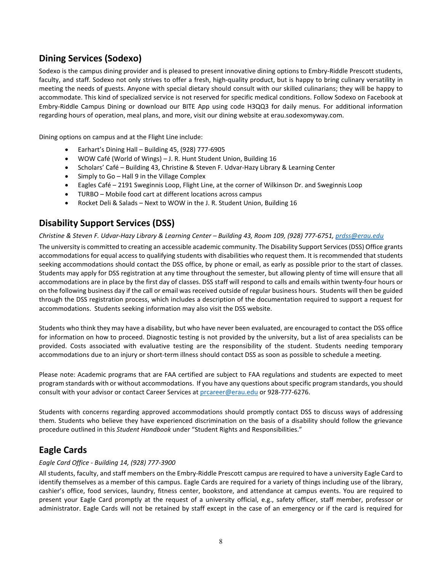## **Dining Services (Sodexo)**

Sodexo is the campus dining provider and is pleased to present innovative dining options to Embry-Riddle Prescott students, faculty, and staff. Sodexo not only strives to offer a fresh, high-quality product, but is happy to bring culinary versatility in meeting the needs of guests. Anyone with special dietary should consult with our skilled culinarians; they will be happy to accommodate. This kind of specialized service is not reserved for specific medical conditions. Follow Sodexo on Facebook at Embry-Riddle Campus Dining or download our BITE App using code H3QQ3 for daily menus. For additional information regarding hours of operation, meal plans, and more, visit our dining website at erau.sodexomyway.com.

Dining options on campus and at the Flight Line include:

- Earhart's Dining Hall Building 45, (928) 777-6905
- WOW Café (World of Wings) J. R. Hunt Student Union, Building 16
- Scholars' Café Building 43, Christine & Steven F. Udvar-Hazy Library & Learning Center
- Simply to Go Hall 9 in the Village Complex
- Eagles Café 2191 Sweginnis Loop, Flight Line, at the corner of Wilkinson Dr. and Sweginnis Loop
- TURBO Mobile food cart at different locations across campus
- Rocket Deli & Salads Next to WOW in the J. R. Student Union, Building 16

## **Disability Support Services (DSS)**

#### *Christine & Steven F. Udvar-Hazy Library & Learning Center – Building 43, Room 109, (928) 777-6751, [prdss@erau.edu](mailto:prdss@erau.edu)*

The university is committed to creating an accessible academic community. The Disability Support Services (DSS) Office grants accommodations for equal access to qualifying students with disabilities who request them. It is recommended that students seeking accommodations should contact the DSS office, by phone or email, as early as possible prior to the start of classes. Students may apply for DSS registration at any time throughout the semester, but allowing plenty of time will ensure that all accommodations are in place by the first day of classes. DSS staff will respond to calls and emails within twenty-four hours or on the following business day if the call or email was received outside of regular business hours. Students will then be guided through the DSS registration process, which includes a description of the documentation required to support a request for accommodations. Students seeking information may also visit the DSS website.

Students who think they may have a disability, but who have never been evaluated, are encouraged to contact the DSS office for information on how to proceed. Diagnostic testing is not provided by the university, but a list of area specialists can be provided. Costs associated with evaluative testing are the responsibility of the student. Students needing temporary accommodations due to an injury or short-term illness should contact DSS as soon as possible to schedule a meeting.

Please note: Academic programs that are FAA certified are subject to FAA regulations and students are expected to meet program standards with or without accommodations. If you have any questions about specific program standards, you should consult with your advisor or contact Career Services a[t prcareer@erau.edu](mailto:prcareer@erau.edu) or 928-777-6276.

Students with concerns regarding approved accommodations should promptly contact DSS to discuss ways of addressing them. Students who believe they have experienced discrimination on the basis of a disability should follow the grievance procedure outlined in this *Student Handbook* under "Student Rights and Responsibilities."

## **Eagle Cards**

#### *Eagle Card Office - Building 14, (928) 777-3900*

All students, faculty, and staff members on the Embry-Riddle Prescott campus are required to have a university Eagle Card to identify themselves as a member of this campus. Eagle Cards are required for a variety of things including use of the library, cashier's office, food services, laundry, fitness center, bookstore, and attendance at campus events. You are required to present your Eagle Card promptly at the request of a university official, e.g., safety officer, staff member, professor or administrator. Eagle Cards will not be retained by staff except in the case of an emergency or if the card is required for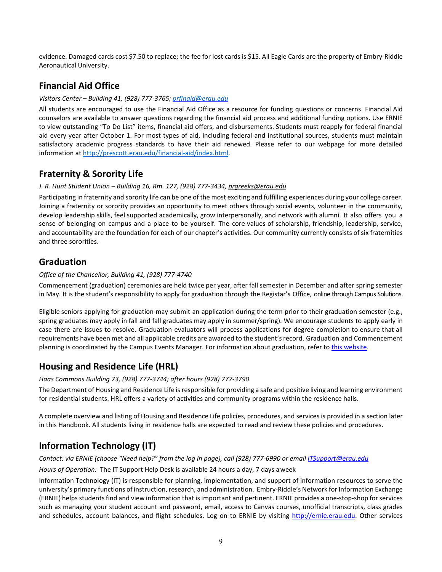evidence. Damaged cards cost \$7.50 to replace; the fee for lost cards is \$15. All Eagle Cards are the property of Embry-Riddle Aeronautical University.

## **Financial Aid Office**

#### *Visitors Center – Building 41, (928) 777-3765[; prfinaid@erau.edu](mailto:prfinaid@erau.edu)*

All students are encouraged to use the Financial Aid Office as a resource for funding questions or concerns. Financial Aid counselors are available to answer questions regarding the financial aid process and additional funding options. Use ERNIE to view outstanding "To Do List" items, financial aid offers, and disbursements. Students must reapply for federal financial aid every year after October 1. For most types of aid, including federal and institutional sources, students must maintain satisfactory academic progress standards to have their aid renewed. Please refer to our webpage for more detailed information at [http://prescott.erau.edu/financial-aid/index.html.](http://prescott.erau.edu/financial-aid/index.html)

## **Fraternity & Sorority Life**

#### *J. R. Hunt Student Union – Building 16, Rm. 127, (928) 777-3434[, prgreeks@erau.edu](mailto:prgreeks@erau.edu)*

Participating in fraternity and sorority life can be one of the most exciting and fulfilling experiences during your college career. Joining a fraternity or sorority provides an opportunity to meet others through social events, volunteer in the community, develop leadership skills, feel supported academically, grow interpersonally, and network with alumni. It also offers you a sense of belonging on campus and a place to be yourself. The core values of scholarship, friendship, leadership, service, and accountability are the foundation for each of our chapter's activities. Our community currently consists of six fraternities and three sororities.

## **Graduation**

#### *Office of the Chancellor, Building 41, (928) 777-4740*

Commencement (graduation) ceremonies are held twice per year, after fall semester in December and after spring semester in May. It is the student's responsibility to apply for graduation through the Registar's Office, online through Campus Solutions.

Eligible seniors applying for graduation may submit an application during the term prior to their graduation semester (e.g., spring graduates may apply in fall and fall graduates may apply in summer/spring). We encourage students to apply early in case there are issues to resolve. Graduation evaluators will process applications for degree completion to ensure that all requirements have been met and all applicable credits are awarded to the student'srecord. Graduation and Commencement planning is coordinated by the Campus Events Manager. For information about graduation, refer to this [website.](http://prescott.erau.edu/campus-life/graduation/index.html)

## **Housing and Residence Life (HRL)**

#### *Haas Commons Building 73, (928) 777-3744; after hours (928) 777-3790*

The Department of Housing and Residence Life is responsible for providing a safe and positive living and learning environment for residential students. HRL offers a variety of activities and community programs within the residence halls.

A complete overview and listing of Housing and Residence Life policies, procedures, and services is provided in a section later in this Handbook. All students living in residence halls are expected to read and review these policies and procedures.

## **Information Technology (IT)**

#### *Contact: via ERNIE (choose "Need help?" from the log in page), call (928) 777-6990 or emai[l ITSupport@erau.edu](mailto:ITSupport@erau.edu)*

*Hours of Operation:* The IT Support Help Desk is available 24 hours a day, 7 days aweek

Information Technology (IT) is responsible for planning, implementation, and support of information resources to serve the university's primary functions of instruction, research, and administration. Embry-Riddle's Network for Information Exchange (ERNIE) helps students find and view information that is important and pertinent. ERNIE provides a one-stop-shop for services such as managing your student account and password, email, access to Canvas courses, unofficial transcripts, class grades and schedules, account balances, and flight schedules. Log on to ERNIE by visiting [http://ernie.erau.edu. O](http://ernie.erau.edu/)ther services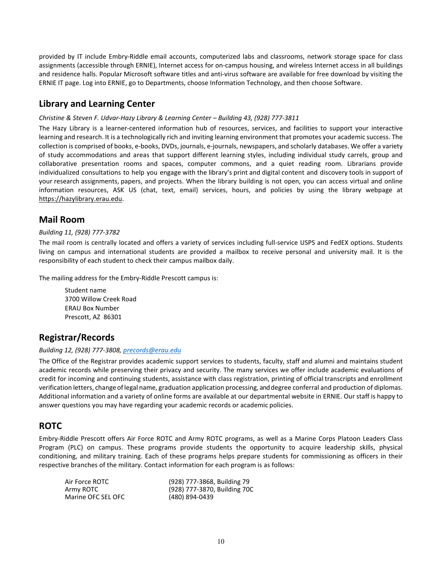provided by IT include Embry-Riddle email accounts, computerized labs and classrooms, network storage space for class assignments (accessible through ERNIE), Internet access for on-campus housing, and wireless Internet access in all buildings and residence halls. Popular Microsoft software titles and anti-virus software are available for free download by visiting the ERNIE IT page. Log into ERNIE, go to Departments, choose Information Technology, and then choose Software.

## **Library and Learning Center**

#### *Christine & Steven F. Udvar-Hazy Library & Learning Center – Building 43, (928) 777-3811*

The Hazy Library is a learner-centered information hub of resources, services, and facilities to support your interactive learning and research. It is a technologically rich and inviting learning environment that promotes your academic success. The collection is comprised of books, e-books, DVDs, journals, e-journals, newspapers, and scholarly databases. We offer a variety of study accommodations and areas that support different learning styles, including individual study carrels, group and collaborative presentation rooms and spaces, computer commons, and a quiet reading room. Librarians provide individualized consultations to help you engage with the library's print and digital content and discovery tools in support of your research assignments, papers, and projects. When the library building is not open, you can access virtual and online information resources, ASK US (chat, text, email) services, hours, and policies by using the library webpage at https://hazylibrary.erau.edu.

### **Mail Room**

#### *Building 11, (928) 777-3782*

The mail room is centrally located and offers a variety of services including full-service USPS and FedEX options. Students living on campus and international students are provided a mailbox to receive personal and university mail. It is the responsibility of each student to check their campus mailbox daily.

The mailing address for the Embry-Riddle Prescott campus is:

Student name 3700 Willow Creek Road ERAU Box Number Prescott, AZ 86301

## **Registrar/Records**

#### *Building 12, (928) 777-3808, [precords@erau.edu](mailto:precords@erau.edu)*

The Office of the Registrar provides academic support services to students, faculty, staff and alumni and maintains student academic records while preserving their privacy and security. The many services we offer include academic evaluations of credit for incoming and continuing students, assistance with class registration, printing of official transcripts and enrollment verification letters, changeof legal name, graduation application processing, and degree conferral and production of diplomas. Additional information and a variety of online forms are available at our departmental website in ERNIE. Our staff is happy to answer questions you may have regarding your academic records or academic policies.

## **ROTC**

Embry-Riddle Prescott offers Air Force ROTC and Army ROTC programs, as well as a Marine Corps Platoon Leaders Class Program (PLC) on campus. These programs provide students the opportunity to acquire leadership skills, physical conditioning, and military training. Each of these programs helps prepare students for commissioning as officers in their respective branches of the military. Contact information for each program is as follows:

| Air Force ROTC     | (928) 777-3868, Building 79  |
|--------------------|------------------------------|
| Army ROTC          | (928) 777-3870, Building 70C |
| Marine OFC SEL OFC | (480) 894-0439               |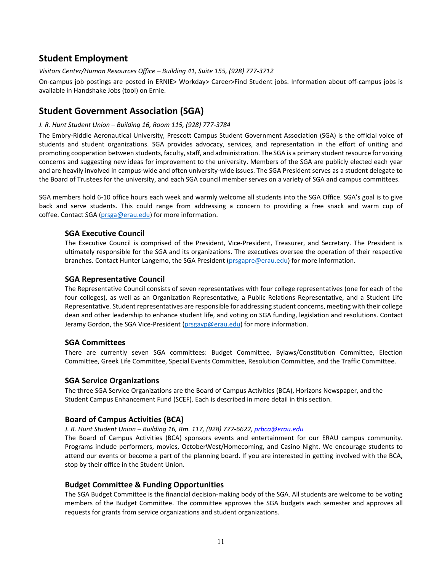## **Student Employment**

*Visitors Center/Human Resources Office – Building 41, Suite 155, (928) 777-3712*

On-campus job postings are posted in ERNIE> Workday> Career>Find Student jobs. Information about off-campus jobs is available in Handshake Jobs (tool) on Ernie.

### **Student Government Association (SGA)**

#### *J. R. Hunt Student Union – Building 16, Room 115, (928) 777-3784*

The Embry-Riddle Aeronautical University, Prescott Campus Student Government Association (SGA) is the official voice of students and student organizations. SGA provides advocacy, services, and representation in the effort of uniting and promoting cooperation between students, faculty, staff, and administration. The SGA is a primary student resource for voicing concerns and suggesting new ideas for improvement to the university. Members of the SGA are publicly elected each year and are heavily involved in campus-wide and often university-wide issues. The SGA President serves as a student delegate to the Board of Trustees for the university, and each SGA council member serves on a variety of SGA and campus committees.

SGA members hold 6-10 office hours each week and warmly welcome all students into the SGA Office. SGA's goal is to give back and serve students. This could range from addressing a concern to providing a free snack and warm cup of coffee. Contact SGA [\(prsga@erau.edu\)](mailto:prsga@erau.edu) for more information.

#### **SGA Executive Council**

The Executive Council is comprised of the President, Vice-President, Treasurer, and Secretary. The President is ultimately responsible for the SGA and its organizations. The executives oversee the operation of their respective branches. Contact Hunter Langemo, the SGA President [\(prsgapre@erau.edu\)](mailto:prsgapre@erau.edu) for more information.

#### **SGA Representative Council**

The Representative Council consists of seven representatives with four college representatives (one for each of the four colleges), as well as an Organization Representative, a Public Relations Representative, and a Student Life Representative. Student representatives are responsible for addressing student concerns, meeting with their college dean and other leadership to enhance student life, and voting on SGA funding, legislation and resolutions. Contact Jeramy Gordon, the SGA Vice-President [\(prsgavp@erau.edu\)](mailto:prsgavp@erau.edu) for more information.

#### **SGA Committees**

There are currently seven SGA committees: Budget Committee, Bylaws/Constitution Committee, Election Committee, Greek Life Committee, Special Events Committee, Resolution Committee, and the Traffic Committee.

#### **SGA Service Organizations**

The three SGA Service Organizations are the Board of Campus Activities (BCA), Horizons Newspaper, and the Student Campus Enhancement Fund (SCEF). Each is described in more detail in this section.

#### **Board of Campus Activities (BCA)**

*J. R. Hunt Student Union – Building 16, Rm. 117, (928) 777-6622, prbca@erau.edu* 

The Board of Campus Activities (BCA) sponsors events and entertainment for our ERAU campus community. Programs include performers, movies, OctoberWest/Homecoming, and Casino Night. We encourage students to attend our events or become a part of the planning board. If you are interested in getting involved with the BCA, stop by their office in the Student Union.

#### **Budget Committee & Funding Opportunities**

The SGA Budget Committee is the financial decision-making body of the SGA. All students are welcome to be voting members of the Budget Committee. The committee approves the SGA budgets each semester and approves all requests for grants from service organizations and student organizations.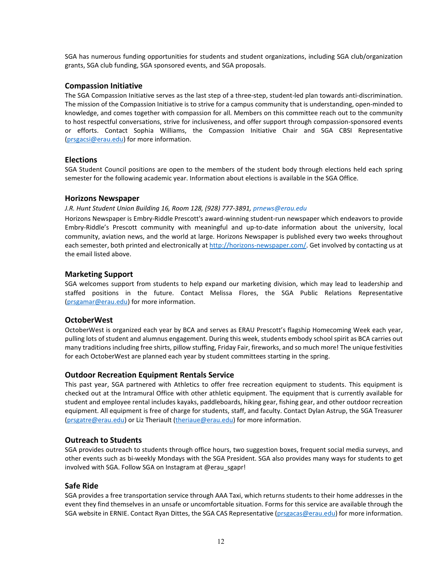SGA has numerous funding opportunities for students and student organizations, including SGA club/organization grants, SGA club funding, SGA sponsored events, and SGA proposals.

#### **Compassion Initiative**

The SGA Compassion Initiative serves as the last step of a three-step, student-led plan towards anti-discrimination. The mission of the Compassion Initiative is to strive for a campus community that is understanding, open-minded to knowledge, and comes together with compassion for all. Members on this committee reach out to the community to host respectful conversations, strive for inclusiveness, and offer support through compassion-sponsored events or efforts. Contact Sophia Williams, the Compassion Initiative Chair and SGA CBSI Representative [\(prsgacsi@erau.edu\)](mailto:prsgacsi@erau.edu) for more information.

#### **Elections**

SGA Student Council positions are open to the members of the student body through elections held each spring semester for the following academic year. Information about elections is available in the SGA Office.

#### **Horizons Newspaper**

#### *J.R. Hunt Student Union Building 16, Room 128, (928) 777-3891, prnews@erau.edu*

Horizons Newspaper is Embry-Riddle Prescott's award-winning student-run newspaper which endeavors to provide Embry-Riddle's Prescott community with meaningful and up-to-date information about the university, local community, aviation news, and the world at large. Horizons Newspaper is published every two weeks throughout each semester, both printed and electronically a[t http://horizons-newspaper.com/.](http://horizons-newspaper.com/) Get involved by contacting us at the email listed above.

#### **Marketing Support**

SGA welcomes support from students to help expand our marketing division, which may lead to leadership and staffed positions in the future. Contact Melissa Flores, the SGA Public Relations Representative [\(prsgamar@erau.edu\)](mailto:prsgamar@erau.edu) for more information.

#### **OctoberWest**

OctoberWest is organized each year by BCA and serves as ERAU Prescott's flagship Homecoming Week each year, pulling lots of student and alumnus engagement. During this week, students embody school spirit as BCA carries out many traditions including free shirts, pillow stuffing, Friday Fair, fireworks, and so much more! The unique festivities for each OctoberWest are planned each year by student committees starting in the spring.

#### **Outdoor Recreation Equipment Rentals Service**

This past year, SGA partnered with Athletics to offer free recreation equipment to students. This equipment is checked out at the Intramural Office with other athletic equipment. The equipment that is currently available for student and employee rental includes kayaks, paddleboards, hiking gear, fishing gear, and other outdoor recreation equipment. All equipment is free of charge for students, staff, and faculty. Contact Dylan Astrup, the SGA Treasurer [\(prsgatre@erau.edu\)](mailto:prsgatre@erau.edu) or Liz Theriault [\(theriaue@erau.edu\)](mailto:theriaue@erau.edu) for more information.

#### **Outreach to Students**

SGA provides outreach to students through office hours, two suggestion boxes, frequent social media surveys, and other events such as bi-weekly Mondays with the SGA President. SGA also provides many ways for students to get involved with SGA. Follow SGA on Instagram at @erau\_sgapr!

#### **Safe Ride**

SGA provides a free transportation service through AAA Taxi, which returns students to their home addresses in the event they find themselves in an unsafe or uncomfortable situation. Forms for this service are available through the SGA website in ERNIE. Contact Ryan Dittes, the SGA CAS Representative [\(prsgacas@erau.edu\)](mailto:prsgacas@erau.edu) for more information.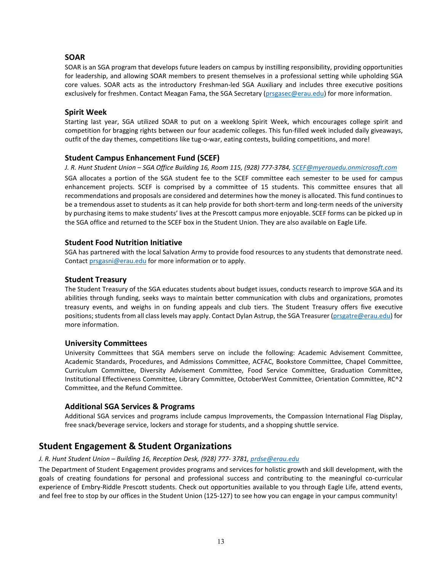#### **SOAR**

SOAR is an SGA program that develops future leaders on campus by instilling responsibility, providing opportunities for leadership, and allowing SOAR members to present themselves in a professional setting while upholding SGA core values. SOAR acts as the introductory Freshman-led SGA Auxiliary and includes three executive positions exclusively for freshmen. Contact Meagan Fama, the SGA Secretary [\(prsgasec@erau.edu\)](mailto:prsgasec@erau.edu) for more information.

#### **Spirit Week**

Starting last year, SGA utilized SOAR to put on a weeklong Spirit Week, which encourages college spirit and competition for bragging rights between our four academic colleges. This fun-filled week included daily giveaways, outfit of the day themes, competitions like tug-o-war, eating contests, building competitions, and more!

#### **Student Campus Enhancement Fund (SCEF)**

*J. R. Hunt Student Union – SGA Office Building 16, Room 115, (928) 777-3784, [SCEF@myerauedu.onmicrosoft.com](mailto:SCEF@myerauedu.onmicrosoft.com)* SGA allocates a portion of the SGA student fee to the SCEF committee each semester to be used for campus enhancement projects. SCEF is comprised by a committee of 15 students. This committee ensures that all recommendations and proposals are considered and determines how the money is allocated. This fund continues to be a tremendous asset to students as it can help provide for both short-term and long-term needs of the university by purchasing items to make students' lives at the Prescott campus more enjoyable. SCEF forms can be picked up in the SGA office and returned to the SCEF box in the Student Union. They are also available on Eagle Life.

#### **Student Food Nutrition Initiative**

SGA has partnered with the local Salvation Army to provide food resources to any students that demonstrate need. Contact [prsgasni@erau.edu](mailto:prsgasni@erau.edu) for more information or to apply.

#### **Student Treasury**

The Student Treasury of the SGA educates students about budget issues, conducts research to improve SGA and its abilities through funding, seeks ways to maintain better communication with clubs and organizations, promotes treasury events, and weighs in on funding appeals and club tiers. The Student Treasury offers five executive positions; students from all class levels may apply. Contact Dylan Astrup, the SGA Treasurer [\(prsgatre@erau.edu\)](mailto:prsgatre@erau.edu) for more information.

#### **University Committees**

University Committees that SGA members serve on include the following: Academic Advisement Committee, Academic Standards, Procedures, and Admissions Committee, ACFAC, Bookstore Committee, Chapel Committee, Curriculum Committee, Diversity Advisement Committee, Food Service Committee, Graduation Committee, Institutional Effectiveness Committee, Library Committee, OctoberWest Committee, Orientation Committee, RC^2 Committee, and the Refund Committee.

#### **Additional SGA Services & Programs**

Additional SGA services and programs include campus Improvements, the Compassion International Flag Display, free snack/beverage service, lockers and storage for students, and a shopping shuttle service.

### **Student Engagement & Student Organizations**

#### *J. R. Hunt Student Union – Building 16, Reception Desk, (928) 777- 3781, [prdse@erau.edu](mailto:prdse@erau.edu)*

The Department of Student Engagement provides programs and services for holistic growth and skill development, with the goals of creating foundations for personal and professional success and contributing to the meaningful co-curricular experience of Embry-Riddle Prescott students. Check out opportunities available to you through Eagle Life, attend events, and feel free to stop by our offices in the Student Union (125-127) to see how you can engage in your campus community!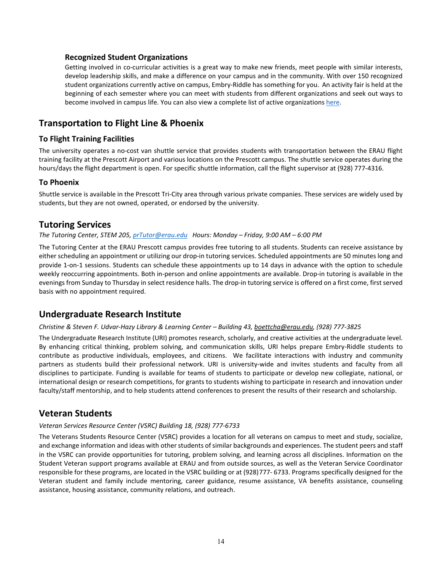#### **Recognized Student Organizations**

Getting involved in co-curricular activities is a great way to make new friends, meet people with similar interests, develop leadership skills, and make a difference on your campus and in the community. With over 150 recognized student organizations currently active on campus, Embry-Riddle has something for you. An activity fair is held at the beginning of each semester where you can meet with students from different organizations and seek out ways to become involved in campus life. You can also view a complete list of active organizations [here.](https://eaglelife.erau.edu/club_signup)

### **Transportation to Flight Line & Phoenix**

#### **To Flight Training Facilities**

The university operates a no-cost van shuttle service that provides students with transportation between the ERAU flight training facility at the Prescott Airport and various locations on the Prescott campus. The shuttle service operates during the hours/days the flight department is open. For specific shuttle information, call the flight supervisor at (928) 777-4316.

#### **To Phoenix**

Shuttle service is available in the Prescott Tri-City area through various private companies. These services are widely used by students, but they are not owned, operated, or endorsed by the university.

#### **Tutoring Services**

#### *The Tutoring Center, STEM 205[, prTutor@erau.edu](mailto:prTutor@erau.edu) Hours: Monday – Friday, 9:00 AM – 6:00 PM*

The Tutoring Center at the ERAU Prescott campus provides free tutoring to all students. Students can receive assistance by either scheduling an appointment or utilizing our drop-in tutoring services. Scheduled appointments are 50 minutes long and provide 1-on-1 sessions. Students can schedule these appointments up to 14 days in advance with the option to schedule weekly reoccurring appointments. Both in-person and online appointments are available. Drop-in tutoring is available in the evenings from Sunday to Thursday in select residence halls. The drop-in tutoring service is offered on a first come, first served basis with no appointment required.

### **Undergraduate Research Institute**

#### *Christine & Steven F. Udvar-Hazy Library & Learning Center – Building 43[, boettcha@erau.edu, \(](mailto:boettcha@erau.edu)928) 777-3825*

The Undergraduate Research Institute (URI) promotes research, scholarly, and creative activities at the undergraduate level. By enhancing critical thinking, problem solving, and communication skills, URI helps prepare Embry-Riddle students to contribute as productive individuals, employees, and citizens. We facilitate interactions with industry and community partners as students build their professional network. URI is university-wide and invites students and faculty from all disciplines to participate. Funding is available for teams of students to participate or develop new collegiate, national, or international design or research competitions, for grants to students wishing to participate in research and innovation under faculty/staff mentorship, and to help students attend conferences to present the results of their research and scholarship.

### **Veteran Students**

#### *Veteran Services Resource Center (VSRC) Building 18, (928) 777-6733*

The Veterans Students Resource Center (VSRC) provides a location for all veterans on campus to meet and study, socialize, and exchange information and ideas with other students of similar backgrounds and experiences. The student peers and staff in the VSRC can provide opportunities for tutoring, problem solving, and learning across all disciplines. Information on the Student Veteran support programs available at ERAU and from outside sources, as well as the Veteran Service Coordinator responsible for these programs, are located in the VSRC building or at (928)777- 6733. Programs specifically designed for the Veteran student and family include mentoring, career guidance, resume assistance, VA benefits assistance, counseling assistance, housing assistance, community relations, and outreach.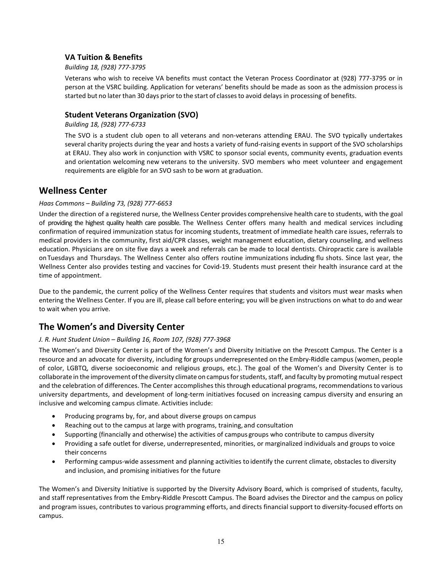### **VA Tuition & Benefits**

#### *Building 18, (928) 777-3795*

Veterans who wish to receive VA benefits must contact the Veteran Process Coordinator at (928) 777-3795 or in person at the VSRC building. Application for veterans' benefits should be made as soon as the admission processis started but no later than 30 days prior to the start of classesto avoid delays in processing of benefits.

#### **Student Veterans Organization (SVO)**

#### *Building 18, (928) 777-6733*

The SVO is a student club open to all veterans and non-veterans attending ERAU. The SVO typically undertakes several charity projects during the year and hosts a variety of fund-raising events in support of the SVO scholarships at ERAU. They also work in conjunction with VSRC to sponsor social events, community events, graduation events and orientation welcoming new veterans to the university. SVO members who meet volunteer and engagement requirements are eligible for an SVO sash to be worn at graduation.

### **Wellness Center**

#### *Haas Commons – Building 73, (928) 777-6653*

Under the direction of a registered nurse, the Wellness Center provides comprehensive health care to students, with the goal of providing the highest quality health care possible. The Wellness Center offers many health and medical services including confirmation of required immunization status for incoming students, treatment of immediate health care issues, referrals to medical providers in the community, first aid/CPR classes, weight management education, dietary counseling, and wellness education. Physicians are on site five days a week and referrals can be made to local dentists. Chiropractic care is available onTuesdays and Thursdays. The Wellness Center also offers routine immunizations including flu shots. Since last year, the Wellness Center also provides testing and vaccines for Covid-19. Students must present their health insurance card at the time of appointment.

Due to the pandemic, the current policy of the Wellness Center requires that students and visitors must wear masks when entering the Wellness Center. If you are ill, please call before entering; you will be given instructions on what to do and wear to wait when you arrive.

## **The Women's and Diversity Center**

#### *J. R. Hunt Student Union – Building 16, Room 107, (928) 777-3968*

The Women's and Diversity Center is part of the Women's and Diversity Initiative on the Prescott Campus. The Center is a resource and an advocate for diversity, including for groups underrepresented on the Embry-Riddle campus (women, people of color, LGBTQ, diverse socioeconomic and religious groups, etc.). The goal of the Women's and Diversity Center is to collaborate in the improvement ofthediversity climate on campusforstudents, staff, and faculty by promoting mutual respect and the celebration of differences. The Center accomplishes this through educational programs, recommendations to various university departments, and development of long-term initiatives focused on increasing campus diversity and ensuring an inclusive and welcoming campus climate. Activities include:

- Producing programs by, for, and about diverse groups on campus
- Reaching out to the campus at large with programs, training, and consultation
- Supporting (financially and otherwise) the activities of campus groups who contribute to campus diversity
- Providing a safe outlet for diverse, underrepresented, minorities, or marginalized individuals and groups to voice their concerns
- Performing campus-wide assessment and planning activities to identify the current climate, obstacles to diversity and inclusion, and promising initiatives for the future

The Women's and Diversity Initiative is supported by the Diversity Advisory Board, which is comprised of students, faculty, and staff representatives from the Embry-Riddle Prescott Campus. The Board advises the Director and the campus on policy and program issues, contributes to various programming efforts, and directs financial support to diversity-focused efforts on campus.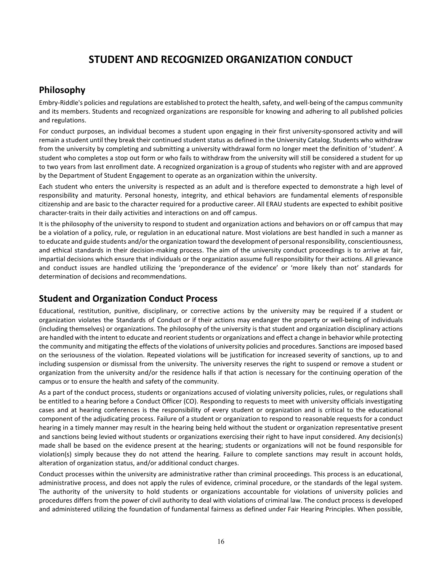## **STUDENT AND RECOGNIZED ORGANIZATION CONDUCT**

### **Philosophy**

Embry-Riddle's policies and regulations are established to protect the health, safety, and well-being of the campus community and its members. Students and recognized organizations are responsible for knowing and adhering to all published policies and regulations.

For conduct purposes, an individual becomes a student upon engaging in their first university-sponsored activity and will remain a student until they break their continued student status as defined in the University Catalog. Students who withdraw from the university by completing and submitting a university withdrawal form no longer meet the definition of 'student'. A student who completes a stop out form or who fails to withdraw from the university will still be considered a student for up to two years from last enrollment date. A recognized organization is a group of students who register with and are approved by the Department of Student Engagement to operate as an organization within the university.

Each student who enters the university is respected as an adult and is therefore expected to demonstrate a high level of responsibility and maturity. Personal honesty, integrity, and ethical behaviors are fundamental elements ofresponsible citizenship and are basic to the character required for a productive career. All ERAU students are expected to exhibit positive character-traits in their daily activities and interactions on and off campus.

It is the philosophy of the university to respond to student and organization actions and behaviors on or off campus that may be a violation of a policy, rule, or regulation in an educational nature. Most violations are best handled in such a manner as to educate and guide students and/or the organization toward the development of personal responsibility, conscientiousness, and ethical standards in their decision-making process. The aim of the university conduct proceedings is to arrive at fair, impartial decisions which ensure that individuals or the organization assume full responsibility for their actions. All grievance and conduct issues are handled utilizing the 'preponderance of the evidence' or 'more likely than not' standards for determination of decisions and recommendations.

## **Student and Organization Conduct Process**

Educational, restitution, punitive, disciplinary, or corrective actions by the university may be required if a student or organization violates the Standards of Conduct or if their actions may endanger the property or well-being of individuals (including themselves) or organizations. The philosophy of the university is that student and organization disciplinary actions are handled with the intent to educate and reorient students or organizations and effect a change in behavior while protecting the community and mitigating the effects of the violations of university policies and procedures. Sanctions are imposed based on the seriousness of the violation. Repeated violations will be justification for increased severity of sanctions, up to and including suspension or dismissal from the university. The university reserves the right to suspend or remove a student or organization from the university and/or the residence halls if that action is necessary for the continuing operation of the campus or to ensure the health and safety of the community.

As a part of the conduct process, students or organizations accused of violating university policies, rules, or regulations shall be entitled to a hearing before a Conduct Officer (CO). Responding to requests to meet with university officials investigating cases and at hearing conferences is the responsibility of every student or organization and is critical to the educational component of the adjudicating process. Failure of a student or organization to respond to reasonable requests for a conduct hearing in a timely manner may result in the hearing being held without the student or organization representative present and sanctions being levied without students or organizations exercising their right to have input considered. Any decision(s) made shall be based on the evidence present at the hearing; students or organizations will not be found responsible for violation(s) simply because they do not attend the hearing. Failure to complete sanctions may result in account holds, alteration of organization status, and/or additional conduct charges.

Conduct processes within the university are administrative rather than criminal proceedings. This process is an educational, administrative process, and does not apply the rules of evidence, criminal procedure, or the standards of the legal system. The authority of the university to hold students or organizations accountable for violations of university policies and procedures differs from the power of civil authority to deal with violations of criminal law. The conduct process is developed and administered utilizing the foundation of fundamental fairness as defined under Fair Hearing Principles. When possible,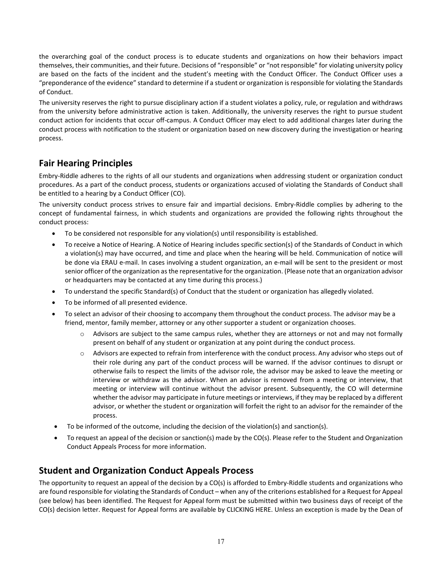the overarching goal of the conduct process is to educate students and organizations on how their behaviors impact themselves, their communities, and their future. Decisions of "responsible" or "not responsible" for violating university policy are based on the facts of the incident and the student's meeting with the Conduct Officer. The Conduct Officer uses a "preponderance of the evidence" standard to determine if a student or organization is responsible for violating the Standards of Conduct.

The university reserves the right to pursue disciplinary action if a student violates a policy, rule, or regulation and withdraws from the university before administrative action is taken. Additionally, the university reserves the right to pursue student conduct action for incidents that occur off-campus. A Conduct Officer may elect to add additional charges later during the conduct process with notification to the student or organization based on new discovery during the investigation or hearing process.

## **Fair Hearing Principles**

Embry-Riddle adheres to the rights of all our students and organizations when addressing student or organization conduct procedures. As a part of the conduct process, students or organizations accused of violating the Standards of Conduct shall be entitled to a hearing by a Conduct Officer (CO).

The university conduct process strives to ensure fair and impartial decisions. Embry-Riddle complies by adhering to the concept of fundamental fairness, in which students and organizations are provided the following rights throughout the conduct process:

- To be considered not responsible for any violation(s) until responsibility is established.
- To receive a Notice of Hearing. A Notice of Hearing includes specific section(s) of the Standards of Conduct in which a violation(s) may have occurred, and time and place when the hearing will be held. Communication of notice will be done via ERAU e-mail. In cases involving a student organization, an e-mail will be sent to the president or most senior officer of the organization as the representative for the organization. (Please note that an organization advisor or headquarters may be contacted at any time during this process.)
- To understand the specific Standard(s) of Conduct that the student or organization has allegedly violated.
- To be informed of all presented evidence.
- To select an advisor of their choosing to accompany them throughout the conduct process. The advisor may be a friend, mentor, family member, attorney or any other supporter a student or organization chooses.
	- Advisors are subject to the same campus rules, whether they are attorneys or not and may not formally present on behalf of any student or organization at any point during the conduct process.
	- o Advisors are expected to refrain from interference with the conduct process. Any advisor who steps out of their role during any part of the conduct process will be warned. If the advisor continues to disrupt or otherwise fails to respect the limits of the advisor role, the advisor may be asked to leave the meeting or interview or withdraw as the advisor. When an advisor is removed from a meeting or interview, that meeting or interview will continue without the advisor present. Subsequently, the CO will determine whether the advisor may participate in future meetings or interviews, if they may be replaced by a different advisor, or whether the student or organization will forfeit the right to an advisor for the remainder of the process.
- To be informed of the outcome, including the decision of the violation(s) and sanction(s).
- To request an appeal of the decision or sanction(s) made by the CO(s). Please refer to the Student and Organization Conduct Appeals Process for more information.

## **Student and Organization Conduct Appeals Process**

The opportunity to request an appeal of the decision by a CO(s) is afforded to Embry-Riddle students and organizations who are found responsible for violating the Standards of Conduct – when any of the criterions established for a Request for Appeal (see below) has been identified. The Request for Appeal form must be submitted within two business days of receipt of the CO(s) decision letter. Request for Appeal forms are available by CLICKING HERE. Unless an exception is made by the Dean of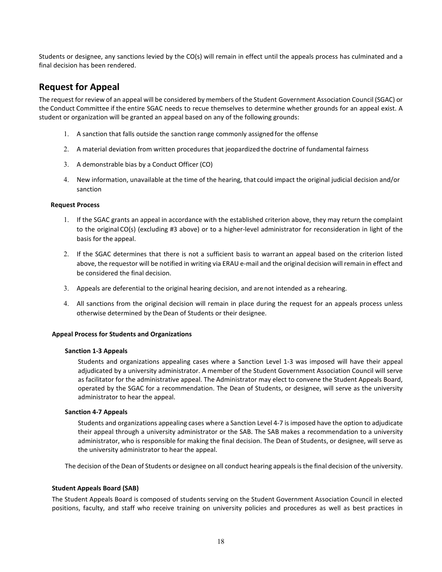Students or designee, any sanctions levied by the CO(s) will remain in effect until the appeals process has culminated and a final decision has been rendered.

## **Request for Appeal**

The request for review of an appeal will be considered by members of the Student Government Association Council (SGAC) or the Conduct Committee if the entire SGAC needs to recue themselves to determine whether grounds for an appeal exist. A student or organization will be granted an appeal based on any of the following grounds:

- 1. A sanction that falls outside the sanction range commonly assigned for the offense
- 2. A material deviation from written procedures that jeopardized the doctrine of fundamental fairness
- 3. A demonstrable bias by a Conduct Officer (CO)
- 4. New information, unavailable at the time of the hearing, that could impact the original judicial decision and/or sanction

#### **Request Process**

- 1. If the SGAC grants an appeal in accordance with the established criterion above, they may return the complaint to the original CO(s) (excluding #3 above) or to a higher-level administrator for reconsideration in light of the basis for the appeal.
- 2. If the SGAC determines that there is not a sufficient basis to warrant an appeal based on the criterion listed above, the requestor will be notified in writing via ERAU e-mail and the original decision will remain in effect and be considered the final decision.
- 3. Appeals are deferential to the original hearing decision, and arenot intended as a rehearing.
- 4. All sanctions from the original decision will remain in place during the request for an appeals process unless otherwise determined by the Dean of Students or their designee.

#### **Appeal Process for Students and Organizations**

#### **Sanction 1-3 Appeals**

Students and organizations appealing cases where a Sanction Level 1-3 was imposed will have their appeal adjudicated by a university administrator. A member of the Student Government Association Council will serve as facilitator for the administrative appeal. The Administrator may elect to convene the Student Appeals Board, operated by the SGAC for a recommendation. The Dean of Students, or designee, will serve as the university administrator to hear the appeal.

#### **Sanction 4-7 Appeals**

Students and organizations appealing cases where a Sanction Level 4-7 is imposed have the option to adjudicate their appeal through a university administrator or the SAB. The SAB makes a recommendation to a university administrator, who is responsible for making the final decision. The Dean of Students, or designee, will serve as the university administrator to hear the appeal.

The decision of the Dean of Students or designee on all conduct hearing appeals is the final decision of the university.

#### **Student Appeals Board (SAB)**

The Student Appeals Board is composed of students serving on the Student Government Association Council in elected positions, faculty, and staff who receive training on university policies and procedures as well as best practices in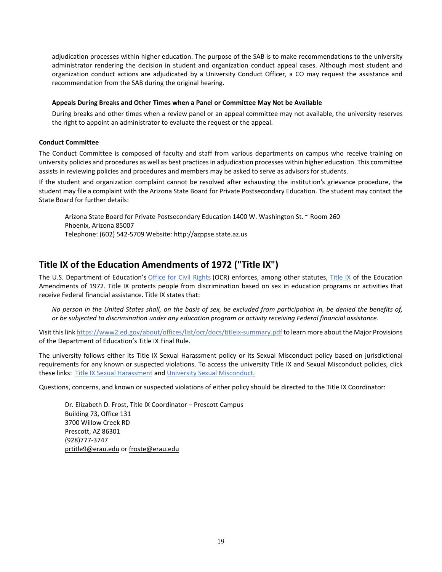adjudication processes within higher education. The purpose of the SAB is to make recommendations to the university administrator rendering the decision in student and organization conduct appeal cases. Although most student and organization conduct actions are adjudicated by a University Conduct Officer, a CO may request the assistance and recommendation from the SAB during the original hearing.

#### **Appeals During Breaks and Other Times when a Panel or Committee May Not be Available**

During breaks and other times when a review panel or an appeal committee may not available, the university reserves the right to appoint an administrator to evaluate the request or the appeal.

#### **Conduct Committee**

The Conduct Committee is composed of faculty and staff from various departments on campus who receive training on university policies and procedures as well as best practices in adjudication processes within higher education. This committee assists in reviewing policies and procedures and members may be asked to serve as advisors for students.

If the student and organization complaint cannot be resolved after exhausting the institution's grievance procedure, the student may file a complaint with the Arizona State Board for Private Postsecondary Education. The student may contact the State Board for further details:

Arizona State Board for Private Postsecondary Education 1400 W. Washington St. ~ Room 260 Phoenix, Arizona 85007 Telephone: (602) 542-5709 Website: http://azppse.state.az.us

### **Title IX of the Education Amendments of 1972 ("Title IX")**

The U.S. Department of Education's [Office for Civil Rights](https://www2.ed.gov/about/offices/list/ocr/aboutocr.html) (OCR) enforces, among other statutes, [Title IX](https://www2.ed.gov/about/offices/list/ocr/docs/tix_dis.html) of the Education Amendments of 1972. Title IX protects people from discrimination based on sex in education programs or activities that receive Federal financial assistance. Title IX states that:

*No person in the United States shall, on the basis of sex, be excluded from participation in, be denied the benefits of, or be subjected to discrimination under any education program or activity receiving Federal financial assistance.*

Visit this lin[k https://www2.ed.gov/about/offices/list/ocr/docs/titleix-summary.pdf](https://www2.ed.gov/about/offices/list/ocr/docs/titleix-summary.pdf) to learn more about the Major Provisions of the Department of Education's Title IX Final Rule.

The university follows either its Title IX Sexual Harassment policy or its Sexual Misconduct policy based on jurisdictional requirements for any known or suspected violations. To access the university Title IX and Sexual Misconduct policies, click these links: [Title IX Sexual Harassment](https://erau.edu/-/media/files/university/title-ix-sexual-harassment-policy-october-2020.pdf?la=en&hash=A4AAD1588557E5FFB133806492C69FE01C035C58) an[d University Sexual Misconduct.](https://erau.edu/-/media/files/university/university-sexual-misconduct-policy.pdf?la=en&hash=4EF141AC65BAAE10A7C20355FA514C7A218E4116) 

Questions, concerns, and known or suspected violations of either policy should be directed to the Title IX Coordinator:

Dr. Elizabeth D. Frost, Title IX Coordinator – Prescott Campus Building 73, Office 131 3700 Willow Creek RD Prescott, AZ 86301 (928)777-3747 [prtitle9@erau.edu](mailto:prtitle9@erau.edu) or [froste@erau.edu](mailto:froste@erau.edu)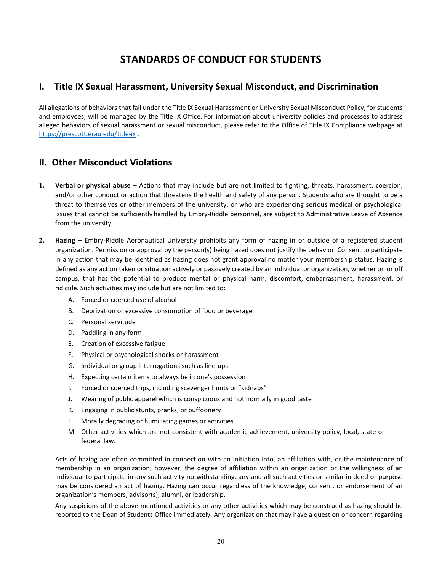## **STANDARDS OF CONDUCT FOR STUDENTS**

## **I. Title IX Sexual Harassment, University Sexual Misconduct, and Discrimination**

All allegations of behaviors that fall under the Title IX Sexual Harassment or University Sexual Misconduct Policy, for students and employees, will be managed by the Title IX Office. For information about university policies and processes to address alleged behaviors of sexual harassment or sexual misconduct, please refer to the Office of Title IX Compliance webpage at <https://prescott.erau.edu/title-ix> .

## **II. Other Misconduct Violations**

- **1. Verbal or physical abuse**  Actions that may include but are not limited to fighting, threats, harassment, coercion, and/or other conduct or action that threatens the health and safety of any person. Students who are thought to be a threat to themselves or other members of the university, or who are experiencing serious medical or psychological issues that cannot be sufficiently handled by Embry-Riddle personnel, are subject to Administrative Leave of Absence from the university.
- **2. Hazing** Embry-Riddle Aeronautical University prohibits any form of hazing in or outside of a registered student organization. Permission or approval by the person(s) being hazed does not justify the behavior. Consent to participate in any action that may be identified as hazing does not grant approval no matter your membership status. Hazing is defined as any action taken or situation actively or passively created by an individual or organization, whether on or off campus, that has the potential to produce mental or physical harm, discomfort, embarrassment, harassment, or ridicule. Such activities may include but are not limited to:
	- A. Forced or coerced use of alcohol
	- B. Deprivation or excessive consumption of food or beverage
	- C. Personal servitude
	- D. Paddling in any form
	- E. Creation of excessive fatigue
	- F. Physical or psychological shocks or harassment
	- G. Individual or group interrogations such as line-ups
	- H. Expecting certain items to always be in one's possession
	- I. Forced or coerced trips, including scavenger hunts or "kidnaps"
	- J. Wearing of public apparel which is conspicuous and not normally in good taste
	- K. Engaging in public stunts, pranks, or buffoonery
	- L. Morally degrading or humiliating games or activities
	- M. Other activities which are not consistent with academic achievement, university policy, local, state or federal law.

Acts of hazing are often committed in connection with an initiation into, an affiliation with, or the maintenance of membership in an organization; however, the degree of affiliation within an organization or the willingness of an individual to participate in any such activity notwithstanding, any and all such activities or similar in deed or purpose may be considered an act of hazing. Hazing can occur regardless of the knowledge, consent, or endorsement of an organization's members, advisor(s), alumni, or leadership.

Any suspicions of the above-mentioned activities or any other activities which may be construed as hazing should be reported to the Dean of Students Office immediately. Any organization that may have a question or concern regarding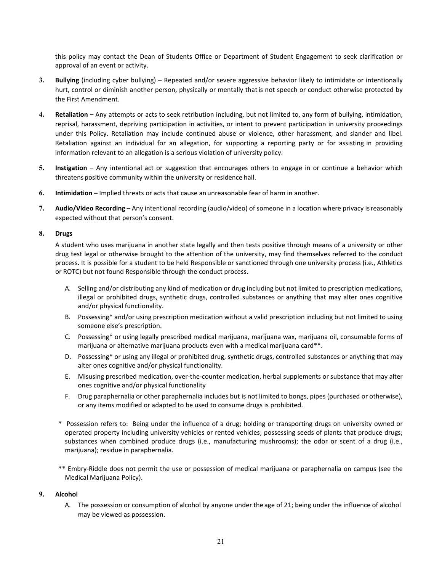this policy may contact the Dean of Students Office or Department of Student Engagement to seek clarification or approval of an event or activity.

- **3. Bullying** (including cyber bullying) Repeated and/or severe aggressive behavior likely to intimidate or intentionally hurt, control or diminish another person, physically or mentally thatis not speech or conduct otherwise protected by the First Amendment.
- **4. Retaliation**  Any attempts or acts to seek retribution including, but not limited to, any form of bullying, intimidation, reprisal, harassment, depriving participation in activities, or intent to prevent participation in university proceedings under this Policy. Retaliation may include continued abuse or violence, other harassment, and slander and libel. Retaliation against an individual for an allegation, for supporting a reporting party or for assisting in providing information relevant to an allegation is a serious violation of university policy.
- **5. Instigation** Any intentional act or suggestion that encourages others to engage in or continue a behavior which threatens positive community within the university or residence hall.
- **6. Intimidation –** Implied threats or acts that cause an unreasonable fear of harm in another.
- **7. Audio/Video Recording**  Any intentional recording (audio/video) of someone in a location where privacy isreasonably expected without that person's consent.

#### **8. Drugs**

A student who uses marijuana in another state legally and then tests positive through means of a university or other drug test legal or otherwise brought to the attention of the university, may find themselves referred to the conduct process. It is possible for a student to be held Responsible or sanctioned through one university process (i.e., Athletics or ROTC) but not found Responsible through the conduct process.

- A. Selling and/or distributing any kind of medication or drug including but not limited to prescription medications, illegal or prohibited drugs, synthetic drugs, controlled substances or anything that may alter ones cognitive and/or physical functionality.
- B. Possessing\* and/or using prescription medication without a valid prescription including but not limited to using someone else's prescription.
- C. Possessing\* or using legally prescribed medical marijuana, marijuana wax, marijuana oil, consumable forms of marijuana or alternative marijuana products even with a medical marijuana card\*\*.
- D. Possessing\* or using any illegal or prohibited drug, synthetic drugs, controlled substances or anything that may alter ones cognitive and/or physical functionality.
- E. Misusing prescribed medication, over-the-counter medication, herbal supplements or substance that may alter ones cognitive and/or physical functionality
- F. Drug paraphernalia or other paraphernalia includes but is not limited to bongs, pipes (purchased or otherwise), or any items modified or adapted to be used to consume drugs is prohibited.
- \* Possession refers to: Being under the influence of a drug; holding or transporting drugs on university owned or operated property including university vehicles or rented vehicles; possessing seeds of plants that produce drugs; substances when combined produce drugs (i.e., manufacturing mushrooms); the odor or scent of a drug (i.e., marijuana); residue in paraphernalia.
- \*\* Embry-Riddle does not permit the use or possession of medical marijuana or paraphernalia on campus (see the Medical Marijuana Policy).

#### **9. Alcohol**

A. The possession or consumption of alcohol by anyone under the age of 21; being under the influence of alcohol may be viewed as possession.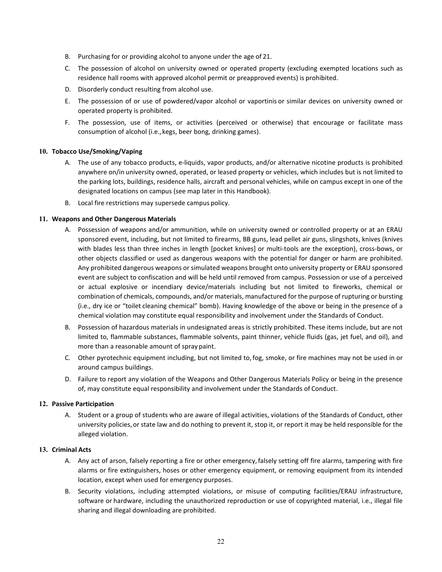- B. Purchasing for or providing alcohol to anyone under the age of 21.
- C. The possession of alcohol on university owned or operated property (excluding exempted locations such as residence hall rooms with approved alcohol permit or preapproved events) is prohibited.
- D. Disorderly conduct resulting from alcohol use.
- E. The possession of or use of powdered/vapor alcohol or vaportinis or similar devices on university owned or operated property is prohibited.
- F. The possession, use of items, or activities (perceived or otherwise) that encourage or facilitate mass consumption of alcohol (i.e.,kegs, beer bong, drinking games).

#### **10. Tobacco Use/Smoking/Vaping**

- A. The use of any tobacco products, e-liquids, vapor products, and/or alternative nicotine products is prohibited anywhere on/in university owned, operated, or leased property or vehicles, which includes but is not limited to the parking lots, buildings, residence halls, aircraft and personal vehicles, while on campus except in one of the designated locations on campus (see map later in this Handbook).
- B. Local fire restrictions may supersede campus policy.

#### **11. Weapons and Other Dangerous Materials**

- A. Possession of weapons and/or ammunition, while on university owned or controlled property or at an ERAU sponsored event, including, but not limited to firearms, BB guns, lead pellet air guns, slingshots, knives (knives with blades less than three inches in length [pocket knives] or multi-tools are the exception), cross-bows, or other objects classified or used as dangerous weapons with the potential for danger or harm are prohibited. Any prohibited dangerous weapons or simulated weapons brought onto university property or ERAU sponsored event are subject to confiscation and will be held until removed from campus. Possession or use of a perceived or actual explosive or incendiary device/materials including but not limited to fireworks, chemical or combination of chemicals, compounds, and/or materials, manufactured for the purpose of rupturing or bursting (i.e., dry ice or "toilet cleaning chemical" bomb). Having knowledge of the above or being in the presence of a chemical violation may constitute equal responsibility and involvement under the Standards of Conduct.
- B. Possession of hazardous materials in undesignated areas is strictly prohibited. These items include, but are not limited to, flammable substances, flammable solvents, paint thinner, vehicle fluids (gas, jet fuel, and oil), and more than a reasonable amount of spray paint.
- C. Other pyrotechnic equipment including, but not limited to,fog, smoke, or fire machines may not be used in or around campus buildings.
- D. Failure to report any violation of the Weapons and Other Dangerous Materials Policy or being in the presence of, may constitute equal responsibility and involvement under the Standards of Conduct.

#### **12. Passive Participation**

A. Student or a group of students who are aware of illegal activities, violations of the Standards of Conduct, other university policies,or state law and do nothing to prevent it, stop it, or report it may be held responsible for the alleged violation.

#### **13. Criminal Acts**

- A. Any act of arson, falsely reporting a fire or other emergency,falsely setting off fire alarms, tampering with fire alarms or fire extinguishers, hoses or other emergency equipment, or removing equipment from its intended location, except when used for emergency purposes.
- B. Security violations, including attempted violations, or misuse of computing facilities/ERAU infrastructure, software or hardware, including the unauthorized reproduction or use of copyrighted material, i.e., illegal file sharing and illegal downloading are prohibited.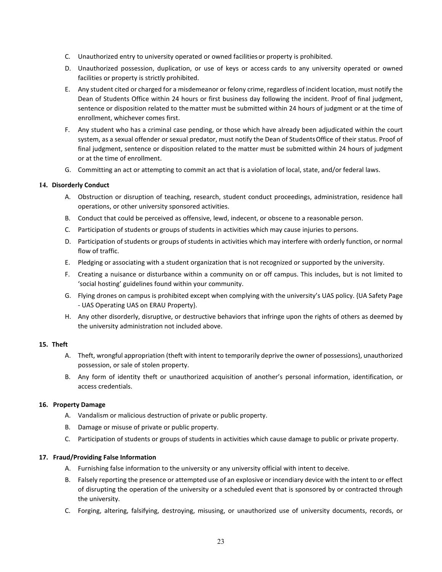- C. Unauthorized entry to university operated or owned facilities or property is prohibited.
- D. Unauthorized possession, duplication, or use of keys or access cards to any university operated or owned facilities or property is strictly prohibited.
- E. Any student cited or charged for a misdemeanor or felony crime, regardless of incident location, must notify the Dean of Students Office within 24 hours or first business day following the incident. Proof of final judgment, sentence or disposition related to thematter must be submitted within 24 hours of judgment or at the time of enrollment, whichever comes first.
- F. Any student who has a criminal case pending, or those which have already been adjudicated within the court system, as a sexual offender or sexual predator, must notify the Dean of Students Office of their status. Proof of final judgment, sentence or disposition related to the matter must be submitted within 24 hours of judgment or at the time of enrollment.
- G. Committing an act or attempting to commit an act that is aviolation of local, state, and/or federal laws.

#### **14. Disorderly Conduct**

- A. Obstruction or disruption of teaching, research, student conduct proceedings, administration, residence hall operations, or other university sponsored activities.
- B. Conduct that could be perceived as offensive, lewd, indecent, or obscene to a reasonable person.
- C. Participation of students or groups of students in activities which may cause injuries to persons.
- D. Participation of students or groups of students in activities which may interfere with orderly function, or normal flow of traffic.
- E. Pledging or associating with a student organization that is not recognized or supported by the university.
- F. Creating a nuisance or disturbance within a community on or off campus. This includes, but is not limited to 'social hosting' guidelines found within your community.
- G. Flying drones on campus is prohibited except when complying with the university's UAS policy. {UA Safety Page - UAS Operating UAS on ERAU Property}.
- H. Any other disorderly, disruptive, or destructive behaviors that infringe upon the rights of others as deemed by the university administration not included above.

#### **15. Theft**

- A. Theft, wrongful appropriation (theft with intent to temporarily deprive the owner of possessions), unauthorized possession, or sale of stolen property.
- B. Any form of identity theft or unauthorized acquisition of another's personal information, identification, or access credentials.

#### **16. Property Damage**

- A. Vandalism or malicious destruction of private or public property.
- B. Damage or misuse of private or public property.
- C. Participation of students or groups of students in activities which cause damage to public or private property.

#### **17. Fraud/Providing False Information**

- A. Furnishing false information to the university or any university official with intent to deceive.
- B. Falsely reporting the presence or attempted use of an explosive or incendiary device with the intent to or effect of disrupting the operation of the university or a scheduled event that is sponsored by or contracted through the university.
- C. Forging, altering, falsifying, destroying, misusing, or unauthorized use of university documents, records, or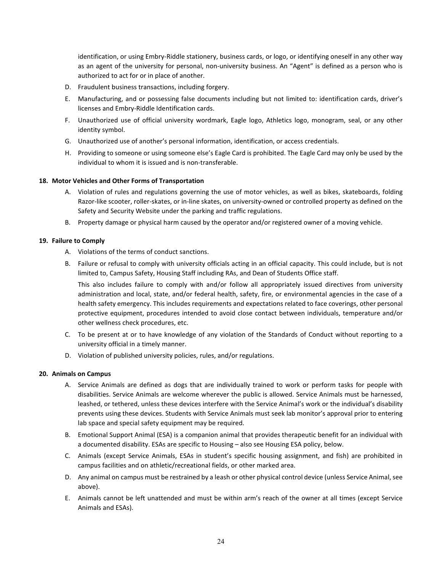identification, or using Embry-Riddle stationery, business cards, or logo, or identifying oneself in any other way as an agent of the university for personal, non-university business. An "Agent" is defined as a person who is authorized to act for or in place of another.

- D. Fraudulent business transactions, including forgery.
- E. Manufacturing, and or possessing false documents including but not limited to: identification cards, driver's licenses and Embry-Riddle Identification cards.
- F. Unauthorized use of official university wordmark, Eagle logo, Athletics logo, monogram, seal, or any other identity symbol.
- G. Unauthorized use of another's personal information, identification, or access credentials.
- H. Providing to someone or using someone else's Eagle Card is prohibited. The Eagle Card may only be used by the individual to whom it is issued and is non-transferable.

#### **18. Motor Vehicles and Other Forms of Transportation**

- A. Violation of rules and regulations governing the use of motor vehicles, as well as bikes, skateboards, folding Razor-like scooter, roller-skates, or in-line skates, on university-owned or controlled property as defined on the Safety and Security Website under the parking and traffic regulations.
- B. Property damage or physical harm caused by the operator and/or registered owner of a moving vehicle.

#### **19. Failure to Comply**

- A. Violations of the terms of conduct sanctions.
- B. Failure or refusal to comply with university officials acting in an official capacity. This could include, but is not limited to, Campus Safety, Housing Staff including RAs, and Dean of Students Office staff.

This also includes failure to comply with and/or follow all appropriately issued directives from university administration and local, state, and/or federal health, safety, fire, or environmental agencies in the case of a health safety emergency. This includes requirements and expectations related to face coverings, other personal protective equipment, procedures intended to avoid close contact between individuals, temperature and/or other wellness check procedures, etc.

- C. To be present at or to have knowledge of any violation of the Standards of Conduct without reporting to a university official in a timely manner.
- D. Violation of published university policies, rules, and/or regulations.

#### **20. Animals on Campus**

- A. Service Animals are defined as dogs that are individually trained to work or perform tasks for people with disabilities. Service Animals are welcome wherever the public is allowed. Service Animals must be harnessed, leashed, or tethered, unless these devices interfere with the Service Animal's work or the individual's disability prevents using these devices. Students with Service Animals must seek lab monitor's approval prior to entering lab space and special safety equipment may be required.
- B. Emotional Support Animal (ESA) is a companion animal that provides therapeutic benefit for an individual with a documented disability. ESAs are specific to Housing – also see Housing ESA policy, below.
- C. Animals (except Service Animals, ESAs in student's specific housing assignment, and fish) are prohibited in campus facilities and on athletic/recreational fields, or other marked area.
- D. Any animal on campus must be restrained by a leash or other physical control device (unless Service Animal, see above).
- E. Animals cannot be left unattended and must be within arm's reach of the owner at all times (except Service Animals and ESAs).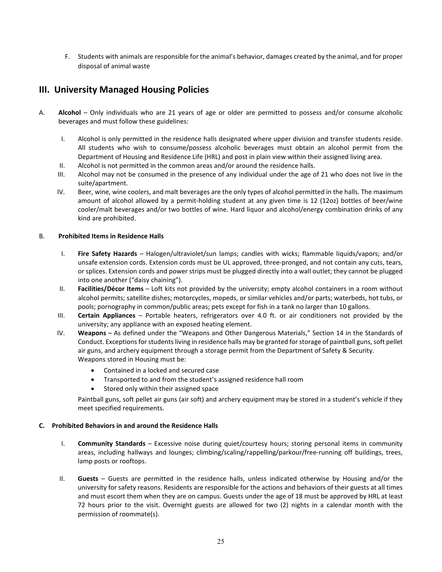F. Students with animals are responsible for the animal's behavior, damages created by the animal, and for proper disposal of animal waste

### **III. University Managed Housing Policies**

- A. **Alcohol**  Only individuals who are 21 years of age or older are permitted to possess and/or consume alcoholic beverages and must follow these guidelines:
	- I. Alcohol is only permitted in the residence halls designated where upper division and transfer students reside. All students who wish to consume/possess alcoholic beverages must obtain an alcohol permit from the Department of Housing and Residence Life (HRL) and post in plain view within their assigned living area.
	- II. Alcohol is not permitted in the common areas and/or around the residence halls.
	- III. Alcohol may not be consumed in the presence of any individual under the age of 21 who does not live in the suite/apartment.
	- IV. Beer, wine, wine coolers, and malt beverages are the only types of alcohol permitted in the halls. The maximum amount of alcohol allowed by a permit-holding student at any given time is 12 (12oz) bottles of beer/wine cooler/malt beverages and/or two bottles of wine. Hard liquor and alcohol/energy combination drinks of any kind are prohibited.

#### B. **Prohibited Items in Residence Halls**

- I. **Fire Safety Hazards** Halogen/ultraviolet/sun lamps; candles with wicks; flammable liquids/vapors; and/or unsafe extension cords. Extension cords must be UL approved, three-pronged, and not contain any cuts, tears, or splices. Extension cords and power strips must be plugged directly into a wall outlet; they cannot be plugged into one another ("daisy chaining").
- II. **Facilities/Décor Items** Loft kits not provided by the university; empty alcohol containers in a room without alcohol permits; satellite dishes; motorcycles, mopeds, or similar vehicles and/or parts; waterbeds, hot tubs, or pools; pornography in common/public areas; pets except for fish in a tank no larger than 10 gallons.
- III. **Certain Appliances** Portable heaters, refrigerators over 4.0 ft. or air conditioners not provided by the university; any appliance with an exposed heating element.
- IV. **Weapons** As defined under the "Weapons and Other Dangerous Materials," Section 14 in the Standards of Conduct. Exceptions for students living in residence halls may be granted for storage of paintball guns, soft pellet air guns, and archery equipment through a storage permit from the Department of Safety & Security. Weapons stored in Housing must be:
	- Contained in a locked and secured case
	- Transported to and from the student's assigned residence hall room
	- Stored only within their assigned space

Paintball guns, soft pellet air guns (air soft) and archery equipment may be stored in a student's vehicle if they meet specified requirements.

#### **C. Prohibited Behaviors in and around the Residence Halls**

- I. **Community Standards** Excessive noise during quiet/courtesy hours; storing personal items in community areas, including hallways and lounges; climbing/scaling/rappelling/parkour/free-running off buildings, trees, lamp posts or rooftops.
- II. **Guests** Guests are permitted in the residence halls, unless indicated otherwise by Housing and/or the university for safety reasons. Residents are responsible for the actions and behaviors of their guests at all times and must escort them when they are on campus. Guests under the age of 18 must be approved by HRL at least 72 hours prior to the visit. Overnight guests are allowed for two (2) nights in a calendar month with the permission of roommate(s).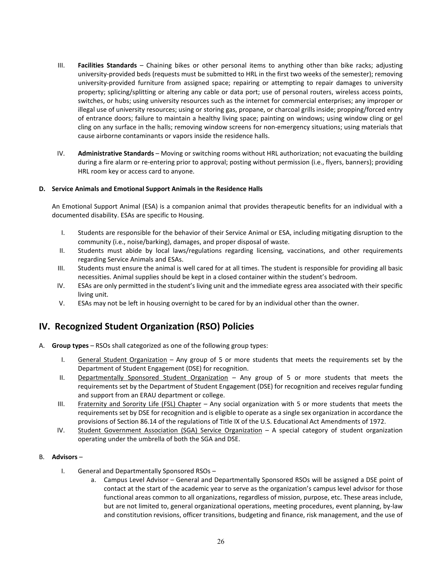- III. **Facilities Standards** Chaining bikes or other personal items to anything other than bike racks; adjusting university-provided beds (requests must be submitted to HRL in the first two weeks of the semester); removing university-provided furniture from assigned space; repairing or attempting to repair damages to university property; splicing/splitting or altering any cable or data port; use of personal routers, wireless access points, switches, or hubs; using university resources such as the internet for commercial enterprises; any improper or illegal use of university resources; using or storing gas, propane, or charcoal grills inside; propping/forced entry of entrance doors; failure to maintain a healthy living space; painting on windows; using window cling or gel cling on any surface in the halls; removing window screens for non-emergency situations; using materials that cause airborne contaminants or vapors inside the residence halls.
- IV. **Administrative Standards** Moving or switching rooms without HRL authorization; not evacuating the building during a fire alarm or re-entering prior to approval; posting without permission (i.e., flyers, banners); providing HRL room key or access card to anyone.

#### **D. Service Animals and Emotional Support Animals in the Residence Halls**

An Emotional Support Animal (ESA) is a companion animal that provides therapeutic benefits for an individual with a documented disability. ESAs are specific to Housing.

- I. Students are responsible for the behavior of their Service Animal or ESA, including mitigating disruption to the community (i.e., noise/barking), damages, and proper disposal of waste.
- II. Students must abide by local laws/regulations regarding licensing, vaccinations, and other requirements regarding Service Animals and ESAs.
- III. Students must ensure the animal is well cared for at all times. The student is responsible for providing all basic necessities. Animal supplies should be kept in a closed container within the student's bedroom.
- IV. ESAs are only permitted in the student's living unit and the immediate egress area associated with their specific living unit.
- V. ESAs may not be left in housing overnight to be cared for by an individual other than the owner.

## **IV. Recognized Student Organization (RSO) Policies**

- A. **Group types** RSOs shall categorized as one of the following group types:
	- I. General Student Organization Any group of 5 or more students that meets the requirements set by the Department of Student Engagement (DSE) for recognition.
	- II. Departmentally Sponsored Student Organization Any group of 5 or more students that meets the requirements set by the Department of Student Engagement (DSE) for recognition and receives regular funding and support from an ERAU department or college.
	- III. Fraternity and Sorority Life (FSL) Chapter Any social organization with 5 or more students that meets the requirements set by DSE for recognition and is eligible to operate as a single sex organization in accordance the provisions of Section 86.14 of the regulations of Title IX of the U.S. Educational Act Amendments of 1972.
	- IV. Student Government Association (SGA) Service Organization A special category of student organization operating under the umbrella of both the SGA and DSE.

#### B. **Advisors** –

- I. General and Departmentally Sponsored RSOs
	- a. Campus Level Advisor General and Departmentally Sponsored RSOs will be assigned a DSE point of contact at the start of the academic year to serve as the organization's campus level advisor for those functional areas common to all organizations, regardless of mission, purpose, etc. These areas include, but are not limited to, general organizational operations, meeting procedures, event planning, by-law and constitution revisions, officer transitions, budgeting and finance, risk management, and the use of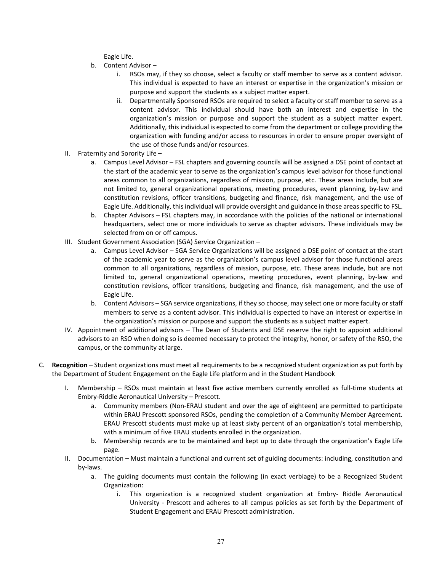Eagle Life.

- b. Content Advisor
	- i. RSOs may, if they so choose, select a faculty or staff member to serve as a content advisor. This individual is expected to have an interest or expertise in the organization's mission or purpose and support the students as a subject matter expert.
	- ii. Departmentally Sponsored RSOs are required to select a faculty or staff member to serve as a content advisor. This individual should have both an interest and expertise in the organization's mission or purpose and support the student as a subject matter expert. Additionally, this individual is expected to come from the department or college providing the organization with funding and/or access to resources in order to ensure proper oversight of the use of those funds and/or resources.
- II. Fraternity and Sorority Life
	- a. Campus Level Advisor FSL chapters and governing councils will be assigned a DSE point of contact at the start of the academic year to serve as the organization's campus level advisor for those functional areas common to all organizations, regardless of mission, purpose, etc. These areas include, but are not limited to, general organizational operations, meeting procedures, event planning, by-law and constitution revisions, officer transitions, budgeting and finance, risk management, and the use of Eagle Life. Additionally, this individual will provide oversight and guidance in those areas specific to FSL.
	- b. Chapter Advisors FSL chapters may, in accordance with the policies of the national or international headquarters, select one or more individuals to serve as chapter advisors. These individuals may be selected from on or off campus.
- III. Student Government Association (SGA) Service Organization
	- a. Campus Level Advisor SGA Service Organizations will be assigned a DSE point of contact at the start of the academic year to serve as the organization's campus level advisor for those functional areas common to all organizations, regardless of mission, purpose, etc. These areas include, but are not limited to, general organizational operations, meeting procedures, event planning, by-law and constitution revisions, officer transitions, budgeting and finance, risk management, and the use of Eagle Life.
	- b. Content Advisors SGA service organizations, if they so choose, may select one or more faculty or staff members to serve as a content advisor. This individual is expected to have an interest or expertise in the organization's mission or purpose and support the students as a subject matter expert.
- IV. Appointment of additional advisors The Dean of Students and DSE reserve the right to appoint additional advisors to an RSO when doing so is deemed necessary to protect the integrity, honor, or safety of the RSO, the campus, or the community at large.
- C. **Recognition** Student organizations must meet all requirements to be a recognized student organization as put forth by the Department of Student Engagement on the Eagle Life platform and in the Student Handbook
	- I. Membership RSOs must maintain at least five active members currently enrolled as full-time students at Embry-Riddle Aeronautical University – Prescott.
		- a. Community members (Non-ERAU student and over the age of eighteen) are permitted to participate within ERAU Prescott sponsored RSOs, pending the completion of a Community Member Agreement. ERAU Prescott students must make up at least sixty percent of an organization's total membership, with a minimum of five ERAU students enrolled in the organization.
		- b. Membership records are to be maintained and kept up to date through the organization's Eagle Life page.
	- II. Documentation Must maintain a functional and current set of guiding documents: including, constitution and by-laws.
		- a. The guiding documents must contain the following (in exact verbiage) to be a Recognized Student Organization:
			- i. This organization is a recognized student organization at Embry- Riddle Aeronautical University - Prescott and adheres to all campus policies as set forth by the Department of Student Engagement and ERAU Prescott administration.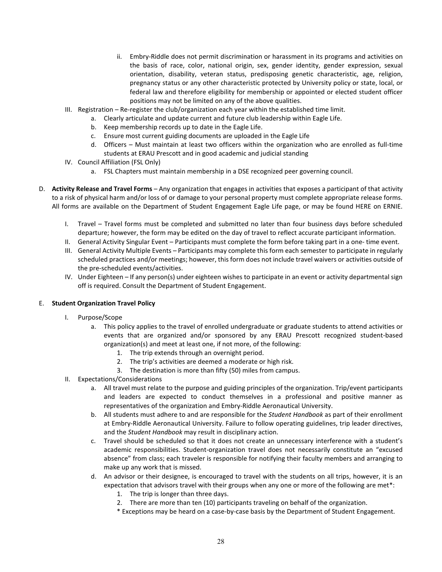- ii. Embry-Riddle does not permit discrimination or harassment in its programs and activities on the basis of race, color, national origin, sex, gender identity, gender expression, sexual orientation, disability, veteran status, predisposing genetic characteristic, age, religion, pregnancy status or any other characteristic protected by University policy or state, local, or federal law and therefore eligibility for membership or appointed or elected student officer positions may not be limited on any of the above qualities.
- III. Registration Re-register the club/organization each year within the established time limit.
	- a. Clearly articulate and update current and future club leadership within Eagle Life.
	- b. Keep membership records up to date in the Eagle Life.
	- c. Ensure most current guiding documents are uploaded in the Eagle Life
	- d. Officers Must maintain at least two officers within the organization who are enrolled as full-time students at ERAU Prescott and in good academic and judicial standing
- IV. Council Affiliation (FSL Only)
	- a. FSL Chapters must maintain membership in a DSE recognized peer governing council.
- D. **Activity Release and Travel Forms** Any organization that engages in activities that exposes a participant of that activity to a risk of physical harm and/or loss of or damage to your personal property must complete appropriate release forms. All forms are available on the Department of Student Engagement Eagle Life page, or may be found HERE on ERNIE.
	- I. Travel Travel forms must be completed and submitted no later than four business days before scheduled departure; however, the form may be edited on the day of travel to reflect accurate participant information.
	- II. General Activity Singular Event Participants must complete the form before taking part in a one- time event.
	- III. General Activity Multiple Events Participants may complete this form each semester to participate in regularly scheduled practices and/or meetings; however, this form does not include travel waivers or activities outside of the pre-scheduled events/activities.
	- IV. Under Eighteen If any person(s) under eighteen wishes to participate in an event or activity departmental sign off is required. Consult the Department of Student Engagement.

#### E. **Student Organization Travel Policy**

- I. Purpose/Scope
	- a. This policy applies to the travel of enrolled undergraduate or graduate students to attend activities or events that are organized and/or sponsored by any ERAU Prescott recognized student-based organization(s) and meet at least one, if not more, of the following:
		- 1. The trip extends through an overnight period.
		- 2. The trip's activities are deemed a moderate or high risk.
		- 3. The destination is more than fifty (50) miles from campus.
- II. Expectations/Considerations
	- a. All travel must relate to the purpose and guiding principles of the organization. Trip/event participants and leaders are expected to conduct themselves in a professional and positive manner as representatives of the organization and Embry-Riddle Aeronautical University.
	- b. All students must adhere to and are responsible for the *Student Handbook* as part of their enrollment at Embry-Riddle Aeronautical University. Failure to follow operating guidelines, trip leader directives, and the *Student Handbook* may result in disciplinary action.
	- c. Travel should be scheduled so that it does not create an unnecessary interference with a student's academic responsibilities. Student-organization travel does not necessarily constitute an "excused absence" from class; each traveler is responsible for notifying their faculty members and arranging to make up any work that is missed.
	- d. An advisor or their designee, is encouraged to travel with the students on all trips, however, it is an expectation that advisors travel with their groups when any one or more of the following are met\*:
		- 1. The trip is longer than three days.
		- 2. There are more than ten (10) participants traveling on behalf of the organization.
		- \* Exceptions may be heard on a case-by-case basis by the Department of Student Engagement.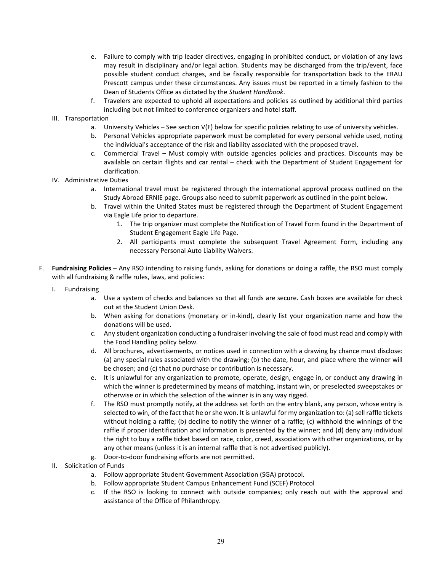- e. Failure to comply with trip leader directives, engaging in prohibited conduct, or violation of any laws may result in disciplinary and/or legal action. Students may be discharged from the trip/event, face possible student conduct charges, and be fiscally responsible for transportation back to the ERAU Prescott campus under these circumstances. Any issues must be reported in a timely fashion to the Dean of Students Office as dictated by the *Student Handbook*.
- f. Travelers are expected to uphold all expectations and policies as outlined by additional third parties including but not limited to conference organizers and hotel staff.

#### III. Transportation

- a. University Vehicles See section V(F) below for specific policies relating to use of university vehicles.
- b. Personal Vehicles appropriate paperwork must be completed for every personal vehicle used, noting the individual's acceptance of the risk and liability associated with the proposed travel.
- c. Commercial Travel Must comply with outside agencies policies and practices. Discounts may be available on certain flights and car rental – check with the Department of Student Engagement for clarification.

#### IV. Administrative Duties

- a. International travel must be registered through the international approval process outlined on the Study Abroad ERNIE page. Groups also need to submit paperwork as outlined in the point below.
- b. Travel within the United States must be registered through the Department of Student Engagement via Eagle Life prior to departure.
	- 1. The trip organizer must complete the Notification of Travel Form found in the Department of Student Engagement Eagle Life Page.
	- 2. All participants must complete the subsequent Travel Agreement Form, including any necessary Personal Auto Liability Waivers.
- F. **Fundraising Policies** Any RSO intending to raising funds, asking for donations or doing a raffle, the RSO must comply with all fundraising & raffle rules, laws, and policies:
	- I. Fundraising
		- a. Use a system of checks and balances so that all funds are secure. Cash boxes are available for check out at the Student Union Desk.
		- b. When asking for donations (monetary or in-kind), clearly list your organization name and how the donations will be used.
		- c. Any student organization conducting a fundraiser involving the sale of food must read and comply with the Food Handling policy below.
		- d. All brochures, advertisements, or notices used in connection with a drawing by chance must disclose: (a) any special rules associated with the drawing; (b) the date, hour, and place where the winner will be chosen; and (c) that no purchase or contribution is necessary.
		- e. It is unlawful for any organization to promote, operate, design, engage in, or conduct any drawing in which the winner is predetermined by means of matching, instant win, or preselected sweepstakes or otherwise or in which the selection of the winner is in any way rigged.
		- f. The RSO must promptly notify, at the address set forth on the entry blank, any person, whose entry is selected to win, of the fact that he or she won. It is unlawful for my organization to: (a) sell raffle tickets without holding a raffle; (b) decline to notify the winner of a raffle; (c) withhold the winnings of the raffle if proper identification and information is presented by the winner; and (d) deny any individual the right to buy a raffle ticket based on race, color, creed, associations with other organizations, or by any other means (unless it is an internal raffle that is not advertised publicly).
		- g. Door-to-door fundraising efforts are not permitted.
	- II. Solicitation of Funds
		- a. Follow appropriate Student Government Association (SGA) protocol.
		- b. Follow appropriate Student Campus Enhancement Fund (SCEF) Protocol
		- c. If the RSO is looking to connect with outside companies; only reach out with the approval and assistance of the Office of Philanthropy.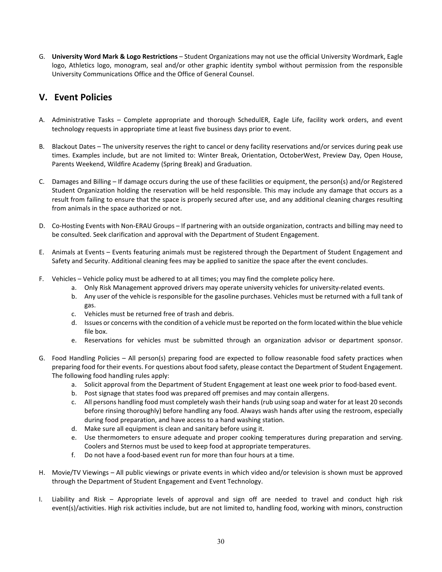G. **University Word Mark & Logo Restrictions** – Student Organizations may not use the official University Wordmark, Eagle logo, Athletics logo, monogram, seal and/or other graphic identity symbol without permission from the responsible University Communications Office and the Office of General Counsel.

## **V. Event Policies**

- A. Administrative Tasks Complete appropriate and thorough SchedulER, Eagle Life, facility work orders, and event technology requests in appropriate time at least five business days prior to event.
- B. Blackout Dates The university reserves the right to cancel or deny facility reservations and/or services during peak use times. Examples include, but are not limited to: Winter Break, Orientation, OctoberWest, Preview Day, Open House, Parents Weekend, Wildfire Academy (Spring Break) and Graduation.
- C. Damages and Billing If damage occurs during the use of these facilities or equipment, the person(s) and/or Registered Student Organization holding the reservation will be held responsible. This may include any damage that occurs as a result from failing to ensure that the space is properly secured after use, and any additional cleaning charges resulting from animals in the space authorized or not.
- D. Co-Hosting Events with Non-ERAU Groups If partnering with an outside organization, contracts and billing may need to be consulted. Seek clarification and approval with the Department of Student Engagement.
- E. Animals at Events Events featuring animals must be registered through the Department of Student Engagement and Safety and Security. Additional cleaning fees may be applied to sanitize the space after the event concludes.
- F. Vehicles Vehicle policy must be adhered to at all times; you may find the complete policy here.
	- a. Only Risk Management approved drivers may operate university vehicles for university-related events.
	- b. Any user of the vehicle is responsible for the gasoline purchases. Vehicles must be returned with a full tank of gas.
	- c. Vehicles must be returned free of trash and debris.
	- d. Issues or concerns with the condition of a vehicle must be reported on the form located within the blue vehicle file box.
	- e. Reservations for vehicles must be submitted through an organization advisor or department sponsor.
- G. Food Handling Policies All person(s) preparing food are expected to follow reasonable food safety practices when preparing food for their events. For questions about food safety, please contact the Department of Student Engagement. The following food handling rules apply:
	- a. Solicit approval from the Department of Student Engagement at least one week prior to food-based event.
	- b. Post signage that states food was prepared off premises and may contain allergens.
	- c. All persons handling food must completely wash their hands (rub using soap and water for at least 20 seconds before rinsing thoroughly) before handling any food. Always wash hands after using the restroom, especially during food preparation, and have access to a hand washing station.
	- d. Make sure all equipment is clean and sanitary before using it.
	- e. Use thermometers to ensure adequate and proper cooking temperatures during preparation and serving. Coolers and Sternos must be used to keep food at appropriate temperatures.
	- f. Do not have a food-based event run for more than four hours at a time.
- H. Movie/TV Viewings All public viewings or private events in which video and/or television is shown must be approved through the Department of Student Engagement and Event Technology.
- I. Liability and Risk Appropriate levels of approval and sign off are needed to travel and conduct high risk event(s)/activities. High risk activities include, but are not limited to, handling food, working with minors, construction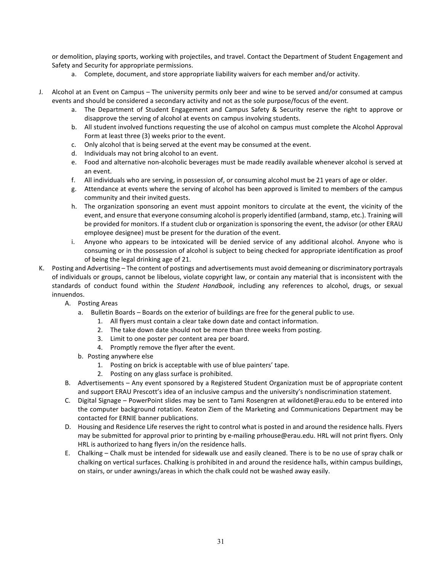or demolition, playing sports, working with projectiles, and travel. Contact the Department of Student Engagement and Safety and Security for appropriate permissions.

- a. Complete, document, and store appropriate liability waivers for each member and/or activity.
- J. Alcohol at an Event on Campus The university permits only beer and wine to be served and/or consumed at campus events and should be considered a secondary activity and not as the sole purpose/focus of the event.
	- a. The Department of Student Engagement and Campus Safety & Security reserve the right to approve or disapprove the serving of alcohol at events on campus involving students.
	- b. All student involved functions requesting the use of alcohol on campus must complete the Alcohol Approval Form at least three (3) weeks prior to the event.
	- c. Only alcohol that is being served at the event may be consumed at the event.
	- d. Individuals may not bring alcohol to an event.
	- e. Food and alternative non-alcoholic beverages must be made readily available whenever alcohol is served at an event.
	- f. All individuals who are serving, in possession of, or consuming alcohol must be 21 years of age or older.
	- g. Attendance at events where the serving of alcohol has been approved is limited to members of the campus community and their invited guests.
	- h. The organization sponsoring an event must appoint monitors to circulate at the event, the vicinity of the event, and ensure that everyone consuming alcohol is properly identified (armband, stamp, etc.). Training will be provided for monitors. If a student club or organization is sponsoring the event, the advisor (or other ERAU employee designee) must be present for the duration of the event.
	- i. Anyone who appears to be intoxicated will be denied service of any additional alcohol. Anyone who is consuming or in the possession of alcohol is subject to being checked for appropriate identification as proof of being the legal drinking age of 21.
- K. Posting and Advertising The content of postings and advertisements must avoid demeaning or discriminatory portrayals of individuals or groups, cannot be libelous, violate copyright law, or contain any material that is inconsistent with the standards of conduct found within the *Student Handbook*, including any references to alcohol, drugs, or sexual innuendos.
	- A. Posting Areas
		- a. Bulletin Boards Boards on the exterior of buildings are free for the general public to use.
			- 1. All flyers must contain a clear take down date and contact information.
			- 2. The take down date should not be more than three weeks from posting.
			- 3. Limit to one poster per content area per board.
			- 4. Promptly remove the flyer after the event.
		- b. Posting anywhere else
			- 1. Posting on brick is acceptable with use of blue painters' tape.
			- 2. Posting on any glass surface is prohibited.
	- B. Advertisements Any event sponsored by a Registered Student Organization must be of appropriate content and support ERAU Prescott's idea of an inclusive campus and the university's nondiscrimination statement.
	- C. Digital Signage PowerPoint slides may be sent to Tami Rosengren at wildonet@erau.edu to be entered into the computer background rotation. Keaton Ziem of the Marketing and Communications Department may be contacted for ERNIE banner publications.
	- D. Housing and Residence Life reserves the right to control what is posted in and around the residence halls. Flyers may be submitted for approval prior to printing by e-mailing prhouse@erau.edu. HRL will not print flyers. Only HRL is authorized to hang flyers in/on the residence halls.
	- E. Chalking Chalk must be intended for sidewalk use and easily cleaned. There is to be no use of spray chalk or chalking on vertical surfaces. Chalking is prohibited in and around the residence halls, within campus buildings, on stairs, or under awnings/areas in which the chalk could not be washed away easily.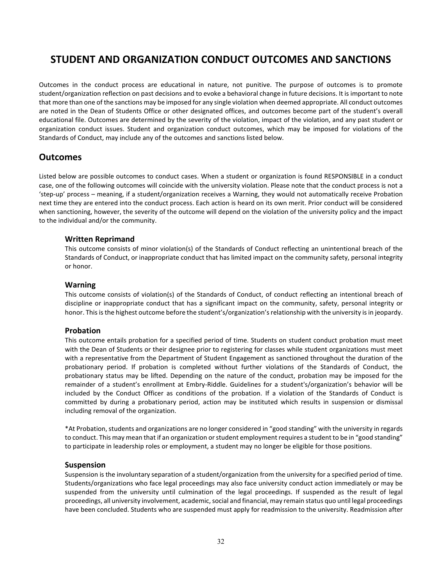## **STUDENT AND ORGANIZATION CONDUCT OUTCOMES AND SANCTIONS**

Outcomes in the conduct process are educational in nature, not punitive. The purpose of outcomes is to promote student/organization reflection on past decisions and to evoke a behavioral change in future decisions. It is important to note that more than one of the sanctions may be imposed for any single violation when deemed appropriate. All conduct outcomes are noted in the Dean of Students Office or other designated offices, and outcomes become part of the student's overall educational file. Outcomes are determined by the severity of the violation, impact of the violation, and any past student or organization conduct issues. Student and organization conduct outcomes, which may be imposed for violations of the Standards of Conduct, may include any of the outcomes and sanctions listed below.

### **Outcomes**

Listed below are possible outcomes to conduct cases. When a student or organization is found RESPONSIBLE in a conduct case, one of the following outcomes will coincide with the university violation. Please note that the conduct process is not a 'step-up' process – meaning, if a student/organization receives a Warning, they would not automatically receive Probation next time they are entered into the conduct process. Each action is heard on its own merit. Prior conduct will be considered when sanctioning, however, the severity of the outcome will depend on the violation of the university policy and the impact to the individual and/or the community.

#### **Written Reprimand**

This outcome consists of minor violation(s) of the Standards of Conduct reflecting an unintentional breach of the Standards of Conduct, or inappropriate conduct that has limited impact on the community safety, personal integrity or honor.

#### **Warning**

This outcome consists of violation(s) of the Standards of Conduct, of conduct reflecting an intentional breach of discipline or inappropriate conduct that has a significant impact on the community, safety, personal integrity or honor. This is the highest outcome before the student's/organization's relationship with the university is in jeopardy.

#### **Probation**

This outcome entails probation for a specified period of time. Students on student conduct probation must meet with the Dean of Students or their designee prior to registering for classes while student organizations must meet with a representative from the Department of Student Engagement as sanctioned throughout the duration of the probationary period. If probation is completed without further violations of the Standards of Conduct, the probationary status may be lifted. Depending on the nature of the conduct, probation may be imposed for the remainder of a student's enrollment at Embry-Riddle. Guidelines for a student's/organization's behavior will be included by the Conduct Officer as conditions of the probation. If a violation of the Standards of Conduct is committed by during a probationary period, action may be instituted which results in suspension or dismissal including removal of the organization.

\*At Probation, students and organizations are no longer considered in "good standing" with the university in regards to conduct. This may mean that if an organization or student employment requires a student to be in "good standing" to participate in leadership roles or employment, a student may no longer be eligible for those positions.

#### **Suspension**

Suspension is the involuntary separation of a student/organization from the university for a specified period of time. Students/organizations who face legal proceedings may also face university conduct action immediately or may be suspended from the university until culmination of the legal proceedings. If suspended as the result of legal proceedings, all university involvement, academic, social and financial, may remain status quo until legal proceedings have been concluded. Students who are suspended must apply for readmission to the university. Readmission after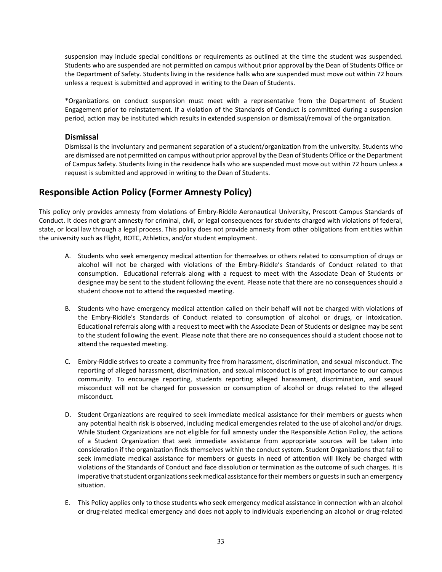suspension may include special conditions or requirements as outlined at the time the student was suspended. Students who are suspended are not permitted on campus without prior approval by the Dean of Students Office or the Department of Safety. Students living in the residence halls who are suspended must move out within 72 hours unless a request is submitted and approved in writing to the Dean of Students.

\*Organizations on conduct suspension must meet with a representative from the Department of Student Engagement prior to reinstatement. If a violation of the Standards of Conduct is committed during a suspension period, action may be instituted which results in extended suspension or dismissal/removal of the organization.

#### **Dismissal**

Dismissal is the involuntary and permanent separation of a student/organization from the university. Students who are dismissed are not permitted on campus without prior approval by the Dean of Students Office or the Department of Campus Safety. Students living in the residence halls who are suspended must move out within 72 hours unless a request is submitted and approved in writing to the Dean of Students.

## **Responsible Action Policy (Former Amnesty Policy)**

This policy only provides amnesty from violations of Embry-Riddle Aeronautical University, Prescott Campus Standards of Conduct. It does not grant amnesty for criminal, civil, or legal consequences for students charged with violations of federal, state, or local law through a legal process. This policy does not provide amnesty from other obligations from entities within the university such as Flight, ROTC, Athletics, and/or student employment.

- A. Students who seek emergency medical attention for themselves or others related to consumption of drugs or alcohol will not be charged with violations of the Embry-Riddle's Standards of Conduct related to that consumption. Educational referrals along with a request to meet with the Associate Dean of Students or designee may be sent to the student following the event. Please note that there are no consequences should a student choose not to attend the requested meeting.
- B. Students who have emergency medical attention called on their behalf will not be charged with violations of the Embry-Riddle's Standards of Conduct related to consumption of alcohol or drugs, or intoxication. Educational referrals along with a request to meet with the Associate Dean of Students or designee may be sent to the student following the event. Please note that there are no consequences should a student choose not to attend the requested meeting.
- C. Embry-Riddle strives to create a community free from harassment, discrimination, and sexual misconduct. The reporting of alleged harassment, discrimination, and sexual misconduct is of great importance to our campus community. To encourage reporting, students reporting alleged harassment, discrimination, and sexual misconduct will not be charged for possession or consumption of alcohol or drugs related to the alleged misconduct.
- D. Student Organizations are required to seek immediate medical assistance for their members or guests when any potential health risk is observed, including medical emergencies related to the use of alcohol and/or drugs. While Student Organizations are not eligible for full amnesty under the Responsible Action Policy, the actions of a Student Organization that seek immediate assistance from appropriate sources will be taken into consideration if the organization finds themselves within the conduct system. Student Organizations that fail to seek immediate medical assistance for members or guests in need of attention will likely be charged with violations of the Standards of Conduct and face dissolution or termination as the outcome of such charges. It is imperative that student organizations seek medical assistance for their members or guests in such an emergency situation.
- E. This Policy applies only to those students who seek emergency medical assistance in connection with an alcohol or drug-related medical emergency and does not apply to individuals experiencing an alcohol or drug-related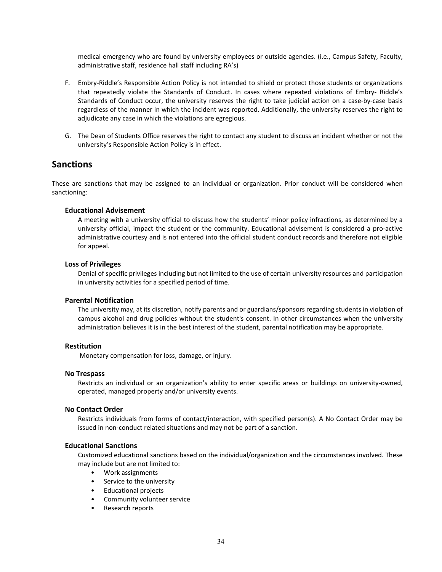medical emergency who are found by university employees or outside agencies. (i.e., Campus Safety, Faculty, administrative staff, residence hall staff including RA's)

- F. Embry-Riddle's Responsible Action Policy is not intended to shield or protect those students or organizations that repeatedly violate the Standards of Conduct. In cases where repeated violations of Embry- Riddle's Standards of Conduct occur, the university reserves the right to take judicial action on a case-by-case basis regardless of the manner in which the incident was reported. Additionally, the university reserves the right to adjudicate any case in which the violations are egregious.
- G. The Dean of Students Office reserves the right to contact any student to discuss an incident whether or not the university's Responsible Action Policy is in effect.

#### **Sanctions**

These are sanctions that may be assigned to an individual or organization. Prior conduct will be considered when sanctioning:

#### **Educational Advisement**

A meeting with a university official to discuss how the students' minor policy infractions, as determined by a university official, impact the student or the community. Educational advisement is considered a pro-active administrative courtesy and is not entered into the official student conduct records and therefore not eligible for appeal.

#### **Loss of Privileges**

Denial of specific privileges including but not limited to the use of certain university resources and participation in university activities for a specified period of time.

#### **Parental Notification**

The university may, at its discretion, notify parents and or guardians/sponsors regarding students in violation of campus alcohol and drug policies without the student's consent. In other circumstances when the university administration believes it is in the best interest of the student, parental notification may be appropriate.

#### **Restitution**

Monetary compensation for loss, damage, or injury.

#### **No Trespass**

Restricts an individual or an organization's ability to enter specific areas or buildings on university-owned, operated, managed property and/or university events.

#### **No Contact Order**

Restricts individuals from forms of contact/interaction, with specified person(s). A No Contact Order may be issued in non-conduct related situations and may not be part of a sanction.

#### **Educational Sanctions**

Customized educational sanctions based on the individual/organization and the circumstances involved. These may include but are not limited to:

- Work assignments
- Service to the university
- Educational projects
- Community volunteer service
- Research reports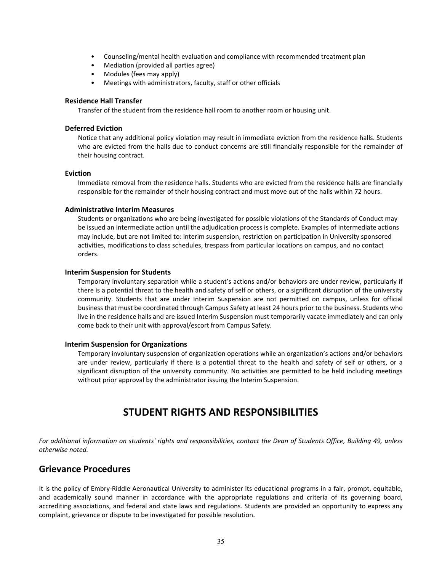- Counseling/mental health evaluation and compliance with recommended treatment plan
- Mediation (provided all parties agree)
- Modules (fees may apply)
- Meetings with administrators, faculty, staff or other officials

#### **Residence Hall Transfer**

Transfer of the student from the residence hall room to another room or housing unit.

#### **Deferred Eviction**

Notice that any additional policy violation may result in immediate eviction from the residence halls. Students who are evicted from the halls due to conduct concerns are still financially responsible for the remainder of their housing contract.

#### **Eviction**

Immediate removal from the residence halls. Students who are evicted from the residence halls are financially responsible for the remainder of their housing contract and must move out of the halls within 72 hours.

#### **Administrative Interim Measures**

Students or organizations who are being investigated for possible violations of the Standards of Conduct may be issued an intermediate action until the adjudication process is complete. Examples of intermediate actions may include, but are not limited to: interim suspension, restriction on participation in University sponsored activities, modifications to class schedules, trespass from particular locations on campus, and no contact orders.

#### **Interim Suspension for Students**

Temporary involuntary separation while a student's actions and/or behaviors are under review, particularly if there is a potential threat to the health and safety of self or others, or a significant disruption of the university community. Students that are under Interim Suspension are not permitted on campus, unless for official business that must be coordinated through Campus Safety at least 24 hours prior to the business. Students who live in the residence halls and are issued Interim Suspension must temporarily vacate immediately and can only come back to their unit with approval/escort from Campus Safety.

#### **Interim Suspension for Organizations**

Temporary involuntary suspension of organization operations while an organization's actions and/or behaviors are under review, particularly if there is a potential threat to the health and safety of self or others, or a significant disruption of the university community. No activities are permitted to be held including meetings without prior approval by the administrator issuing the Interim Suspension.

## **STUDENT RIGHTS AND RESPONSIBILITIES**

*For additional information on students' rights and responsibilities, contact the Dean of Students Office, Building 49, unless otherwise noted.*

#### **Grievance Procedures**

It is the policy of Embry-Riddle Aeronautical University to administer its educational programs in a fair, prompt, equitable, and academically sound manner in accordance with the appropriate regulations and criteria of its governing board, accrediting associations, and federal and state laws and regulations. Students are provided an opportunity to express any complaint, grievance or dispute to be investigated for possible resolution.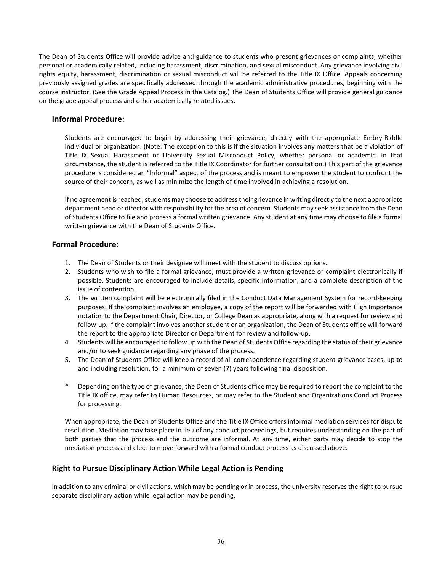The Dean of Students Office will provide advice and guidance to students who present grievances or complaints, whether personal or academically related, including harassment, discrimination, and sexual misconduct. Any grievance involving civil rights equity, harassment, discrimination or sexual misconduct will be referred to the Title IX Office. Appeals concerning previously assigned grades are specifically addressed through the academic administrative procedures, beginning with the course instructor. (See the Grade Appeal Process in the Catalog.) The Dean of Students Office will provide general guidance on the grade appeal process and other academically related issues.

#### **Informal Procedure:**

Students are encouraged to begin by addressing their grievance, directly with the appropriate Embry-Riddle individual or organization. (Note: The exception to this is if the situation involves any matters that be a violation of Title IX Sexual Harassment or University Sexual Misconduct Policy, whether personal or academic. In that circumstance, the student is referred to the Title IX Coordinator for further consultation.) This part of the grievance procedure is considered an "Informal" aspect of the process and is meant to empower the student to confront the source of their concern, as well as minimize the length of time involved in achieving a resolution.

If no agreement is reached, students may choose to addresstheir grievance in writing directly to the next appropriate department head or director with responsibility for the area of concern. Students may seek assistance from the Dean of Students Office to file and process a formal written grievance. Any student at any time may choose to file a formal written grievance with the Dean of Students Office.

#### **Formal Procedure:**

- 1. The Dean of Students or their designee will meet with the student to discuss options.
- 2. Students who wish to file a formal grievance, must provide a written grievance or complaint electronically if possible. Students are encouraged to include details, specific information, and a complete description of the issue of contention.
- 3. The written complaint will be electronically filed in the Conduct Data Management System for record-keeping purposes. If the complaint involves an employee, a copy of the report will be forwarded with High Importance notation to the Department Chair, Director, or College Dean as appropriate, along with a request for review and follow-up. If the complaint involves another student or an organization, the Dean of Students office will forward the report to the appropriate Director or Department for review and follow-up.
- 4. Students will be encouraged to follow up with the Dean of Students Office regarding the status of their grievance and/or to seek guidance regarding any phase of the process.
- 5. The Dean of Students Office will keep a record of all correspondence regarding student grievance cases, up to and including resolution, for a minimum of seven (7) years following final disposition.
- Depending on the type of grievance, the Dean of Students office may be required to report the complaint to the Title IX office, may refer to Human Resources, or may refer to the Student and Organizations Conduct Process for processing.

When appropriate, the Dean of Students Office and the Title IX Office offers informal mediation services for dispute resolution. Mediation may take place in lieu of any conduct proceedings, but requires understanding on the part of both parties that the process and the outcome are informal. At any time, either party may decide to stop the mediation process and elect to move forward with a formal conduct process as discussed above.

#### **Right to Pursue Disciplinary Action While Legal Action is Pending**

In addition to any criminal or civil actions, which may be pending or in process, the university reserves the right to pursue separate disciplinary action while legal action may be pending.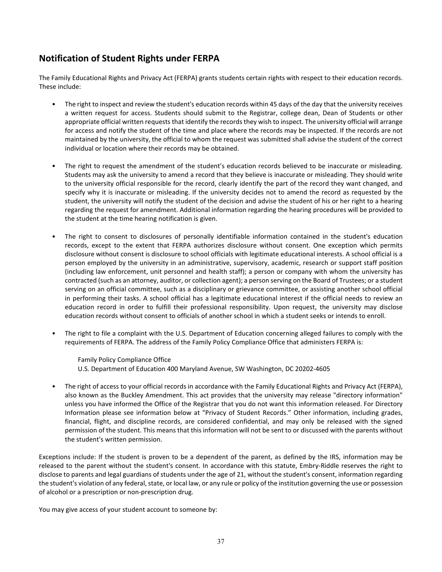## **Notification of Student Rights under FERPA**

The Family Educational Rights and Privacy Act (FERPA) grants students certain rights with respect to their education records. These include:

- The right to inspect and review the student's education records within 45 days of the day that the university receives a written request for access. Students should submit to the Registrar, college dean, Dean of Students or other appropriate official written requests that identify the records they wish to inspect. The university official will arrange for access and notify the student of the time and place where the records may be inspected. If the records are not maintained by the university, the official to whom the request was submitted shall advise the student of the correct individual or location where their records may be obtained.
- The right to request the amendment of the student's education records believed to be inaccurate or misleading. Students may ask the university to amend a record that they believe is inaccurate or misleading. They should write to the university official responsible for the record, clearly identify the part of the record they want changed, and specify why it is inaccurate or misleading. If the university decides not to amend the record as requested by the student, the university will notify the student of the decision and advise the student of his or her right to a hearing regarding the request for amendment. Additional information regarding the hearing procedures will be provided to the student at the time hearing notification is given.
- The right to consent to disclosures of personally identifiable information contained in the student's education records, except to the extent that FERPA authorizes disclosure without consent. One exception which permits disclosure without consent is disclosure to school officials with legitimate educational interests. A school official is a person employed by the university in an administrative, supervisory, academic, research or support staff position (including law enforcement, unit personnel and health staff); a person or company with whom the university has contracted (such as an attorney, auditor, or collection agent); a person serving on the Board of Trustees; or a student serving on an official committee, such as a disciplinary or grievance committee, or assisting another school official in performing their tasks. A school official has a legitimate educational interest if the official needs to review an education record in order to fulfill their professional responsibility. Upon request, the university may disclose education records without consent to officials of another school in which a student seeks or intends to enroll.
- The right to file a complaint with the U.S. Department of Education concerning alleged failures to comply with the requirements of FERPA. The address of the Family Policy Compliance Office that administers FERPA is:

Family Policy Compliance Office U.S. Department of Education 400 Maryland Avenue, SW Washington, DC 20202-4605

• The right of access to your official records in accordance with the Family Educational Rights and Privacy Act (FERPA), also known as the Buckley Amendment. This act provides that the university may release "directory information" unless you have informed the Office of the Registrar that you do not want this information released. For Directory Information please see information below at "Privacy of Student Records." Other information, including grades, financial, flight, and discipline records, are considered confidential, and may only be released with the signed permission of the student. This means that this information will not be sent to or discussed with the parents without the student's written permission.

Exceptions include: If the student is proven to be a dependent of the parent, as defined by the IRS, information may be released to the parent without the student's consent. In accordance with this statute, Embry-Riddle reserves the right to disclose to parents and legal guardians of students under the age of 21, without the student's consent, information regarding the student's violation of any federal, state, or local law, or any rule or policy of the institution governing the use or possession of alcohol or a prescription or non-prescription drug.

You may give access of your student account to someone by: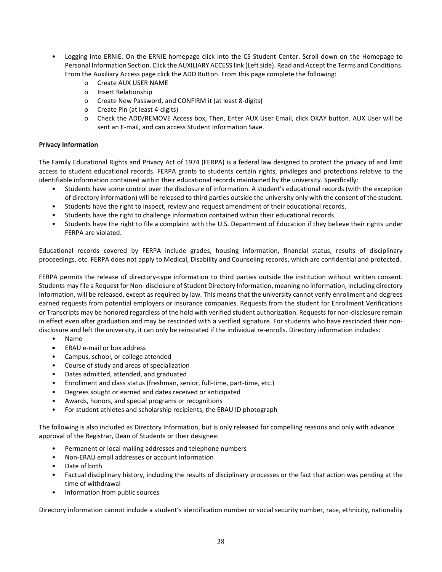- Logging into ERNIE. On the ERNIE homepage click into the CS Student Center. Scroll down on the Homepage to Personal Information Section. Click the AUXILIARY ACCESS link (Left side). Read and Accept the Terms and Conditions. From the Auxiliary Access page click the ADD Button. From this page complete the following:
	- o Create AUX USER NAME
	- o Insert Relationship
	- o Create New Password, and CONFIRM it (at least 8-digits)
	- o Create Pin (at least 4-digits)
	- o Check the ADD/REMOVE Access box, Then, Enter AUX User Email, click OKAY button. AUX User will be sent an E-mail, and can access Student Information Save.

#### **Privacy Information**

The Family Educational Rights and Privacy Act of 1974 (FERPA) is a federal law designed to protect the privacy of and limit access to student educational records. FERPA grants to students certain rights, privileges and protections relative to the identifiable information contained within their educational records maintained by the university. Specifically:

- Students have some control over the disclosure of information. A student's educational records (with the exception of directory information) will be released to third parties outside the university only with the consent of the student.
- Students have the right to inspect, review and request amendment of their educational records.
- Students have the right to challenge information contained within their educational records.
- Students have the right to file a complaint with the U.S. Department of Education if they believe their rights under FERPA are violated.

Educational records covered by FERPA include grades, housing information, financial status, results of disciplinary proceedings, etc. FERPA does not apply to Medical, Disability and Counseling records, which are confidential and protected.

FERPA permits the release of directory-type information to third parties outside the institution without written consent. Students may file a Request for Non- disclosure of Student Directory Information, meaning no information, including directory information, will be released, except as required by law. This means that the university cannot verify enrollment and degrees earned requests from potential employers or insurance companies. Requests from the student for Enrollment Verifications or Transcripts may be honored regardless of the hold with verified student authorization. Requests for non-disclosure remain in effect even after graduation and may be rescinded with a verified signature. For students who have rescinded their nondisclosure and left the university, it can only be reinstated if the individual re-enrolls. Directory information includes:

- Name
- ERAU e-mail or box address
- Campus, school, or college attended
- Course of study and areas of specialization
- Dates admitted, attended, and graduated
- Enrollment and class status (freshman, senior, full-time, part-time, etc.)
- Degrees sought or earned and dates received or anticipated
- Awards, honors, and special programs or recognitions
- For student athletes and scholarship recipients, the ERAU ID photograph

The following is also included as Directory Information, but is only released for compelling reasons and only with advance approval of the Registrar, Dean of Students or their designee:

- Permanent or local mailing addresses and telephone numbers
- Non-ERAU email addresses or account information
- Date of birth
- Factual disciplinary history, including the results of disciplinary processes or the fact that action was pending at the time of withdrawal
- Information from public sources

Directory information cannot include a student's identification number or social security number, race, ethnicity, nationality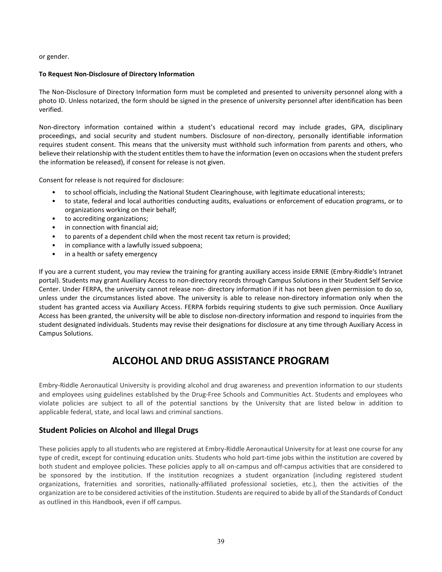or gender.

#### **To Request Non-Disclosure of Directory Information**

The Non-Disclosure of Directory Information form must be completed and presented to university personnel along with a photo ID. Unless notarized, the form should be signed in the presence of university personnel after identification has been verified.

Non-directory information contained within a student's educational record may include grades, GPA, disciplinary proceedings, and social security and student numbers. Disclosure of non-directory, personally identifiable information requires student consent. This means that the university must withhold such information from parents and others, who believe their relationship with the student entitles them to have the information (even on occasions when the student prefers the information be released), if consent for release is not given.

Consent for release is not required for disclosure:

- to school officials, including the National Student Clearinghouse, with legitimate educational interests;
- to state, federal and local authorities conducting audits, evaluations or enforcement of education programs, or to organizations working on their behalf;
- to accrediting organizations;
- in connection with financial aid;
- to parents of a dependent child when the most recent tax return is provided;
- in compliance with a lawfully issued subpoena;
- in a health or safety emergency

If you are a current student, you may review the training for granting auxiliary access inside ERNIE (Embry-Riddle's Intranet portal). Students may grant Auxiliary Access to non-directory records through Campus Solutions in their Student Self Service Center. Under FERPA, the university cannot release non- directory information if it has not been given permission to do so, unless under the circumstances listed above. The university is able to release non-directory information only when the student has granted access via Auxiliary Access. FERPA forbids requiring students to give such permission. Once Auxiliary Access has been granted, the university will be able to disclose non-directory information and respond to inquiries from the student designated individuals. Students may revise their designations for disclosure at any time through Auxiliary Access in Campus Solutions.

## **ALCOHOL AND DRUG ASSISTANCE PROGRAM**

Embry-Riddle Aeronautical University is providing alcohol and drug awareness and prevention information to our students and employees using guidelines established by the Drug-Free Schools and Communities Act. Students and employees who violate policies are subject to all of the potential sanctions by the University that are listed below in addition to applicable federal, state, and local laws and criminal sanctions.

#### **Student Policies on Alcohol and Illegal Drugs**

These policies apply to all students who are registered at Embry-Riddle Aeronautical University for at least one course for any type of credit, except for continuing education units. Students who hold part-time jobs within the institution are covered by both student and employee policies. These policies apply to all on-campus and off-campus activities that are considered to be sponsored by the institution. If the institution recognizes a student organization (including registered student organizations, fraternities and sororities, nationally-affiliated professional societies, etc.), then the activities of the organization are to be considered activities of the institution. Students are required to abide by all of the Standards of Conduct as outlined in this Handbook, even if off campus.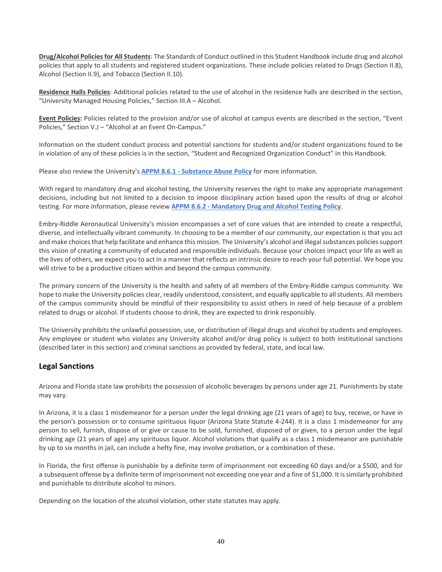**Drug/Alcohol Policies for All Students**: The Standards of Conduct outlined in this Student Handbook include drug and alcohol policies that apply to all students and registered student organizations. These include policies related to Drugs (Section II.8), Alcohol (Section II.9), and Tobacco (Section II.10).

**Residence Halls Policies**: Additional policies related to the use of alcohol in the residence halls are described in the section, "University Managed Housing Policies," Section III.A – Alcohol.

**Event Policies:** Policies related to the provision and/or use of alcohol at campus events are described in the section, "Event Policies," Section V.J – "Alcohol at an Event On-Campus."

Information on the student conduct process and potential sanctions for students and/or student organizations found to be in violation of any of these policies is in the section, "Student and Recognized Organization Conduct" in this Handbook.

Please also review the University's **APPM 8.6.1 - [Substance Abuse Policy](http://appm.erau.edu/section-8/8-6-1/index.html)** for more information.

With regard to mandatory drug and alcohol testing, the University reserves the right to make any appropriate management decisions, including but not limited to a decision to impose disciplinary action based upon the results of drug or alcohol testing. For more information, please review **APPM 8.6.2 - [Mandatory Drug and Alcohol Testing Policy](https://myerauedu.sharepoint.com/teams/APPM/section-8/Pages/8-6-2-policy.aspx)**.

Embry-Riddle Aeronautical University's mission encompasses a set of core values that are intended to create a respectful, diverse, and intellectually vibrant community. In choosing to be a member of our community, our expectation is that you act and make choices that help facilitate and enhance this mission. The University's alcohol and illegal substances policies support this vision of creating a community of educated and responsible individuals. Because your choices impact your life as well as the lives of others, we expect you to act in a manner that reflects an intrinsic desire to reach your full potential. We hope you will strive to be a productive citizen within and beyond the campus community.

The primary concern of the University is the health and safety of all members of the Embry-Riddle campus community. We hope to make the University policies clear, readily understood, consistent, and equally applicable to all students. All members of the campus community should be mindful of their responsibility to assist others in need of help because of a problem related to drugs or alcohol. If students choose to drink, they are expected to drink responsibly.

The University prohibits the unlawful possession, use, or distribution of illegal drugs and alcohol by students and employees. Any employee or student who violates any University alcohol and/or drug policy is subject to both institutional sanctions (described later in this section) and criminal sanctions as provided by federal, state, and local law.

#### **Legal Sanctions**

Arizona and Florida state law prohibits the possession of alcoholic beverages by persons under age 21. Punishments by state may vary.

In Arizona, it is a class 1 misdemeanor for a person under the legal drinking age (21 years of age) to buy, receive, or have in the person's possession or to consume spirituous liquor (Arizona State Statute 4-244). It is a class 1 misdemeanor for any person to sell, furnish, dispose of or give or cause to be sold, furnished, disposed of or given, to a person under the legal drinking age (21 years of age) any spirituous liquor. Alcohol violations that qualify as a class 1 misdemeanor are punishable by up to six months in jail, can include a hefty fine, may involve probation, or a combination of these.

In Florida, the first offense is punishable by a definite term of imprisonment not exceeding 60 days and/or a \$500, and for a subsequent offense by a definite term of imprisonment not exceeding one year and a fine of \$1,000. It is similarly prohibited and punishable to distribute alcohol to minors.

Depending on the location of the alcohol violation, other state statutes may apply.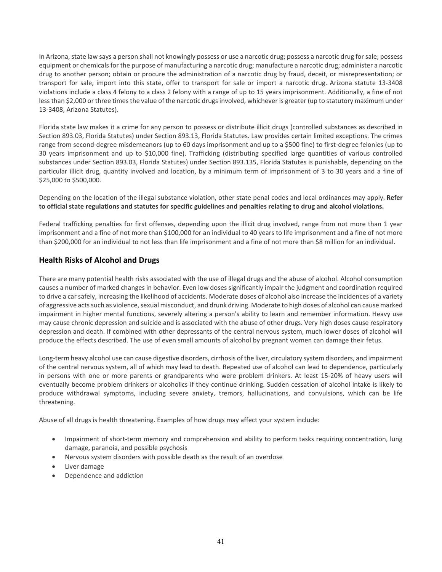In Arizona, state law says a person shall not knowingly possess or use a narcotic drug; possess a narcotic drug for sale; possess equipment or chemicals for the purpose of manufacturing a narcotic drug; manufacture a narcotic drug; administer a narcotic drug to another person; obtain or procure the administration of a narcotic drug by fraud, deceit, or misrepresentation; or transport for sale, import into this state, offer to transport for sale or import a narcotic drug. Arizona statute 13-3408 violations include a class 4 felony to a class 2 felony with a range of up to 15 years imprisonment. Additionally, a fine of not less than \$2,000 or three times the value of the narcotic drugs involved, whichever is greater (up to statutory maximum under 13-3408, Arizona Statutes).

Florida state law makes it a crime for any person to possess or distribute illicit drugs (controlled substances as described in Section 893.03, Florida Statutes) under Section 893.13, Florida Statutes. Law provides certain limited exceptions. The crimes range from second-degree misdemeanors (up to 60 days imprisonment and up to a \$500 fine) to first-degree felonies (up to 30 years imprisonment and up to \$10,000 fine). Trafficking (distributing specified large quantities of various controlled substances under Section 893.03, Florida Statutes) under Section 893.135, Florida Statutes is punishable, depending on the particular illicit drug, quantity involved and location, by a minimum term of imprisonment of 3 to 30 years and a fine of \$25,000 to \$500,000.

Depending on the location of the illegal substance violation, other state penal codes and local ordinances may apply. **Refer to official state regulations and statutes for specific guidelines and penalties relating to drug and alcohol violations.**

Federal trafficking penalties for first offenses, depending upon the illicit drug involved, range from not more than 1 year imprisonment and a fine of not more than \$100,000 for an individual to 40 years to life imprisonment and a fine of not more than \$200,000 for an individual to not less than life imprisonment and a fine of not more than \$8 million for an individual.

#### **Health Risks of Alcohol and Drugs**

There are many potential health risks associated with the use of illegal drugs and the abuse of alcohol. Alcohol consumption causes a number of marked changes in behavior. Even low doses significantly impair the judgment and coordination required to drive a car safely, increasing the likelihood of accidents. Moderate doses of alcohol also increase the incidences of a variety of aggressive acts such as violence, sexual misconduct, and drunk driving. Moderate to high doses of alcohol can cause marked impairment in higher mental functions, severely altering a person's ability to learn and remember information. Heavy use may cause chronic depression and suicide and is associated with the abuse of other drugs. Very high doses cause respiratory depression and death. If combined with other depressants of the central nervous system, much lower doses of alcohol will produce the effects described. The use of even small amounts of alcohol by pregnant women can damage their fetus.

Long-term heavy alcohol use can cause digestive disorders, cirrhosis of the liver, circulatory system disorders, and impairment of the central nervous system, all of which may lead to death. Repeated use of alcohol can lead to dependence, particularly in persons with one or more parents or grandparents who were problem drinkers. At least 15-20% of heavy users will eventually become problem drinkers or alcoholics if they continue drinking. Sudden cessation of alcohol intake is likely to produce withdrawal symptoms, including severe anxiety, tremors, hallucinations, and convulsions, which can be life threatening.

Abuse of all drugs is health threatening. Examples of how drugs may affect your system include:

- Impairment of short-term memory and comprehension and ability to perform tasks requiring concentration, lung damage, paranoia, and possible psychosis
- Nervous system disorders with possible death as the result of an overdose
- Liver damage
- Dependence and addiction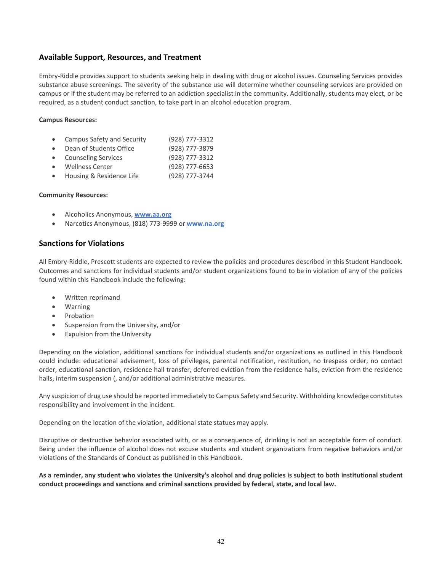#### **Available Support, Resources, and Treatment**

Embry-Riddle provides support to students seeking help in dealing with drug or alcohol issues. Counseling Services provides substance abuse screenings. The severity of the substance use will determine whether counseling services are provided on campus or if the student may be referred to an addiction specialist in the community. Additionally, students may elect, or be required, as a student conduct sanction, to take part in an alcohol education program.

#### **Campus Resources:**

- Campus Safety and Security (928) 777-3312
- Dean of Students Office (928) 777-3879
- Counseling Services (928) 777-3312
- Wellness Center (928) 777-6653
- Housing & Residence Life (928) 777-3744

#### **Community Resources:**

- Alcoholics Anonymous, **[www.aa.org](http://www.aa.org/pages/en_US)**
- Narcotics Anonymous, (818) 773-9999 or **[www.na.org](http://www.na.org/)**

#### **Sanctions for Violations**

All Embry-Riddle, Prescott students are expected to review the policies and procedures described in this Student Handbook. Outcomes and sanctions for individual students and/or student organizations found to be in violation of any of the policies found within this Handbook include the following:

- Written reprimand
- Warning
- **Probation**
- Suspension from the University, and/or
- Expulsion from the University

Depending on the violation, additional sanctions for individual students and/or organizations as outlined in this Handbook could include: educational advisement, loss of privileges, parental notification, restitution, no trespass order, no contact order, educational sanction, residence hall transfer, deferred eviction from the residence halls, eviction from the residence halls, interim suspension (, and/or additional administrative measures.

Any suspicion of drug use should be reported immediately to Campus Safety and Security. Withholding knowledge constitutes responsibility and involvement in the incident.

Depending on the location of the violation, additional state statues may apply.

Disruptive or destructive behavior associated with, or as a consequence of, drinking is not an acceptable form of conduct. Being under the influence of alcohol does not excuse students and student organizations from negative behaviors and/or violations of the Standards of Conduct as published in this Handbook.

**As a reminder, any student who violates the University's alcohol and drug policies is subject to both institutional student conduct proceedings and sanctions and criminal sanctions provided by federal, state, and local law.**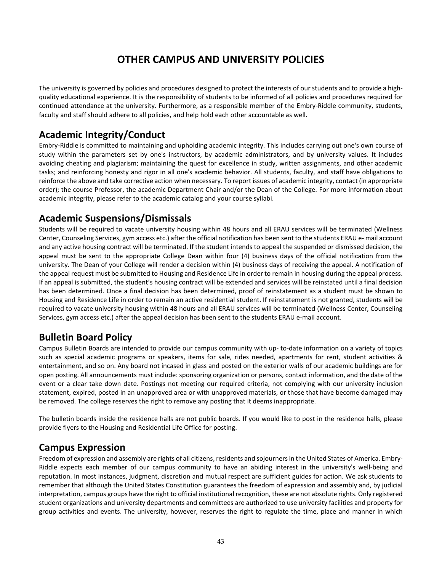## **OTHER CAMPUS AND UNIVERSITY POLICIES**

The university is governed by policies and procedures designed to protect the interests of our students and to provide a highquality educational experience. It is the responsibility of students to be informed of all policies and procedures required for continued attendance at the university. Furthermore, as a responsible member of the Embry-Riddle community, students, faculty and staff should adhere to all policies, and help hold each other accountable as well.

## **Academic Integrity/Conduct**

Embry-Riddle is committed to maintaining and upholding academic integrity. This includes carrying out one's own course of study within the parameters set by one's instructors, by academic administrators, and by university values. It includes avoiding cheating and plagiarism; maintaining the quest for excellence in study, written assignments, and other academic tasks; and reinforcing honesty and rigor in all one's academic behavior. All students, faculty, and staff have obligations to reinforce the above and take corrective action when necessary. To report issues of academic integrity, contact (in appropriate order); the course Professor, the academic Department Chair and/or the Dean of the College. For more information about academic integrity, please refer to the academic catalog and your course syllabi.

## **Academic Suspensions/Dismissals**

Students will be required to vacate university housing within 48 hours and all ERAU services will be terminated (Wellness Center, Counseling Services, gym access etc.) after the official notification has been sent to the students ERAU e- mail account and any active housing contract will be terminated. If the student intends to appeal the suspended or dismissed decision, the appeal must be sent to the appropriate College Dean within four (4) business days of the official notification from the university. The Dean of your College will render a decision within (4) business days of receiving the appeal. A notification of the appeal request must be submitted to Housing and Residence Life in order to remain in housing during the appeal process. If an appeal is submitted, the student's housing contract will be extended and services will be reinstated until a final decision has been determined. Once a final decision has been determined, proof of reinstatement as a student must be shown to Housing and Residence Life in order to remain an active residential student. If reinstatement is not granted, students will be required to vacate university housing within 48 hours and all ERAU services will be terminated (Wellness Center, Counseling Services, gym access etc.) after the appeal decision has been sent to the students ERAU e-mail account.

## **Bulletin Board Policy**

Campus Bulletin Boards are intended to provide our campus community with up- to-date information on a variety of topics such as special academic programs or speakers, items for sale, rides needed, apartments for rent, student activities & entertainment, and so on. Any board not incased in glass and posted on the exterior walls of our academic buildings are for open posting. All announcements must include: sponsoring organization or persons, contact information, and the date of the event or a clear take down date. Postings not meeting our required criteria, not complying with our university inclusion statement, expired, posted in an unapproved area or with unapproved materials, or those that have become damaged may be removed. The college reserves the right to remove any posting that it deems inappropriate.

The bulletin boards inside the residence halls are not public boards. If you would like to post in the residence halls, please provide flyers to the Housing and Residential Life Office for posting.

## **Campus Expression**

Freedom of expression and assembly are rights of all citizens, residents and sojourners in the United States of America. Embry-Riddle expects each member of our campus community to have an abiding interest in the university's well-being and reputation. In most instances, judgment, discretion and mutual respect are sufficient guides for action. We ask students to remember that although the United States Constitution guarantees the freedom of expression and assembly and, by judicial interpretation, campus groups have the right to official institutional recognition, these are not absolute rights. Only registered student organizations and university departments and committees are authorized to use university facilities and property for group activities and events. The university, however, reserves the right to regulate the time, place and manner in which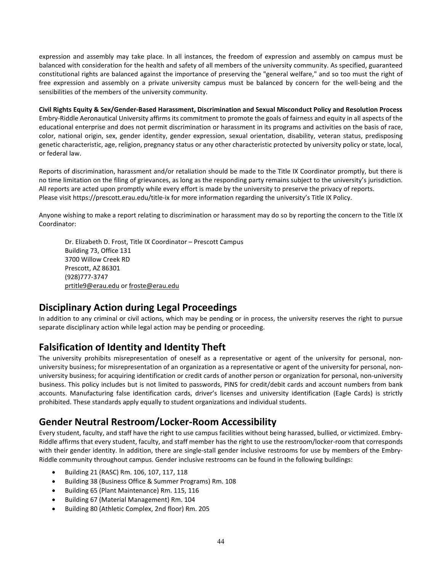expression and assembly may take place. In all instances, the freedom of expression and assembly on campus must be balanced with consideration for the health and safety of all members of the university community. As specified, guaranteed constitutional rights are balanced against the importance of preserving the "general welfare," and so too must the right of free expression and assembly on a private university campus must be balanced by concern for the well-being and the sensibilities of the members of the university community.

**Civil Rights Equity & Sex/Gender-Based Harassment, Discrimination and Sexual Misconduct Policy and Resolution Process** Embry-Riddle Aeronautical University affirms its commitment to promote the goals of fairness and equity in all aspects of the educational enterprise and does not permit discrimination or harassment in its programs and activities on the basis of race, color, national origin, sex, gender identity, gender expression, sexual orientation, disability, veteran status, predisposing genetic characteristic, age, religion, pregnancy status or any other characteristic protected by university policy or state, local, or federal law.

Reports of discrimination, harassment and/or retaliation should be made to the Title IX Coordinator promptly, but there is no time limitation on the filing of grievances, as long as the responding party remains subject to the university's jurisdiction. All reports are acted upon promptly while every effort is made by the university to preserve the privacy of reports. Please visit https://prescott.erau.edu/title-ix for more information regarding the university's Title IX Policy.

Anyone wishing to make a report relating to discrimination or harassment may do so by reporting the concern to the Title IX Coordinator:

Dr. Elizabeth D. Frost, Title IX Coordinator – Prescott Campus Building 73, Office 131 3700 Willow Creek RD Prescott, AZ 86301 (928)777-3747 [prtitle9@erau.edu](mailto:prtitle9@erau.edu) or [froste@erau.edu](mailto:froste@erau.edu)

## **Disciplinary Action during Legal Proceedings**

In addition to any criminal or civil actions, which may be pending or in process, the university reserves the right to pursue separate disciplinary action while legal action may be pending or proceeding.

## **Falsification of Identity and Identity Theft**

The university prohibits misrepresentation of oneself as a representative or agent of the university for personal, nonuniversity business; for misrepresentation of an organization as a representative or agent of the university for personal, nonuniversity business; for acquiring identification or credit cards of another person or organization for personal, non-university business. This policy includes but is not limited to passwords, PINS for credit/debit cards and account numbers from bank accounts. Manufacturing false identification cards, driver's licenses and university identification (Eagle Cards) is strictly prohibited. These standards apply equally to student organizations and individual students.

## **Gender Neutral Restroom/Locker-Room Accessibility**

Every student, faculty, and staff have the right to use campus facilities without being harassed, bullied, or victimized. Embry-Riddle affirms that every student, faculty, and staff member has the right to use the restroom/locker-room that corresponds with their gender identity. In addition, there are single-stall gender inclusive restrooms for use by members of the Embry-Riddle community throughout campus. Gender inclusive restrooms can be found in the following buildings:

- Building 21 (RASC) Rm. 106, 107, 117, 118
- Building 38 (Business Office & Summer Programs) Rm. 108
- Building 65 (Plant Maintenance) Rm. 115, 116
- Building 67 (Material Management) Rm. 104
- Building 80 (Athletic Complex, 2nd floor) Rm. 205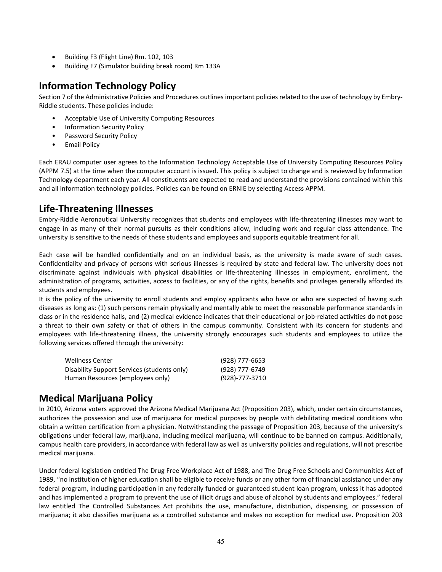- Building F3 (Flight Line) Rm. 102, 103
- Building F7 (Simulator building break room) Rm 133A

## **Information Technology Policy**

Section 7 of the Administrative Policies and Procedures outlines important policies related to the use of technology by Embry-Riddle students. These policies include:

- Acceptable Use of University Computing Resources
- Information Security Policy
- Password Security Policy
- Email Policy

Each ERAU computer user agrees to the Information Technology Acceptable Use of University Computing Resources Policy (APPM 7.5) at the time when the computer account is issued. This policy is subject to change and is reviewed by Information Technology department each year. All constituents are expected to read and understand the provisions contained within this and all information technology policies. Policies can be found on ERNIE by selecting Access APPM.

## **Life-Threatening Illnesses**

Embry-Riddle Aeronautical University recognizes that students and employees with life-threatening illnesses may want to engage in as many of their normal pursuits as their conditions allow, including work and regular class attendance. The university is sensitive to the needs of these students and employees and supports equitable treatment for all.

Each case will be handled confidentially and on an individual basis, as the university is made aware of such cases. Confidentiality and privacy of persons with serious illnesses is required by state and federal law. The university does not discriminate against individuals with physical disabilities or life-threatening illnesses in employment, enrollment, the administration of programs, activities, access to facilities, or any of the rights, benefits and privileges generally afforded its students and employees.

It is the policy of the university to enroll students and employ applicants who have or who are suspected of having such diseases as long as: (1) such persons remain physically and mentally able to meet the reasonable performance standards in class or in the residence halls, and (2) medical evidence indicates that their educational or job-related activities do not pose a threat to their own safety or that of others in the campus community. Consistent with its concern for students and employees with life-threatening illness, the university strongly encourages such students and employees to utilize the following services offered through the university:

| Wellness Center                             | (928) 777-6653 |
|---------------------------------------------|----------------|
| Disability Support Services (students only) | (928) 777-6749 |
| Human Resources (employees only)            | (928)-777-3710 |

## **Medical Marijuana Policy**

In 2010, Arizona voters approved the Arizona Medical Marijuana Act (Proposition 203), which, under certain circumstances, authorizes the possession and use of marijuana for medical purposes by people with debilitating medical conditions who obtain a written certification from a physician. Notwithstanding the passage of Proposition 203, because of the university's obligations under federal law, marijuana, including medical marijuana, will continue to be banned on campus. Additionally, campus health care providers, in accordance with federal law as well as university policies and regulations, will not prescribe medical marijuana.

Under federal legislation entitled The Drug Free Workplace Act of 1988, and The Drug Free Schools and Communities Act of 1989, "no institution of higher education shall be eligible to receive funds or any other form of financial assistance under any federal program, including participation in any federally funded or guaranteed student loan program, unless it has adopted and has implemented a program to prevent the use of illicit drugs and abuse of alcohol by students and employees." federal law entitled The Controlled Substances Act prohibits the use, manufacture, distribution, dispensing, or possession of marijuana; it also classifies marijuana as a controlled substance and makes no exception for medical use. Proposition 203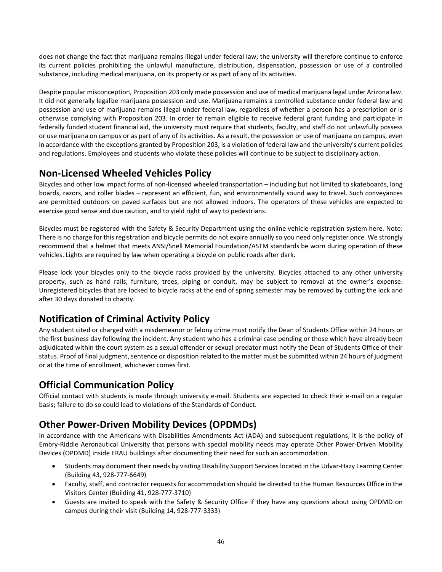does not change the fact that marijuana remains illegal under federal law; the university will therefore continue to enforce its current policies prohibiting the unlawful manufacture, distribution, dispensation, possession or use of a controlled substance, including medical marijuana, on its property or as part of any of its activities.

Despite popular misconception, Proposition 203 only made possession and use of medical marijuana legal under Arizona law. It did not generally legalize marijuana possession and use. Marijuana remains a controlled substance under federal law and possession and use of marijuana remains illegal under federal law, regardless of whether a person has a prescription or is otherwise complying with Proposition 203. In order to remain eligible to receive federal grant funding and participate in federally funded student financial aid, the university must require that students, faculty, and staff do not unlawfully possess or use marijuana on campus or as part of any of its activities. As a result, the possession or use of marijuana on campus, even in accordance with the exceptions granted by Proposition 203, is a violation of federal law and the university's current policies and regulations. Employees and students who violate these policies will continue to be subject to disciplinary action.

## **Non-Licensed Wheeled Vehicles Policy**

Bicycles and other low impact forms of non-licensed wheeled transportation – including but not limited to skateboards, long boards, razors, and roller blades – represent an efficient, fun, and environmentally sound way to travel. Such conveyances are permitted outdoors on paved surfaces but are not allowed indoors. The operators of these vehicles are expected to exercise good sense and due caution, and to yield right of way to pedestrians.

Bicycles must be registered with the Safety & Security Department using the online vehicle registration system here. Note: There is no charge for this registration and bicycle permits do not expire annually so you need only register once. We strongly recommend that a helmet that meets ANSI/Snell Memorial Foundation/ASTM standards be worn during operation of these vehicles. Lights are required by law when operating a bicycle on public roads after dark.

Please lock your bicycles only to the bicycle racks provided by the university. Bicycles attached to any other university property, such as hand rails, furniture, trees, piping or conduit, may be subject to removal at the owner's expense. Unregistered bicycles that are locked to bicycle racks at the end of spring semester may be removed by cutting the lock and after 30 days donated to charity.

## **Notification of Criminal Activity Policy**

Any student cited or charged with a misdemeanor or felony crime must notify the Dean of Students Office within 24 hours or the first business day following the incident. Any student who has a criminal case pending or those which have already been adjudicated within the court system as a sexual offender or sexual predator must notify the Dean of Students Office of their status. Proof of final judgment, sentence or disposition related to the matter must be submitted within 24 hours of judgment or at the time of enrollment, whichever comes first.

## **Official Communication Policy**

Official contact with students is made through university e-mail. Students are expected to check their e-mail on a regular basis; failure to do so could lead to violations of the Standards of Conduct.

## **Other Power-Driven Mobility Devices (OPDMDs)**

In accordance with the Americans with Disabilities Amendments Act (ADA) and subsequent regulations, it is the policy of Embry-Riddle Aeronautical University that persons with special mobility needs may operate Other Power-Driven Mobility Devices (OPDMD) inside ERAU buildings after documenting their need for such an accommodation.

- Students may document their needs by visiting Disability Support Services located in the Udvar-Hazy Learning Center (Building 43, 928-777-6649)
- Faculty, staff, and contractor requests for accommodation should be directed to the Human Resources Office in the Visitors Center (Building 41, 928-777-3710)
- Guests are invited to speak with the Safety & Security Office if they have any questions about using OPDMD on campus during their visit (Building 14, 928-777-3333)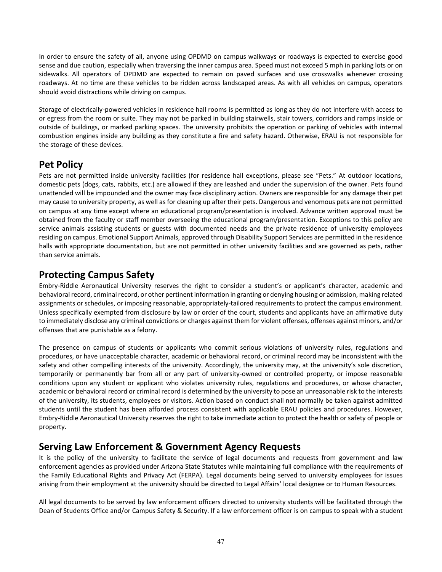In order to ensure the safety of all, anyone using OPDMD on campus walkways or roadways is expected to exercise good sense and due caution, especially when traversing the inner campus area. Speed must not exceed 5 mph in parking lots or on sidewalks. All operators of OPDMD are expected to remain on paved surfaces and use crosswalks whenever crossing roadways. At no time are these vehicles to be ridden across landscaped areas. As with all vehicles on campus, operators should avoid distractions while driving on campus.

Storage of electrically-powered vehicles in residence hall rooms is permitted as long as they do not interfere with access to or egress from the room or suite. They may not be parked in building stairwells, stair towers, corridors and ramps inside or outside of buildings, or marked parking spaces. The university prohibits the operation or parking of vehicles with internal combustion engines inside any building as they constitute a fire and safety hazard. Otherwise, ERAU is not responsible for the storage of these devices.

## **Pet Policy**

Pets are not permitted inside university facilities (for residence hall exceptions, please see "Pets." At outdoor locations, domestic pets (dogs, cats, rabbits, etc.) are allowed if they are leashed and under the supervision of the owner. Pets found unattended will be impounded and the owner may face disciplinary action. Owners are responsible for any damage their pet may cause to university property, as well as for cleaning up after their pets. Dangerous and venomous pets are not permitted on campus at any time except where an educational program/presentation is involved. Advance written approval must be obtained from the faculty or staff member overseeing the educational program/presentation. Exceptions to this policy are service animals assisting students or guests with documented needs and the private residence of university employees residing on campus. Emotional Support Animals, approved through Disability Support Services are permitted in the residence halls with appropriate documentation, but are not permitted in other university facilities and are governed as pets, rather than service animals.

## **Protecting Campus Safety**

Embry-Riddle Aeronautical University reserves the right to consider a student's or applicant's character, academic and behavioral record, criminal record, or other pertinent information in granting or denying housing or admission, making related assignments or schedules, or imposing reasonable, appropriately-tailored requirements to protect the campus environment. Unless specifically exempted from disclosure by law or order of the court, students and applicants have an affirmative duty to immediately disclose any criminal convictions or charges against them for violent offenses, offenses against minors, and/or offenses that are punishable as a felony.

The presence on campus of students or applicants who commit serious violations of university rules, regulations and procedures, or have unacceptable character, academic or behavioral record, or criminal record may be inconsistent with the safety and other compelling interests of the university. Accordingly, the university may, at the university's sole discretion, temporarily or permanently bar from all or any part of university-owned or controlled property, or impose reasonable conditions upon any student or applicant who violates university rules, regulations and procedures, or whose character, academic or behavioral record or criminal record is determined by the university to pose an unreasonable risk to the interests of the university, its students, employees or visitors. Action based on conduct shall not normally be taken against admitted students until the student has been afforded process consistent with applicable ERAU policies and procedures. However, Embry-Riddle Aeronautical University reserves the right to take immediate action to protect the health or safety of people or property.

## **Serving Law Enforcement & Government Agency Requests**

It is the policy of the university to facilitate the service of legal documents and requests from government and law enforcement agencies as provided under Arizona State Statutes while maintaining full compliance with the requirements of the Family Educational Rights and Privacy Act (FERPA). Legal documents being served to university employees for issues arising from their employment at the university should be directed to Legal Affairs' local designee or to Human Resources.

All legal documents to be served by law enforcement officers directed to university students will be facilitated through the Dean of Students Office and/or Campus Safety & Security. If a law enforcement officer is on campus to speak with a student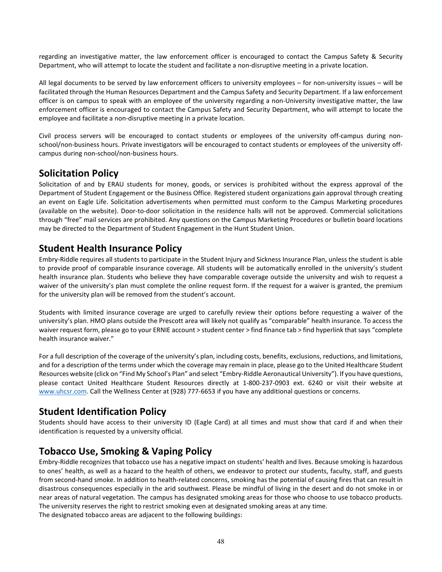regarding an investigative matter, the law enforcement officer is encouraged to contact the Campus Safety & Security Department, who will attempt to locate the student and facilitate a non-disruptive meeting in a private location.

All legal documents to be served by law enforcement officers to university employees – for non-university issues – will be facilitated through the Human Resources Department and the Campus Safety and Security Department. If a law enforcement officer is on campus to speak with an employee of the university regarding a non-University investigative matter, the law enforcement officer is encouraged to contact the Campus Safety and Security Department, who will attempt to locate the employee and facilitate a non-disruptive meeting in a private location.

Civil process servers will be encouraged to contact students or employees of the university off-campus during nonschool/non-business hours. Private investigators will be encouraged to contact students or employees of the university offcampus during non-school/non-business hours.

## **Solicitation Policy**

Solicitation of and by ERAU students for money, goods, or services is prohibited without the express approval of the Department of Student Engagement or the Business Office. Registered student organizations gain approval through creating an event on Eagle Life. Solicitation advertisements when permitted must conform to the Campus Marketing procedures (available on the website). Door-to-door solicitation in the residence halls will not be approved. Commercial solicitations through "free" mail services are prohibited. Any questions on the Campus Marketing Procedures or bulletin board locations may be directed to the Department of Student Engagement in the Hunt Student Union.

## **Student Health Insurance Policy**

Embry-Riddle requires all students to participate in the Student Injury and Sickness Insurance Plan, unless the student is able to provide proof of comparable insurance coverage. All students will be automatically enrolled in the university's student health insurance plan. Students who believe they have comparable coverage outside the university and wish to request a waiver of the university's plan must complete the online request form. If the request for a waiver is granted, the premium for the university plan will be removed from the student's account.

Students with limited insurance coverage are urged to carefully review their options before requesting a waiver of the university's plan. HMO plans outside the Prescott area will likely not qualify as "comparable" health insurance. To access the waiver request form, please go to your ERNIE account > student center > find finance tab > find hyperlink that says "complete health insurance waiver."

For a full description of the coverage of the university's plan, including costs, benefits, exclusions, reductions, and limitations, and for a description of the terms under which the coverage may remain in place, please go to the United Healthcare Student Resources website (click on "Find My School's Plan" and select "Embry-Riddle Aeronautical University"). If you have questions, please contact United Healthcare Student Resources directly at 1-800-237-0903 ext. 6240 or visit their website at [www.uhcsr.com.](http://www.uhcsr.com/) Call the Wellness Center at (928) 777-6653 if you have any additional questions or concerns.

## **Student Identification Policy**

Students should have access to their university ID (Eagle Card) at all times and must show that card if and when their identification is requested by a university official.

## **Tobacco Use, Smoking & Vaping Policy**

Embry-Riddle recognizes that tobacco use has a negative impact on students' health and lives. Because smoking is hazardous to ones' health, as well as a hazard to the health of others, we endeavor to protect our students, faculty, staff, and guests from second-hand smoke. In addition to health-related concerns, smoking has the potential of causing fires that can result in disastrous consequences especially in the arid southwest. Please be mindful of living in the desert and do not smoke in or near areas of natural vegetation. The campus has designated smoking areas for those who choose to use tobacco products. The university reserves the right to restrict smoking even at designated smoking areas at any time.

The designated tobacco areas are adjacent to the following buildings: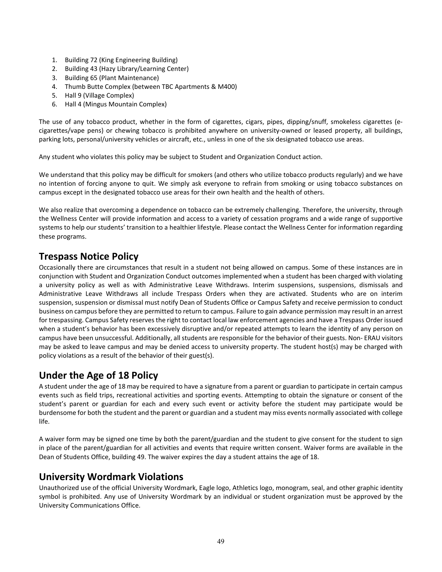- 1. Building 72 (King Engineering Building)
- 2. Building 43 (Hazy Library/Learning Center)
- 3. Building 65 (Plant Maintenance)
- 4. Thumb Butte Complex (between TBC Apartments & M400)
- 5. Hall 9 (Village Complex)
- 6. Hall 4 (Mingus Mountain Complex)

The use of any tobacco product, whether in the form of cigarettes, cigars, pipes, dipping/snuff, smokeless cigarettes (ecigarettes/vape pens) or chewing tobacco is prohibited anywhere on university-owned or leased property, all buildings, parking lots, personal/university vehicles or aircraft, etc., unless in one of the six designated tobacco use areas.

Any student who violates this policy may be subject to Student and Organization Conduct action.

We understand that this policy may be difficult for smokers (and others who utilize tobacco products regularly) and we have no intention of forcing anyone to quit. We simply ask everyone to refrain from smoking or using tobacco substances on campus except in the designated tobacco use areas for their own health and the health of others.

We also realize that overcoming a dependence on tobacco can be extremely challenging. Therefore, the university, through the Wellness Center will provide information and access to a variety of cessation programs and a wide range of supportive systems to help our students' transition to a healthier lifestyle. Please contact the Wellness Center for information regarding these programs.

## **Trespass Notice Policy**

Occasionally there are circumstances that result in a student not being allowed on campus. Some of these instances are in conjunction with Student and Organization Conduct outcomes implemented when a student has been charged with violating a university policy as well as with Administrative Leave Withdraws. Interim suspensions, suspensions, dismissals and Administrative Leave Withdraws all include Trespass Orders when they are activated. Students who are on interim suspension, suspension or dismissal must notify Dean of Students Office or Campus Safety and receive permission to conduct business on campus before they are permitted to return to campus. Failure to gain advance permission may result in an arrest for trespassing. Campus Safety reserves the right to contact local law enforcement agencies and have a Trespass Order issued when a student's behavior has been excessively disruptive and/or repeated attempts to learn the identity of any person on campus have been unsuccessful. Additionally, all students are responsible for the behavior of their guests. Non- ERAU visitors may be asked to leave campus and may be denied access to university property. The student host(s) may be charged with policy violations as a result of the behavior of their guest(s).

## **Under the Age of 18 Policy**

A student under the age of 18 may be required to have a signature from a parent or guardian to participate in certain campus events such as field trips, recreational activities and sporting events. Attempting to obtain the signature or consent of the student's parent or guardian for each and every such event or activity before the student may participate would be burdensome for both the student and the parent or guardian and a student may miss events normally associated with college life.

A waiver form may be signed one time by both the parent/guardian and the student to give consent for the student to sign in place of the parent/guardian for all activities and events that require written consent. Waiver forms are available in the Dean of Students Office, building 49. The waiver expires the day a student attains the age of 18.

## **University Wordmark Violations**

Unauthorized use of the official University Wordmark, Eagle logo, Athletics logo, monogram, seal, and other graphic identity symbol is prohibited. Any use of University Wordmark by an individual or student organization must be approved by the University Communications Office.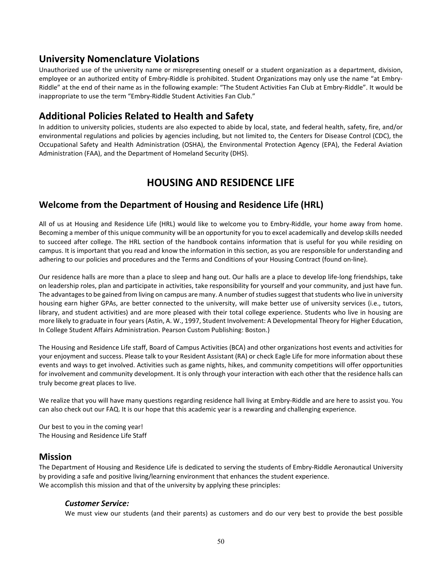## **University Nomenclature Violations**

Unauthorized use of the university name or misrepresenting oneself or a student organization as a department, division, employee or an authorized entity of Embry-Riddle is prohibited. Student Organizations may only use the name "at Embry-Riddle" at the end of their name as in the following example: "The Student Activities Fan Club at Embry-Riddle". It would be inappropriate to use the term "Embry-Riddle Student Activities Fan Club."

## **Additional Policies Related to Health and Safety**

In addition to university policies, students are also expected to abide by local, state, and federal health, safety, fire, and/or environmental regulations and policies by agencies including, but not limited to, the Centers for Disease Control (CDC), the Occupational Safety and Health Administration (OSHA), the Environmental Protection Agency (EPA), the Federal Aviation Administration (FAA), and the Department of Homeland Security (DHS).

## **HOUSING AND RESIDENCE LIFE**

## **Welcome from the Department of Housing and Residence Life (HRL)**

All of us at Housing and Residence Life (HRL) would like to welcome you to Embry-Riddle, your home away from home. Becoming a member of this unique community will be an opportunity for you to excel academically and develop skills needed to succeed after college. The HRL section of the handbook contains information that is useful for you while residing on campus. It is important that you read and know the information in this section, as you are responsible for understanding and adhering to our policies and procedures and the Terms and Conditions of your Housing Contract (found on-line).

Our residence halls are more than a place to sleep and hang out. Our halls are a place to develop life-long friendships, take on leadership roles, plan and participate in activities, take responsibility for yourself and your community, and just have fun. The advantages to be gained from living on campus are many. A number of studies suggest that students who live in university housing earn higher GPAs, are better connected to the university, will make better use of university services (i.e., tutors, library, and student activities) and are more pleased with their total college experience. Students who live in housing are more likely to graduate in four years (Astin, A. W., 1997, Student Involvement: A Developmental Theory for Higher Education, In College Student Affairs Administration. Pearson Custom Publishing: Boston.)

The Housing and Residence Life staff, Board of Campus Activities (BCA) and other organizations host events and activities for your enjoyment and success. Please talk to your Resident Assistant (RA) or check Eagle Life for more information about these events and ways to get involved. Activities such as game nights, hikes, and community competitions will offer opportunities for involvement and community development. It is only through your interaction with each other that the residence halls can truly become great places to live.

We realize that you will have many questions regarding residence hall living at Embry-Riddle and are here to assist you. You can also check out our FAQ. It is our hope that this academic year is a rewarding and challenging experience.

Our best to you in the coming year! The Housing and Residence Life Staff

#### **Mission**

The Department of Housing and Residence Life is dedicated to serving the students of Embry-Riddle Aeronautical University by providing a safe and positive living/learning environment that enhances the student experience. We accomplish this mission and that of the university by applying these principles:

#### *Customer Service:*

We must view our students (and their parents) as customers and do our very best to provide the best possible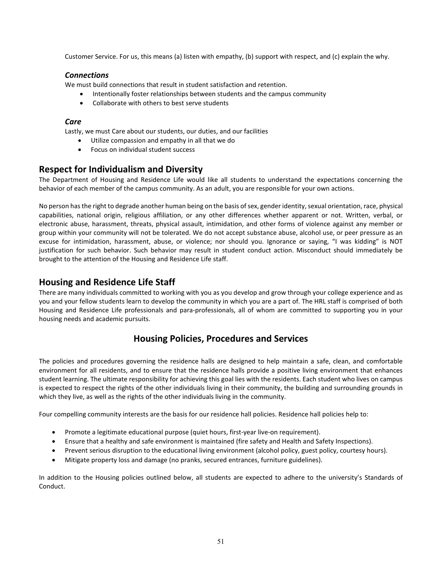Customer Service. For us, this means (a) listen with empathy, (b) support with respect, and (c) explain the why.

#### *Connections*

We must build connections that result in student satisfaction and retention.

- Intentionally foster relationships between students and the campus community
- Collaborate with others to best serve students

#### *Care*

Lastly, we must Care about our students, our duties, and our facilities

- Utilize compassion and empathy in all that we do
- Focus on individual student success

### **Respect for Individualism and Diversity**

The Department of Housing and Residence Life would like all students to understand the expectations concerning the behavior of each member of the campus community. As an adult, you are responsible for your own actions.

No person has the right to degrade another human being on the basis of sex, gender identity, sexual orientation, race, physical capabilities, national origin, religious affiliation, or any other differences whether apparent or not. Written, verbal, or electronic abuse, harassment, threats, physical assault, intimidation, and other forms of violence against any member or group within your community will not be tolerated. We do not accept substance abuse, alcohol use, or peer pressure as an excuse for intimidation, harassment, abuse, or violence; nor should you. Ignorance or saying, "I was kidding" is NOT justification for such behavior. Such behavior may result in student conduct action. Misconduct should immediately be brought to the attention of the Housing and Residence Life staff.

### **Housing and Residence Life Staff**

There are many individuals committed to working with you as you develop and grow through your college experience and as you and your fellow students learn to develop the community in which you are a part of. The HRL staff is comprised of both Housing and Residence Life professionals and para-professionals, all of whom are committed to supporting you in your housing needs and academic pursuits.

## **Housing Policies, Procedures and Services**

The policies and procedures governing the residence halls are designed to help maintain a safe, clean, and comfortable environment for all residents, and to ensure that the residence halls provide a positive living environment that enhances student learning. The ultimate responsibility for achieving this goal lies with the residents. Each student who lives on campus is expected to respect the rights of the other individuals living in their community, the building and surrounding grounds in which they live, as well as the rights of the other individuals living in the community.

Four compelling community interests are the basis for our residence hall policies. Residence hall policies help to:

- Promote a legitimate educational purpose (quiet hours, first-year live-on requirement).
- Ensure that a healthy and safe environment is maintained (fire safety and Health and Safety Inspections).
- Prevent serious disruption to the educational living environment (alcohol policy, guest policy, courtesy hours).
- Mitigate property loss and damage (no pranks, secured entrances, furniture guidelines).

In addition to the Housing policies outlined below, all students are expected to adhere to the university's Standards of Conduct.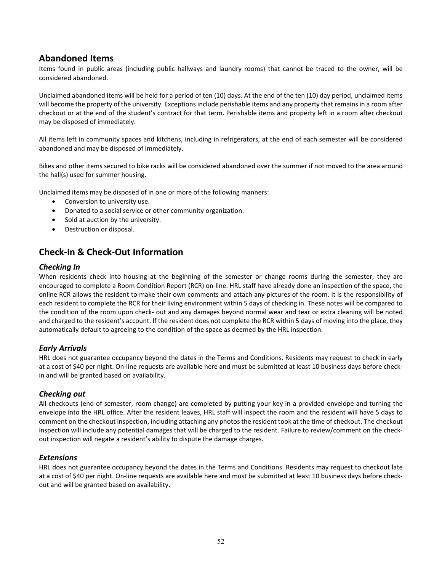### **Abandoned Items**

Items found in public areas (including public hallways and laundry rooms) that cannot be traced to the owner, will be considered abandoned.

Unclaimed abandoned items will be held for a period of ten (10) days. At the end of the ten (10) day period, unclaimed items will become the property of the university. Exceptions include perishable items and any property that remains in a room after checkout or at the end of the student's contract for that term. Perishable items and property left in a room after checkout may be disposed of immediately.

All items left in community spaces and kitchens, including in refrigerators, at the end of each semester will be considered abandoned and may be disposed of immediately.

Bikes and other items secured to bike racks will be considered abandoned over the summer if not moved to the area around the hall(s) used for summer housing.

Unclaimed items may be disposed of in one or more of the following manners:

- Conversion to university use.
- Donated to a social service or other community organization.
- Sold at auction by the university.
- Destruction or disposal.

### **Check-In & Check-Out Information**

#### *Checking In*

When residents check into housing at the beginning of the semester or change rooms during the semester, they are encouraged to complete a Room Condition Report (RCR) on-line. HRL staff have already done an inspection of the space, the online RCR allows the resident to make their own comments and attach any pictures of the room. It is the responsibility of each resident to complete the RCR for their living environment within 5 days of checking in. These notes will be compared to the condition of the room upon check- out and any damages beyond normal wear and tear or extra cleaning will be noted and charged to the resident's account. If the resident does not complete the RCR within 5 days of moving into the place, they automatically default to agreeing to the condition of the space as deemed by the HRL inspection.

#### *Early Arrivals*

HRL does not guarantee occupancy beyond the dates in the Terms and Conditions. Residents may request to check in early at a cost of \$40 per night. On-line requests are available here and must be submitted at least 10 business days before checkin and will be granted based on availability.

#### *Checking out*

All checkouts (end of semester, room change) are completed by putting your key in a provided envelope and turning the envelope into the HRL office. After the resident leaves, HRL staff will inspect the room and the resident will have 5 days to comment on the checkout inspection, including attaching any photos the resident took at the time of checkout. The checkout inspection will include any potential damages that will be charged to the resident. Failure to review/comment on the checkout inspection will negate a resident's ability to dispute the damage charges.

#### *Extensions*

HRL does not guarantee occupancy beyond the dates in the Terms and Conditions. Residents may request to checkout late at a cost of \$40 per night. On-line requests are available here and must be submitted at least 10 business days before checkout and will be granted based on availability.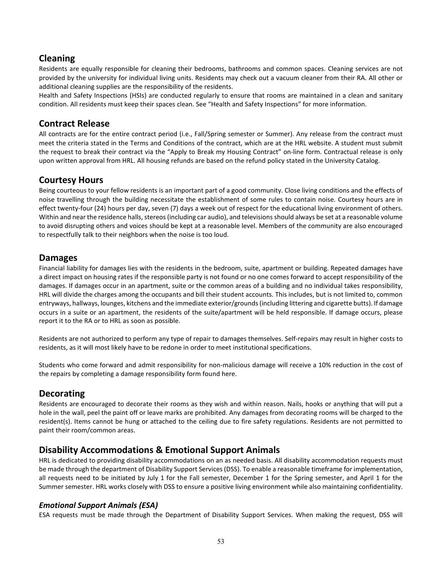## **Cleaning**

Residents are equally responsible for cleaning their bedrooms, bathrooms and common spaces. Cleaning services are not provided by the university for individual living units. Residents may check out a vacuum cleaner from their RA. All other or additional cleaning supplies are the responsibility of the residents.

Health and Safety Inspections (HSIs) are conducted regularly to ensure that rooms are maintained in a clean and sanitary condition. All residents must keep their spaces clean. See "Health and Safety Inspections" for more information.

### **Contract Release**

All contracts are for the entire contract period (i.e., Fall/Spring semester or Summer). Any release from the contract must meet the criteria stated in the Terms and Conditions of the contract, which are at the HRL website. A student must submit the request to break their contract via the "Apply to Break my Housing Contract" on-line form. Contractual release is only upon written approval from HRL. All housing refunds are based on the refund policy stated in the University Catalog.

### **Courtesy Hours**

Being courteous to your fellow residents is an important part of a good community. Close living conditions and the effects of noise travelling through the building necessitate the establishment of some rules to contain noise. Courtesy hours are in effect twenty-four (24) hours per day, seven (7) days a week out of respect for the educational living environment of others. Within and near the residence halls, stereos (including car audio), and televisions should always be set at a reasonable volume to avoid disrupting others and voices should be kept at a reasonable level. Members of the community are also encouraged to respectfully talk to their neighbors when the noise is too loud.

### **Damages**

Financial liability for damages lies with the residents in the bedroom, suite, apartment or building. Repeated damages have a direct impact on housing rates if the responsible party is not found or no one comes forward to accept responsibility of the damages. If damages occur in an apartment, suite or the common areas of a building and no individual takes responsibility, HRL will divide the charges among the occupants and bill their student accounts. This includes, but is not limited to, common entryways, hallways, lounges, kitchens and the immediate exterior/grounds (including littering and cigarette butts). If damage occurs in a suite or an apartment, the residents of the suite/apartment will be held responsible. If damage occurs, please report it to the RA or to HRL as soon as possible.

Residents are not authorized to perform any type of repair to damages themselves. Self-repairs may result in higher costs to residents, as it will most likely have to be redone in order to meet institutional specifications.

Students who come forward and admit responsibility for non-malicious damage will receive a 10% reduction in the cost of the repairs by completing a damage responsibility form found here.

## **Decorating**

Residents are encouraged to decorate their rooms as they wish and within reason. Nails, hooks or anything that will put a hole in the wall, peel the paint off or leave marks are prohibited. Any damages from decorating rooms will be charged to the resident(s). Items cannot be hung or attached to the ceiling due to fire safety regulations. Residents are not permitted to paint their room/common areas.

## **Disability Accommodations & Emotional Support Animals**

HRL is dedicated to providing disability accommodations on an as needed basis. All disability accommodation requests must be made through the department of Disability Support Services (DSS). To enable a reasonable timeframe for implementation, all requests need to be initiated by July 1 for the Fall semester, December 1 for the Spring semester, and April 1 for the Summer semester. HRL works closely with DSS to ensure a positive living environment while also maintaining confidentiality.

#### *Emotional Support Animals (ESA)*

ESA requests must be made through the Department of Disability Support Services. When making the request, DSS will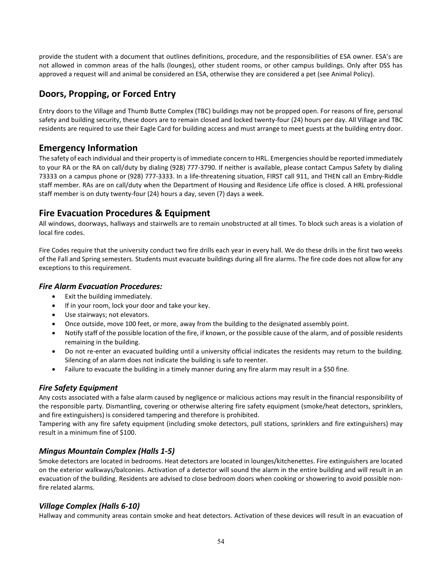provide the student with a document that outlines definitions, procedure, and the responsibilities of ESA owner. ESA's are not allowed in common areas of the halls (lounges), other student rooms, or other campus buildings. Only after DSS has approved a request will and animal be considered an ESA, otherwise they are considered a pet (see Animal Policy).

## **Doors, Propping, or Forced Entry**

Entry doors to the Village and Thumb Butte Complex (TBC) buildings may not be propped open. For reasons of fire, personal safety and building security, these doors are to remain closed and locked twenty-four (24) hours per day. All Village and TBC residents are required to use their Eagle Card for building access and must arrange to meet guests at the building entry door.

## **Emergency Information**

The safety of each individual and their property is of immediate concern to HRL. Emergencies should be reported immediately to your RA or the RA on call/duty by dialing (928) 777-3790. If neither is available, please contact Campus Safety by dialing 73333 on a campus phone or (928) 777-3333. In a life-threatening situation, FIRST call 911, and THEN call an Embry-Riddle staff member. RAs are on call/duty when the Department of Housing and Residence Life office is closed. A HRL professional staff member is on duty twenty-four (24) hours a day, seven (7) days a week.

## **Fire Evacuation Procedures & Equipment**

All windows, doorways, hallways and stairwells are to remain unobstructed at all times. To block such areas is a violation of local fire codes.

Fire Codes require that the university conduct two fire drills each year in every hall. We do these drills in the first two weeks of the Fall and Spring semesters. Students must evacuate buildings during all fire alarms. The fire code does not allow for any exceptions to this requirement.

#### *Fire Alarm Evacuation Procedures:*

- Exit the building immediately.
- If in your room, lock your door and take your key.
- Use stairways; not elevators.
- Once outside, move 100 feet, or more, away from the building to the designated assembly point.
- Notify staff of the possible location of the fire, if known, or the possible cause of the alarm, and of possible residents remaining in the building.
- Do not re-enter an evacuated building until a university official indicates the residents may return to the building. Silencing of an alarm does not indicate the building is safe to reenter.
- Failure to evacuate the building in a timely manner during any fire alarm may result in a \$50 fine.

### *Fire Safety Equipment*

Any costs associated with a false alarm caused by negligence or malicious actions may result in the financial responsibility of the responsible party. Dismantling, covering or otherwise altering fire safety equipment (smoke/heat detectors, sprinklers, and fire extinguishers) is considered tampering and therefore is prohibited.

Tampering with any fire safety equipment (including smoke detectors, pull stations, sprinklers and fire extinguishers) may result in a minimum fine of \$100.

#### *Mingus Mountain Complex (Halls 1-5)*

Smoke detectors are located in bedrooms. Heat detectors are located in lounges/kitchenettes. Fire extinguishers are located on the exterior walkways/balconies. Activation of a detector will sound the alarm in the entire building and will result in an evacuation of the building. Residents are advised to close bedroom doors when cooking or showering to avoid possible nonfire related alarms.

#### *Village Complex (Halls 6-10)*

Hallway and community areas contain smoke and heat detectors. Activation of these devices will result in an evacuation of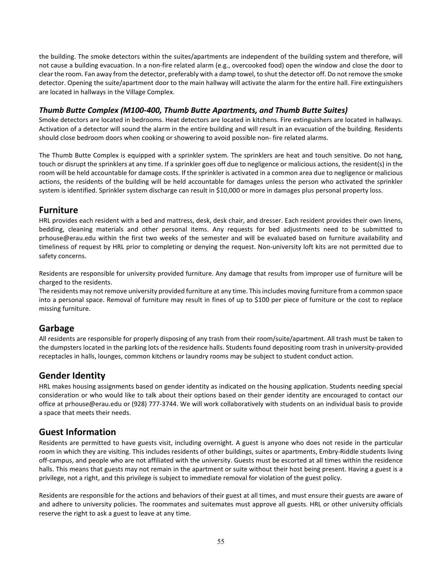the building. The smoke detectors within the suites/apartments are independent of the building system and therefore, will not cause a building evacuation. In a non-fire related alarm (e.g., overcooked food) open the window and close the door to clear the room. Fan away from the detector, preferably with a damp towel, to shut the detector off. Do not remove the smoke detector. Opening the suite/apartment door to the main hallway will activate the alarm for the entire hall. Fire extinguishers are located in hallways in the Village Complex.

#### *Thumb Butte Complex (M100-400, Thumb Butte Apartments, and Thumb Butte Suites)*

Smoke detectors are located in bedrooms. Heat detectors are located in kitchens. Fire extinguishers are located in hallways. Activation of a detector will sound the alarm in the entire building and will result in an evacuation of the building. Residents should close bedroom doors when cooking or showering to avoid possible non- fire related alarms.

The Thumb Butte Complex is equipped with a sprinkler system. The sprinklers are heat and touch sensitive. Do not hang, touch or disrupt the sprinklers at any time. If a sprinkler goes off due to negligence or malicious actions, the resident(s) in the room will be held accountable for damage costs. If the sprinkler is activated in a common area due to negligence or malicious actions, the residents of the building will be held accountable for damages unless the person who activated the sprinkler system is identified. Sprinkler system discharge can result in \$10,000 or more in damages plus personal property loss.

### **Furniture**

HRL provides each resident with a bed and mattress, desk, desk chair, and dresser. Each resident provides their own linens, bedding, cleaning materials and other personal items. Any requests for bed adjustments need to be submitted to prhouse@erau.edu within the first two weeks of the semester and will be evaluated based on furniture availability and timeliness of request by HRL prior to completing or denying the request. Non-university loft kits are not permitted due to safety concerns.

Residents are responsible for university provided furniture. Any damage that results from improper use of furniture will be charged to the residents.

The residents may not remove university provided furniture at any time. This includes moving furniture from a common space into a personal space. Removal of furniture may result in fines of up to \$100 per piece of furniture or the cost to replace missing furniture.

## **Garbage**

All residents are responsible for properly disposing of any trash from their room/suite/apartment. All trash must be taken to the dumpsters located in the parking lots of the residence halls. Students found depositing room trash in university-provided receptacles in halls, lounges, common kitchens or laundry rooms may be subject to student conduct action.

### **Gender Identity**

HRL makes housing assignments based on gender identity as indicated on the housing application. Students needing special consideration or who would like to talk about their options based on their gender identity are encouraged to contact our office at prhouse@erau.edu or (928) 777-3744. We will work collaboratively with students on an individual basis to provide a space that meets their needs.

## **Guest Information**

Residents are permitted to have guests visit, including overnight. A guest is anyone who does not reside in the particular room in which they are visiting. This includes residents of other buildings, suites or apartments, Embry-Riddle students living off-campus, and people who are not affiliated with the university. Guests must be escorted at all times within the residence halls. This means that guests may not remain in the apartment or suite without their host being present. Having a guest is a privilege, not a right, and this privilege is subject to immediate removal for violation of the guest policy.

Residents are responsible for the actions and behaviors of their guest at all times, and must ensure their guests are aware of and adhere to university policies. The roommates and suitemates must approve all guests. HRL or other university officials reserve the right to ask a guest to leave at any time.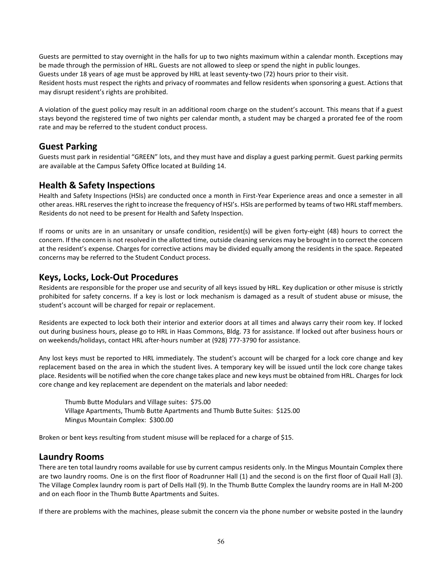Guests are permitted to stay overnight in the halls for up to two nights maximum within a calendar month. Exceptions may be made through the permission of HRL. Guests are not allowed to sleep or spend the night in public lounges. Guests under 18 years of age must be approved by HRL at least seventy-two (72) hours prior to their visit. Resident hosts must respect the rights and privacy of roommates and fellow residents when sponsoring a guest. Actions that may disrupt resident's rights are prohibited.

A violation of the guest policy may result in an additional room charge on the student's account. This means that if a guest stays beyond the registered time of two nights per calendar month, a student may be charged a prorated fee of the room rate and may be referred to the student conduct process.

## **Guest Parking**

Guests must park in residential "GREEN" lots, and they must have and display a guest parking permit. Guest parking permits are available at the Campus Safety Office located at Building 14.

### **Health & Safety Inspections**

Health and Safety Inspections (HSIs) are conducted once a month in First-Year Experience areas and once a semester in all other areas. HRL reserves the right to increase the frequency of HSI's. HSIs are performed by teams of two HRL staff members. Residents do not need to be present for Health and Safety Inspection.

If rooms or units are in an unsanitary or unsafe condition, resident(s) will be given forty-eight (48) hours to correct the concern. If the concern is not resolved in the allotted time, outside cleaning services may be brought in to correct the concern at the resident's expense. Charges for corrective actions may be divided equally among the residents in the space. Repeated concerns may be referred to the Student Conduct process.

### **Keys, Locks, Lock-Out Procedures**

Residents are responsible for the proper use and security of all keys issued by HRL. Key duplication or other misuse is strictly prohibited for safety concerns. If a key is lost or lock mechanism is damaged as a result of student abuse or misuse, the student's account will be charged for repair or replacement.

Residents are expected to lock both their interior and exterior doors at all times and always carry their room key. If locked out during business hours, please go to HRL in Haas Commons, Bldg. 73 for assistance. If locked out after business hours or on weekends/holidays, contact HRL after-hours number at (928) 777-3790 for assistance.

Any lost keys must be reported to HRL immediately. The student's account will be charged for a lock core change and key replacement based on the area in which the student lives. A temporary key will be issued until the lock core change takes place. Residents will be notified when the core change takes place and new keys must be obtained from HRL. Charges for lock core change and key replacement are dependent on the materials and labor needed:

Thumb Butte Modulars and Village suites: \$75.00 Village Apartments, Thumb Butte Apartments and Thumb Butte Suites: \$125.00 Mingus Mountain Complex: \$300.00

Broken or bent keys resulting from student misuse will be replaced for a charge of \$15.

## **Laundry Rooms**

There are ten total laundry rooms available for use by current campus residents only. In the Mingus Mountain Complex there are two laundry rooms. One is on the first floor of Roadrunner Hall (1) and the second is on the first floor of Quail Hall (3). The Village Complex laundry room is part of Dells Hall (9). In the Thumb Butte Complex the laundry rooms are in Hall M-200 and on each floor in the Thumb Butte Apartments and Suites.

If there are problems with the machines, please submit the concern via the phone number or website posted in the laundry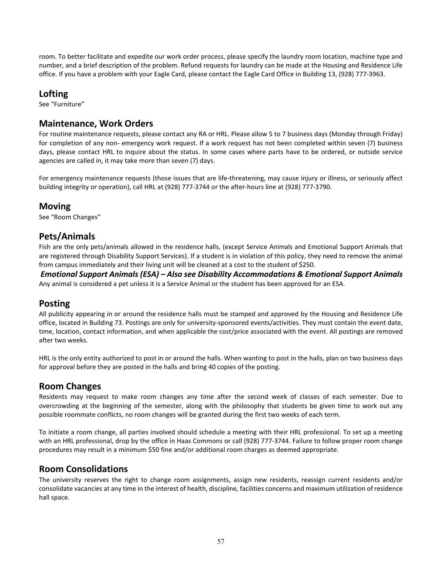room. To better facilitate and expedite our work order process, please specify the laundry room location, machine type and number, and a brief description of the problem. Refund requests for laundry can be made at the Housing and Residence Life office. If you have a problem with your Eagle Card, please contact the Eagle Card Office in Building 13, (928) 777-3963.

### **Lofting**

See "Furniture"

## **Maintenance, Work Orders**

For routine maintenance requests, please contact any RA or HRL. Please allow 5 to 7 business days (Monday through Friday) for completion of any non- emergency work request. If a work request has not been completed within seven (7) business days, please contact HRL to inquire about the status. In some cases where parts have to be ordered, or outside service agencies are called in, it may take more than seven (7) days.

For emergency maintenance requests (those issues that are life-threatening, may cause injury or illness, or seriously affect building integrity or operation), call HRL at (928) 777-3744 or the after-hours line at (928) 777-3790.

### **Moving**

See "Room Changes"

### **Pets/Animals**

Fish are the only pets/animals allowed in the residence halls, (except Service Animals and Emotional Support Animals that are registered through Disability Support Services). If a student is in violation of this policy, they need to remove the animal from campus immediately and their living unit will be cleaned at a cost to the student of \$250.

*Emotional Support Animals (ESA) – Also see Disability Accommodations & Emotional Support Animals* Any animal is considered a pet unless it is a Service Animal or the student has been approved for an ESA.

## **Posting**

All publicity appearing in or around the residence halls must be stamped and approved by the Housing and Residence Life office, located in Building 73. Postings are only for university-sponsored events/activities. They must contain the event date, time, location, contact information, and when applicable the cost/price associated with the event. All postings are removed after two weeks.

HRL is the only entity authorized to post in or around the halls. When wanting to post in the halls, plan on two business days for approval before they are posted in the halls and bring 40 copies of the posting.

## **Room Changes**

Residents may request to make room changes any time after the second week of classes of each semester. Due to overcrowding at the beginning of the semester, along with the philosophy that students be given time to work out any possible roommate conflicts, no room changes will be granted during the first two weeks of each term.

To initiate a room change, all parties involved should schedule a meeting with their HRL professional. To set up a meeting with an HRL professional, drop by the office in Haas Commons or call (928) 777-3744. Failure to follow proper room change procedures may result in a minimum \$50 fine and/or additional room charges as deemed appropriate.

## **Room Consolidations**

The university reserves the right to change room assignments, assign new residents, reassign current residents and/or consolidate vacancies at any time in the interest of health, discipline, facilities concerns and maximum utilization of residence hall space.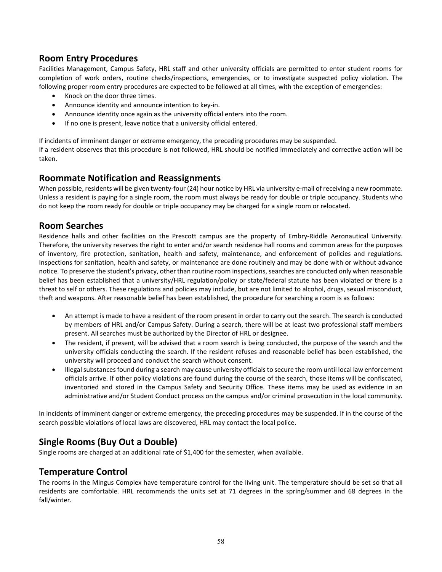## **Room Entry Procedures**

Facilities Management, Campus Safety, HRL staff and other university officials are permitted to enter student rooms for completion of work orders, routine checks/inspections, emergencies, or to investigate suspected policy violation. The following proper room entry procedures are expected to be followed at all times, with the exception of emergencies:

- Knock on the door three times.
- Announce identity and announce intention to key-in.
- Announce identity once again as the university official enters into the room.
- If no one is present, leave notice that a university official entered.

If incidents of imminent danger or extreme emergency, the preceding procedures may be suspended. If a resident observes that this procedure is not followed, HRL should be notified immediately and corrective action will be taken.

## **Roommate Notification and Reassignments**

When possible, residents will be given twenty-four (24) hour notice by HRL via university e-mail of receiving a new roommate. Unless a resident is paying for a single room, the room must always be ready for double or triple occupancy. Students who do not keep the room ready for double or triple occupancy may be charged for a single room or relocated.

## **Room Searches**

Residence halls and other facilities on the Prescott campus are the property of Embry-Riddle Aeronautical University. Therefore, the university reserves the right to enter and/or search residence hall rooms and common areas for the purposes of inventory, fire protection, sanitation, health and safety, maintenance, and enforcement of policies and regulations. Inspections for sanitation, health and safety, or maintenance are done routinely and may be done with or without advance notice. To preserve the student's privacy, other than routine room inspections, searches are conducted only when reasonable belief has been established that a university/HRL regulation/policy or state/federal statute has been violated or there is a threat to self or others. These regulations and policies may include, but are not limited to alcohol, drugs, sexual misconduct, theft and weapons. After reasonable belief has been established, the procedure for searching a room is as follows:

- An attempt is made to have a resident of the room present in order to carry out the search. The search is conducted by members of HRL and/or Campus Safety. During a search, there will be at least two professional staff members present. All searches must be authorized by the Director of HRL or designee.
- The resident, if present, will be advised that a room search is being conducted, the purpose of the search and the university officials conducting the search. If the resident refuses and reasonable belief has been established, the university will proceed and conduct the search without consent.
- Illegal substances found during a search may cause university officials to secure the room until local law enforcement officials arrive. If other policy violations are found during the course of the search, those items will be confiscated, inventoried and stored in the Campus Safety and Security Office. These items may be used as evidence in an administrative and/or Student Conduct process on the campus and/or criminal prosecution in the local community.

In incidents of imminent danger or extreme emergency, the preceding procedures may be suspended. If in the course of the search possible violations of local laws are discovered, HRL may contact the local police.

## **Single Rooms (Buy Out a Double)**

Single rooms are charged at an additional rate of \$1,400 for the semester, when available.

## **Temperature Control**

The rooms in the Mingus Complex have temperature control for the living unit. The temperature should be set so that all residents are comfortable. HRL recommends the units set at 71 degrees in the spring/summer and 68 degrees in the fall/winter.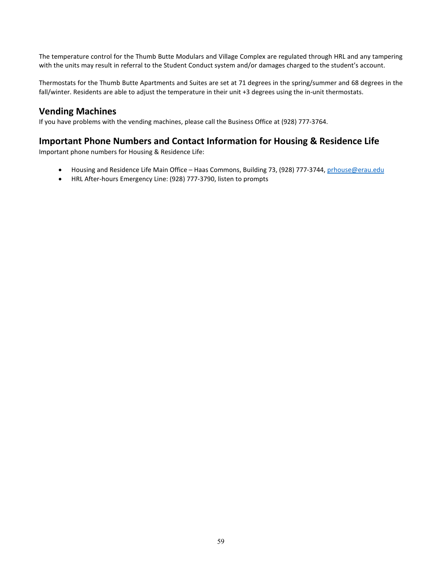The temperature control for the Thumb Butte Modulars and Village Complex are regulated through HRL and any tampering with the units may result in referral to the Student Conduct system and/or damages charged to the student's account.

Thermostats for the Thumb Butte Apartments and Suites are set at 71 degrees in the spring/summer and 68 degrees in the fall/winter. Residents are able to adjust the temperature in their unit +3 degrees using the in-unit thermostats.

### **Vending Machines**

If you have problems with the vending machines, please call the Business Office at (928) 777-3764.

## **Important Phone Numbers and Contact Information for Housing & Residence Life**

Important phone numbers for Housing & Residence Life:

- Housing and Residence Life Main Office Haas Commons, Building 73, (928) 777-3744[, prhouse@erau.edu](mailto:prhouse@erau.edu)
- HRL After-hours Emergency Line: (928) 777-3790, listen to prompts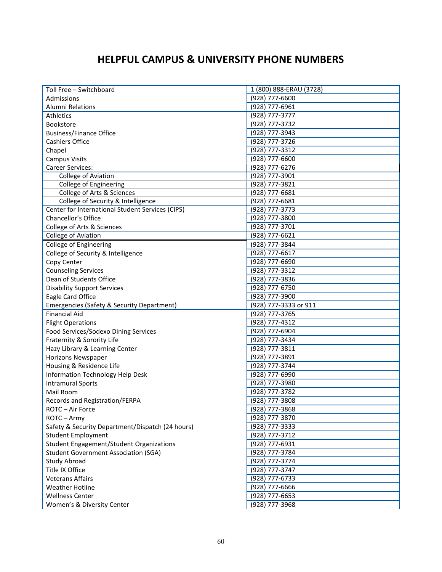## **HELPFUL CAMPUS & UNIVERSITY PHONE NUMBERS**

| Toll Free - Switchboard                               | 1 (800) 888-ERAU (3728) |
|-------------------------------------------------------|-------------------------|
| Admissions                                            | (928) 777-6600          |
| <b>Alumni Relations</b>                               | (928) 777-6961          |
| Athletics                                             | (928) 777-3777          |
| <b>Bookstore</b>                                      | (928) 777-3732          |
| <b>Business/Finance Office</b>                        | (928) 777-3943          |
| Cashiers Office                                       | (928) 777-3726          |
| Chapel                                                | (928) 777-3312          |
| <b>Campus Visits</b>                                  | (928) 777-6600          |
| Career Services:                                      | (928) 777-6276          |
| College of Aviation                                   | (928) 777-3901          |
| College of Engineering                                | (928) 777-3821          |
| College of Arts & Sciences                            | (928) 777-6681          |
| College of Security & Intelligence                    | (928) 777-6681          |
| Center for International Student Services (CIPS)      | (928) 777-3773          |
| Chancellor's Office                                   | (928) 777-3800          |
| College of Arts & Sciences                            | (928) 777-3701          |
| College of Aviation                                   | (928) 777-6621          |
| College of Engineering                                | (928) 777-3844          |
| College of Security & Intelligence                    | (928) 777-6617          |
| Copy Center                                           | (928) 777-6690          |
|                                                       | (928) 777-3312          |
| <b>Counseling Services</b><br>Dean of Students Office | (928) 777-3836          |
|                                                       | (928) 777-6750          |
| <b>Disability Support Services</b>                    | (928) 777-3900          |
| Eagle Card Office                                     |                         |
| Emergencies (Safety & Security Department)            | (928) 777-3333 or 911   |
| <b>Financial Aid</b>                                  | (928) 777-3765          |
| <b>Flight Operations</b>                              | (928) 777-4312          |
| Food Services/Sodexo Dining Services                  | (928) 777-6904          |
| Fraternity & Sorority Life                            | (928) 777-3434          |
| Hazy Library & Learning Center                        | (928) 777-3811          |
| Horizons Newspaper                                    | (928) 777-3891          |
| Housing & Residence Life                              | (928) 777-3744          |
| Information Technology Help Desk                      | (928) 777-6990          |
| <b>Intramural Sports</b>                              | (928) 777-3980          |
| Mail Room                                             | (928) 777-3782          |
| Records and Registration/FERPA                        | (928) 777-3808          |
| ROTC-Air Force                                        | (928) 777-3868          |
| ROTC-Army                                             | (928) 777-3870          |
| Safety & Security Department/Dispatch (24 hours)      | (928) 777-3333          |
| <b>Student Employment</b>                             | (928) 777-3712          |
| <b>Student Engagement/Student Organizations</b>       | (928) 777-6931          |
| <b>Student Government Association (SGA)</b>           | (928) 777-3784          |
| Study Abroad                                          | (928) 777-3774          |
| Title IX Office                                       | (928) 777-3747          |
| <b>Veterans Affairs</b>                               | (928) 777-6733          |
| <b>Weather Hotline</b>                                | $(928)$ 777-6666        |
| <b>Wellness Center</b>                                | (928) 777-6653          |
| Women's & Diversity Center                            | (928) 777-3968          |